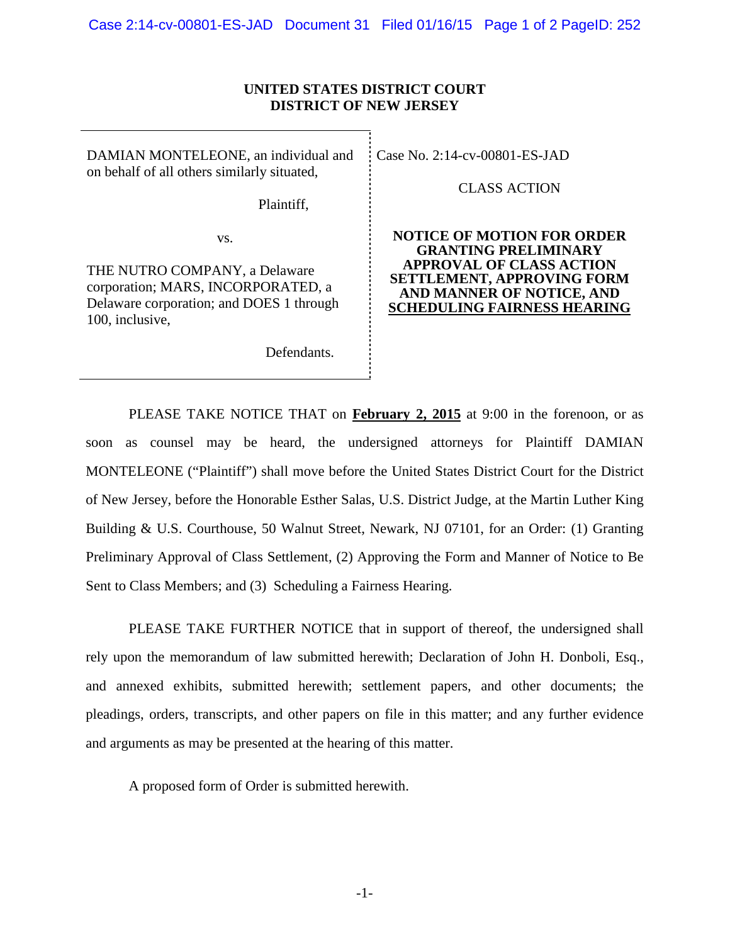# **UNITED STATES DISTRICT COURT DISTRICT OF NEW JERSEY**

DAMIAN MONTELEONE, an individual and on behalf of all others similarly situated,

Plaintiff,

vs.

THE NUTRO COMPANY, a Delaware corporation; MARS, INCORPORATED, a Delaware corporation; and DOES 1 through 100, inclusive,

Defendants.

CaseNo. [2:14-cv-00801-ES-JAD](https://ecf.njd.uscourts.gov/cgi-bin/DktRpt.pl?299914)

CLASS ACTION

**NOTICE OF MOTION FOR ORDER GRANTING PRELIMINARY APPROVAL OF CLASS ACTION SETTLEMENT, APPROVING FORM AND MANNER OF NOTICE, AND SCHEDULING FAIRNESS HEARING**

PLEASE TAKE NOTICE THAT on **February 2, 2015** at 9:00 in the forenoon, or as soon as counsel may be heard, the undersigned attorneys for Plaintiff DAMIAN MONTELEONE ("Plaintiff") shall move before the United States District Court for the District of New Jersey, before the Honorable Esther Salas, U.S. District Judge, at the Martin Luther King Building & U.S. Courthouse, 50 Walnut Street, Newark, NJ 07101, for an Order: (1) Granting Preliminary Approval of Class Settlement, (2) Approving the Form and Manner of Notice to Be Sent to Class Members; and (3) Scheduling a Fairness Hearing.

PLEASE TAKE FURTHER NOTICE that in support of thereof, the undersigned shall rely upon the memorandum of law submitted herewith; Declaration of John H. Donboli, Esq., and annexed exhibits, submitted herewith; settlement papers, and other documents; the pleadings, orders, transcripts, and other papers on file in this matter; and any further evidence and arguments as may be presented at the hearing of this matter.

A proposed form of Order is submitted herewith.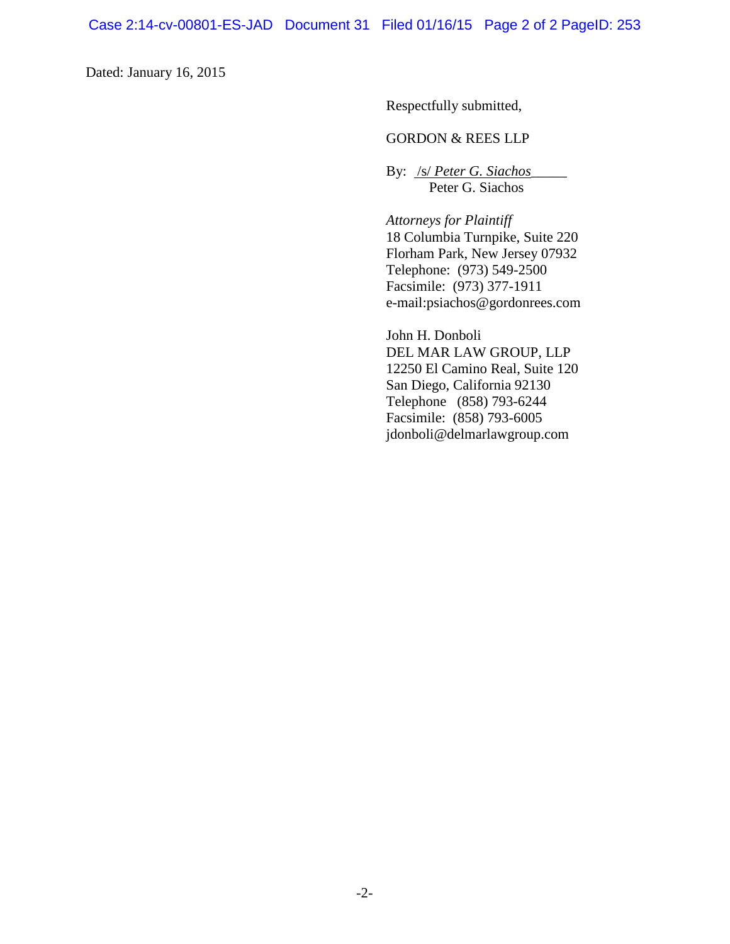Dated: January 16, 2015

Respectfully submitted,

# GORDON & REES LLP

By: /s/ *Peter G. Siachos*\_\_\_\_\_ Peter G. Siachos

*Attorneys for Plaintiff* 18 Columbia Turnpike, Suite 220 Florham Park, New Jersey 07932 Telephone: (973) 549-2500 Facsimile: (973) 377-1911 e-mail:psiachos@gordonrees.com

John H. Donboli DEL MAR LAW GROUP, LLP 12250 El Camino Real, Suite 120 San Diego, California 92130 Telephone (858) 793-6244 Facsimile: (858) 793-6005 jdonboli@delmarlawgroup.com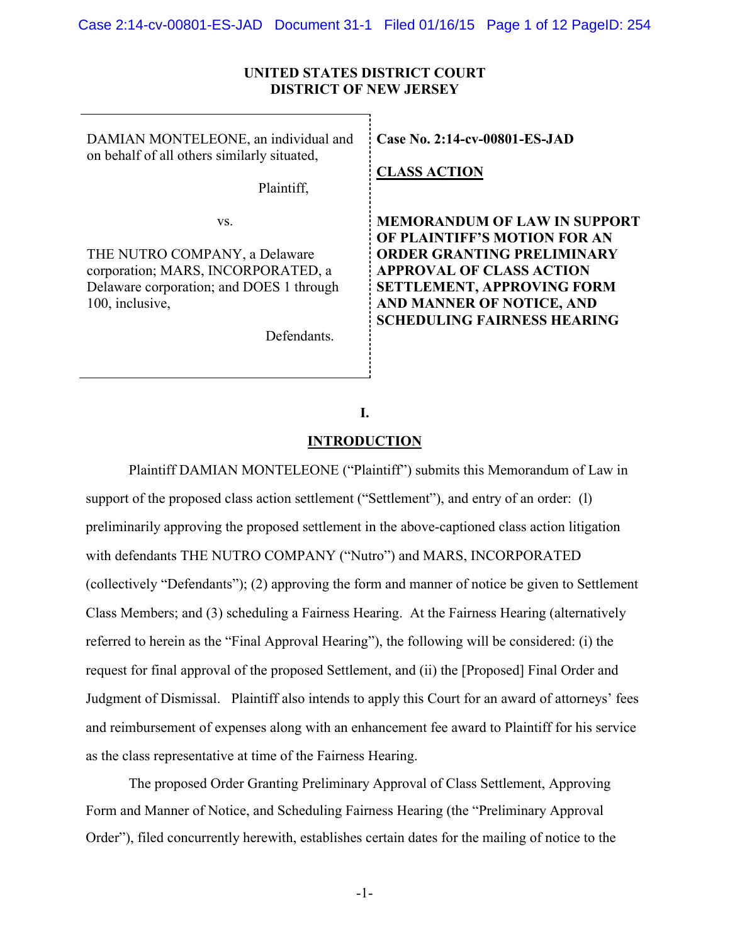### **UNITED STATES DISTRICT COURT DISTRICT OF NEW JERSEY**

DAMIAN MONTELEONE, an individual and on behalf of all others similarly situated,

Plaintiff,

vs.

THE NUTRO COMPANY, a Delaware corporation; MARS, INCORPORATED, a Delaware corporation; and DOES 1 through 100, inclusive,

Defendants.

**Case No. [2:14-cv-00801-ES-JAD](https://ecf.njd.uscourts.gov/cgi-bin/DktRpt.pl?299914)**

**CLASS ACTION**

**MEMORANDUM OF LAW IN SUPPORT OF PLAINTIFF'S MOTION FOR AN ORDER GRANTING PRELIMINARY APPROVAL OF CLASS ACTION SETTLEMENT, APPROVING FORM AND MANNER OF NOTICE, AND SCHEDULING FAIRNESS HEARING**

# **I.**

### **INTRODUCTION**

Plaintiff DAMIAN MONTELEONE ("Plaintiff") submits this Memorandum of Law in support of the proposed class action settlement ("Settlement"), and entry of an order: (1) preliminarily approving the proposed settlement in the above-captioned class action litigation with defendants THE NUTRO COMPANY ("Nutro") and MARS, INCORPORATED (collectively "Defendants"); (2) approving the form and manner of notice be given to Settlement Class Members; and (3) scheduling a Fairness Hearing. At the Fairness Hearing (alternatively referred to herein as the "Final Approval Hearing"), the following will be considered: (i) the request for final approval of the proposed Settlement, and (ii) the [Proposed] Final Order and Judgment of Dismissal. Plaintiff also intends to apply this Court for an award of attorneys' fees and reimbursement of expenses along with an enhancement fee award to Plaintiff for his service as the class representative at time of the Fairness Hearing.

The proposed Order Granting Preliminary Approval of Class Settlement, Approving Form and Manner of Notice, and Scheduling Fairness Hearing (the "Preliminary Approval Order"), filed concurrently herewith, establishes certain dates for the mailing of notice to the

-1-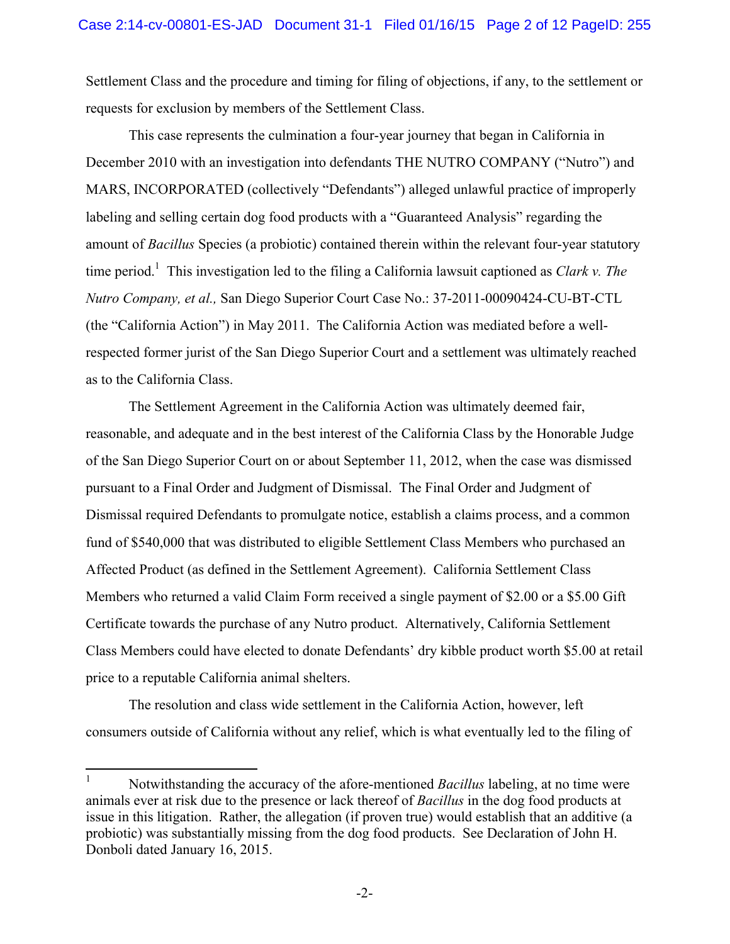Settlement Class and the procedure and timing for filing of objections, if any, to the settlement or requests for exclusion by members of the Settlement Class.

This case represents the culmination a four-year journey that began in California in December 2010 with an investigation into defendants THE NUTRO COMPANY ("Nutro") and MARS, INCORPORATED (collectively "Defendants") alleged unlawful practice of improperly labeling and selling certain dog food products with a "Guaranteed Analysis" regarding the amount of *Bacillus* Species (a probiotic) contained therein within the relevant four-year statutory time period. 1 This investigation led to the filing a California lawsuit captioned as *Clark v. The Nutro Company, et al.,* San Diego Superior Court Case No.: 37-2011-00090424-CU-BT-CTL (the "California Action") in May 2011. The California Action was mediated before a wellrespected former jurist of the San Diego Superior Court and a settlement was ultimately reached as to the California Class.

The Settlement Agreement in the California Action was ultimately deemed fair, reasonable, and adequate and in the best interest of the California Class by the Honorable Judge of the San Diego Superior Court on or about September 11, 2012, when the case was dismissed pursuant to a Final Order and Judgment of Dismissal. The Final Order and Judgment of Dismissal required Defendants to promulgate notice, establish a claims process, and a common fund of \$540,000 that was distributed to eligible Settlement Class Members who purchased an Affected Product (as defined in the Settlement Agreement). California Settlement Class Members who returned a valid Claim Form received a single payment of \$2.00 or a \$5.00 Gift Certificate towards the purchase of any Nutro product. Alternatively, California Settlement Class Members could have elected to donate Defendants' dry kibble product worth \$5.00 at retail price to a reputable California animal shelters.

The resolution and class wide settlement in the California Action, however, left consumers outside of California without any relief, which is what eventually led to the filing of

 $\mathbf{1}$ <sup>1</sup> Notwithstanding the accuracy of the afore-mentioned *Bacillus* labeling, at no time were animals ever at risk due to the presence or lack thereof of *Bacillus* in the dog food products at issue in this litigation. Rather, the allegation (if proven true) would establish that an additive (a probiotic) was substantially missing from the dog food products. See Declaration of John H. Donboli dated January 16, 2015.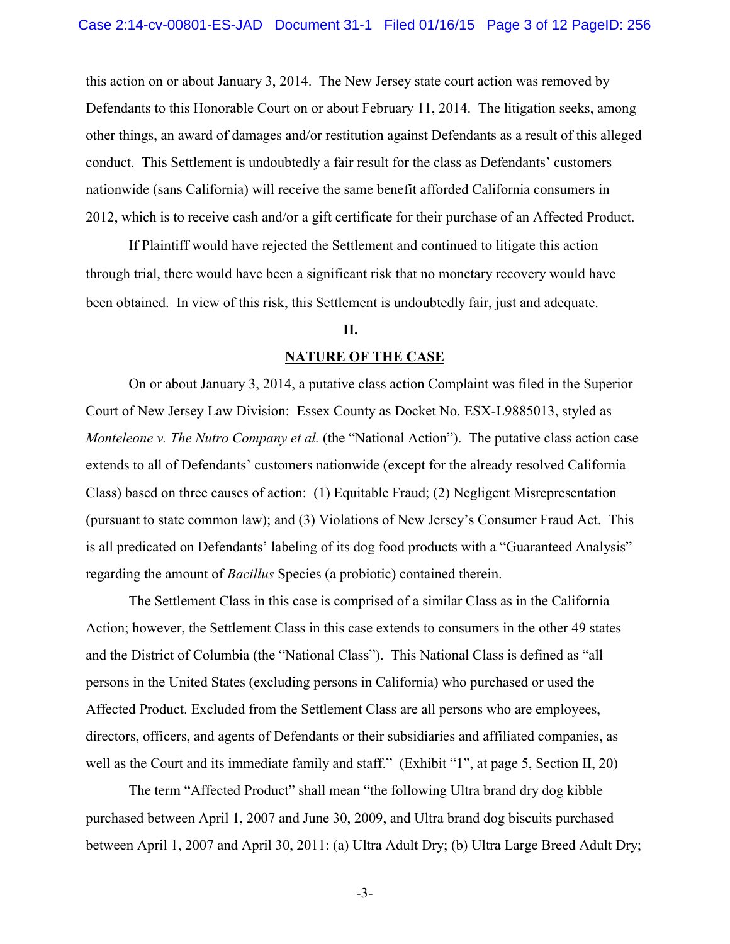this action on or about January 3, 2014. The New Jersey state court action was removed by Defendants to this Honorable Court on or about February 11, 2014. The litigation seeks, among other things, an award of damages and/or restitution against Defendants as a result of this alleged conduct. This Settlement is undoubtedly a fair result for the class as Defendants' customers nationwide (sans California) will receive the same benefit afforded California consumers in 2012, which is to receive cash and/or a gift certificate for their purchase of an Affected Product.

If Plaintiff would have rejected the Settlement and continued to litigate this action through trial, there would have been a significant risk that no monetary recovery would have been obtained. In view of this risk, this Settlement is undoubtedly fair, just and adequate.

### **II.**

#### **NATURE OF THE CASE**

On or about January 3, 2014, a putative class action Complaint was filed in the Superior Court of New Jersey Law Division: Essex County as Docket No. ESX-L9885013, styled as *Monteleone v. The Nutro Company et al.* (the "National Action"). The putative class action case extends to all of Defendants' customers nationwide (except for the already resolved California Class) based on three causes of action: (1) Equitable Fraud; (2) Negligent Misrepresentation (pursuant to state common law); and (3) Violations of New Jersey's Consumer Fraud Act. This is all predicated on Defendants' labeling of its dog food products with a "Guaranteed Analysis" regarding the amount of *Bacillus* Species (a probiotic) contained therein.

The Settlement Class in this case is comprised of a similar Class as in the California Action; however, the Settlement Class in this case extends to consumers in the other 49 states and the District of Columbia (the "National Class"). This National Class is defined as "all persons in the United States (excluding persons in California) who purchased or used the Affected Product. Excluded from the Settlement Class are all persons who are employees, directors, officers, and agents of Defendants or their subsidiaries and affiliated companies, as well as the Court and its immediate family and staff." (Exhibit "1", at page 5, Section II, 20)

The term "Affected Product" shall mean "the following Ultra brand dry dog kibble purchased between April 1, 2007 and June 30, 2009, and Ultra brand dog biscuits purchased between April 1, 2007 and April 30, 2011: (a) Ultra Adult Dry; (b) Ultra Large Breed Adult Dry;

-3-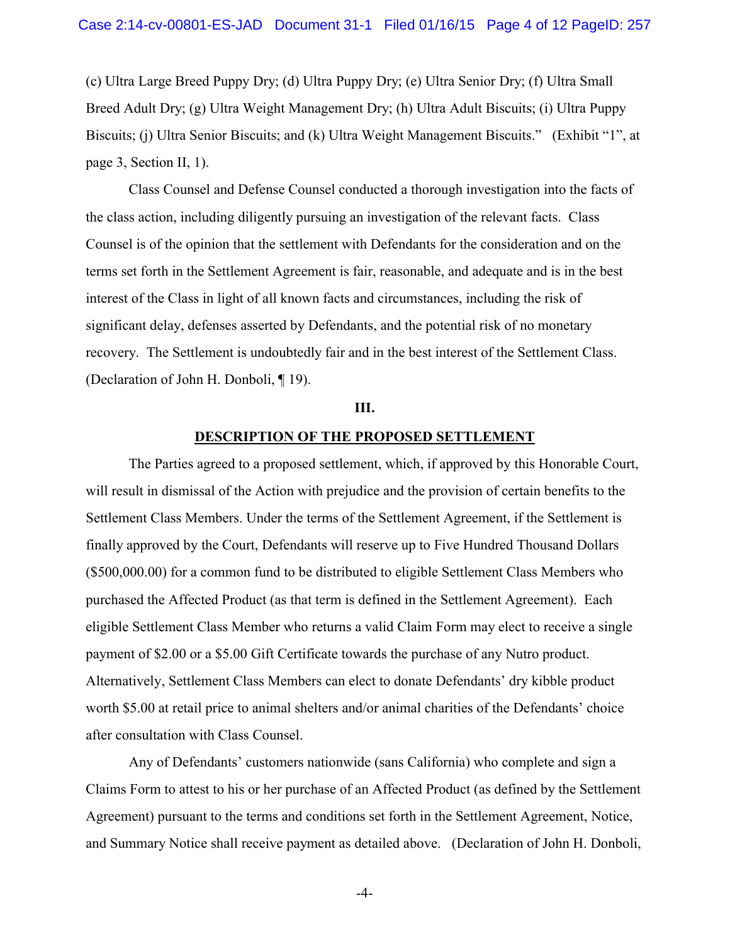(c) Ultra Large Breed Puppy Dry; (d) Ultra Puppy Dry; (e) Ultra Senior Dry; (f) Ultra Small Breed Adult Dry; (g) Ultra Weight Management Dry; (h) Ultra Adult Biscuits; (i) Ultra Puppy Biscuits; (j) Ultra Senior Biscuits; and (k) Ultra Weight Management Biscuits." (Exhibit "1", at page 3, Section II, 1).

Class Counsel and Defense Counsel conducted a thorough investigation into the facts of the class action, including diligently pursuing an investigation of the relevant facts. Class Counsel is of the opinion that the settlement with Defendants for the consideration and on the terms set forth in the Settlement Agreement is fair, reasonable, and adequate and is in the best interest of the Class in light of all known facts and circumstances, including the risk of significant delay, defenses asserted by Defendants, and the potential risk of no monetary recovery. The Settlement is undoubtedly fair and in the best interest of the Settlement Class. (Declaration of John H. Donboli, ¶ 19).

#### **III.**

### **DESCRIPTION OF THE PROPOSED SETTLEMENT**

The Parties agreed to a proposed settlement, which, if approved by this Honorable Court, will result in dismissal of the Action with prejudice and the provision of certain benefits to the Settlement Class Members. Under the terms of the Settlement Agreement, if the Settlement is finally approved by the Court, Defendants will reserve up to Five Hundred Thousand Dollars (\$500,000.00) for a common fund to be distributed to eligible Settlement Class Members who purchased the Affected Product (as that term is defined in the Settlement Agreement). Each eligible Settlement Class Member who returns a valid Claim Form may elect to receive a single payment of \$2.00 or a \$5.00 Gift Certificate towards the purchase of any Nutro product. Alternatively, Settlement Class Members can elect to donate Defendants' dry kibble product worth \$5.00 at retail price to animal shelters and/or animal charities of the Defendants' choice after consultation with Class Counsel.

Any of Defendants' customers nationwide (sans California) who complete and sign a Claims Form to attest to his or her purchase of an Affected Product (as defined by the Settlement Agreement) pursuant to the terms and conditions set forth in the Settlement Agreement, Notice, and Summary Notice shall receive payment as detailed above. (Declaration of John H. Donboli,

-4-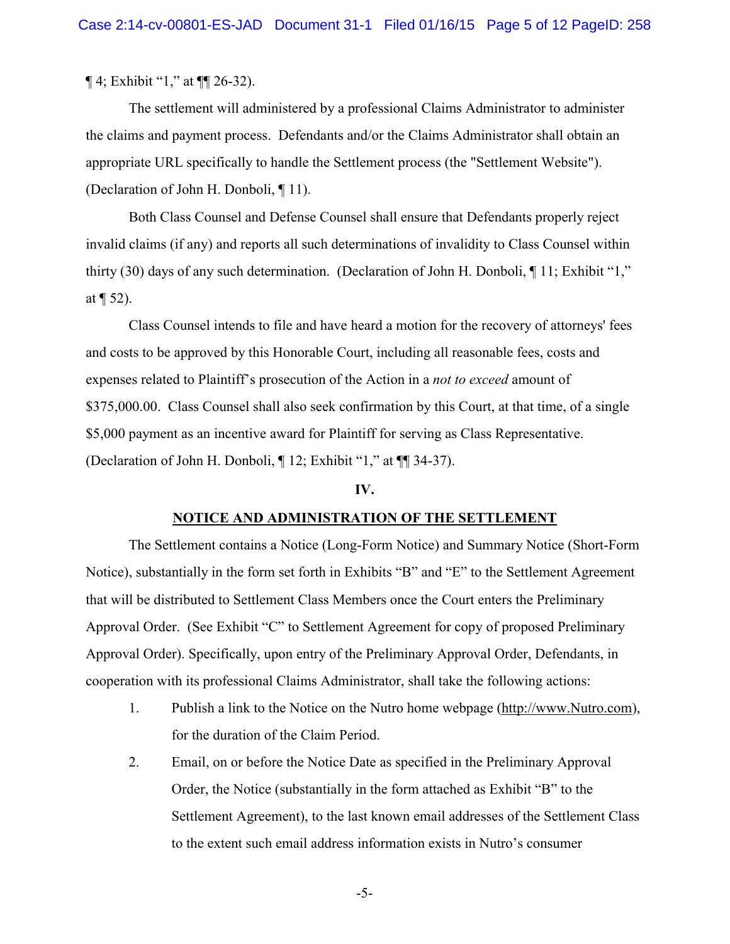¶ 4; Exhibit "1," at ¶¶ 26-32).

The settlement will administered by a professional Claims Administrator to administer the claims and payment process. Defendants and/or the Claims Administrator shall obtain an appropriate URL specifically to handle the Settlement process (the "Settlement Website"). (Declaration of John H. Donboli, ¶ 11).

Both Class Counsel and Defense Counsel shall ensure that Defendants properly reject invalid claims (if any) and reports all such determinations of invalidity to Class Counsel within thirty (30) days of any such determination. (Declaration of John H. Donboli, ¶ 11; Exhibit "1," at  $\P$  52).

Class Counsel intends to file and have heard a motion for the recovery of attorneys' fees and costs to be approved by this Honorable Court, including all reasonable fees, costs and expenses related to Plaintiff's prosecution of the Action in a *not to exceed* amount of \$375,000.00. Class Counsel shall also seek confirmation by this Court, at that time, of a single \$5,000 payment as an incentive award for Plaintiff for serving as Class Representative. (Declaration of John H. Donboli, ¶ 12; Exhibit "1," at ¶¶ 34-37).

### **IV.**

#### **NOTICE AND ADMINISTRATION OF THE SETTLEMENT**

The Settlement contains a Notice (Long-Form Notice) and Summary Notice (Short-Form Notice), substantially in the form set forth in Exhibits "B" and "E" to the Settlement Agreement that will be distributed to Settlement Class Members once the Court enters the Preliminary Approval Order. (See Exhibit "C" to Settlement Agreement for copy of proposed Preliminary Approval Order). Specifically, upon entry of the Preliminary Approval Order, Defendants, in cooperation with its professional Claims Administrator, shall take the following actions:

- 1. Publish a link to the Notice on the Nutro home webpage (http://www.Nutro.com), for the duration of the Claim Period.
- 2. Email, on or before the Notice Date as specified in the Preliminary Approval Order, the Notice (substantially in the form attached as Exhibit "B" to the Settlement Agreement), to the last known email addresses of the Settlement Class to the extent such email address information exists in Nutro's consumer

-5-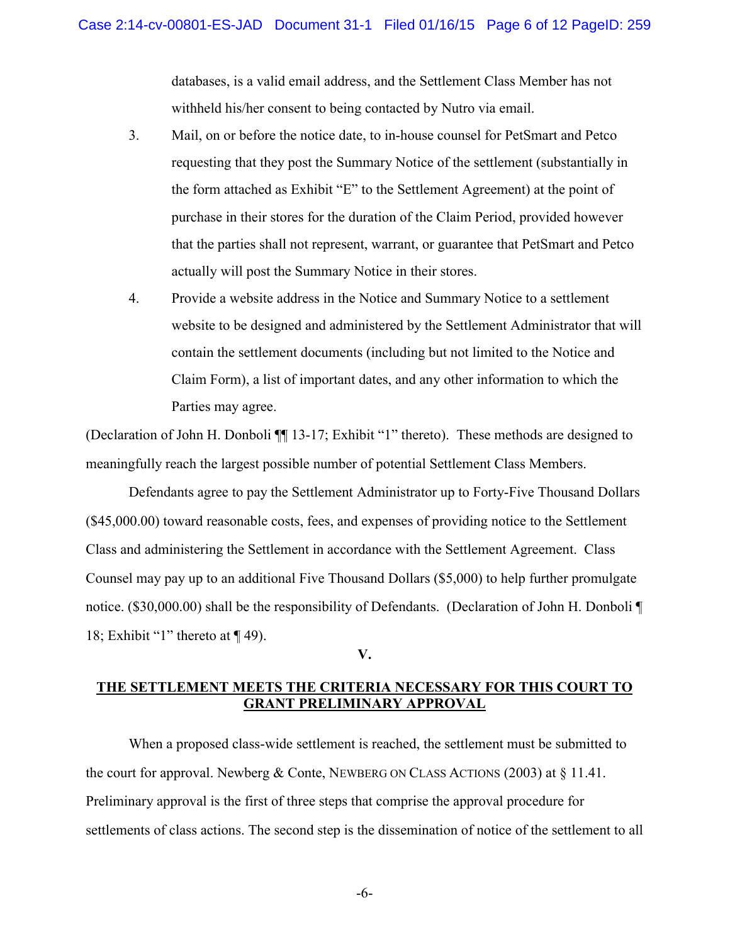databases, is a valid email address, and the Settlement Class Member has not withheld his/her consent to being contacted by Nutro via email.

- 3. Mail, on or before the notice date, to in-house counsel for PetSmart and Petco requesting that they post the Summary Notice of the settlement (substantially in the form attached as Exhibit "E" to the Settlement Agreement) at the point of purchase in their stores for the duration of the Claim Period, provided however that the parties shall not represent, warrant, or guarantee that PetSmart and Petco actually will post the Summary Notice in their stores.
- 4. Provide a website address in the Notice and Summary Notice to a settlement website to be designed and administered by the Settlement Administrator that will contain the settlement documents (including but not limited to the Notice and Claim Form), a list of important dates, and any other information to which the Parties may agree.

(Declaration of John H. Donboli ¶¶ 13-17; Exhibit "1" thereto). These methods are designed to meaningfully reach the largest possible number of potential Settlement Class Members.

Defendants agree to pay the Settlement Administrator up to Forty-Five Thousand Dollars (\$45,000.00) toward reasonable costs, fees, and expenses of providing notice to the Settlement Class and administering the Settlement in accordance with the Settlement Agreement. Class Counsel may pay up to an additional Five Thousand Dollars (\$5,000) to help further promulgate notice. (\$30,000.00) shall be the responsibility of Defendants. (Declaration of John H. Donboli  $\P$ 18; Exhibit "1" thereto at  $\P$  49).

**V.** 

# **THE SETTLEMENT MEETS THE CRITERIA NECESSARY FOR THIS COURT TO GRANT PRELIMINARY APPROVAL**

When a proposed class-wide settlement is reached, the settlement must be submitted to the court for approval. Newberg & Conte, NEWBERG ON CLASS ACTIONS (2003) at § 11.41. Preliminary approval is the first of three steps that comprise the approval procedure for settlements of class actions. The second step is the dissemination of notice of the settlement to all

-6-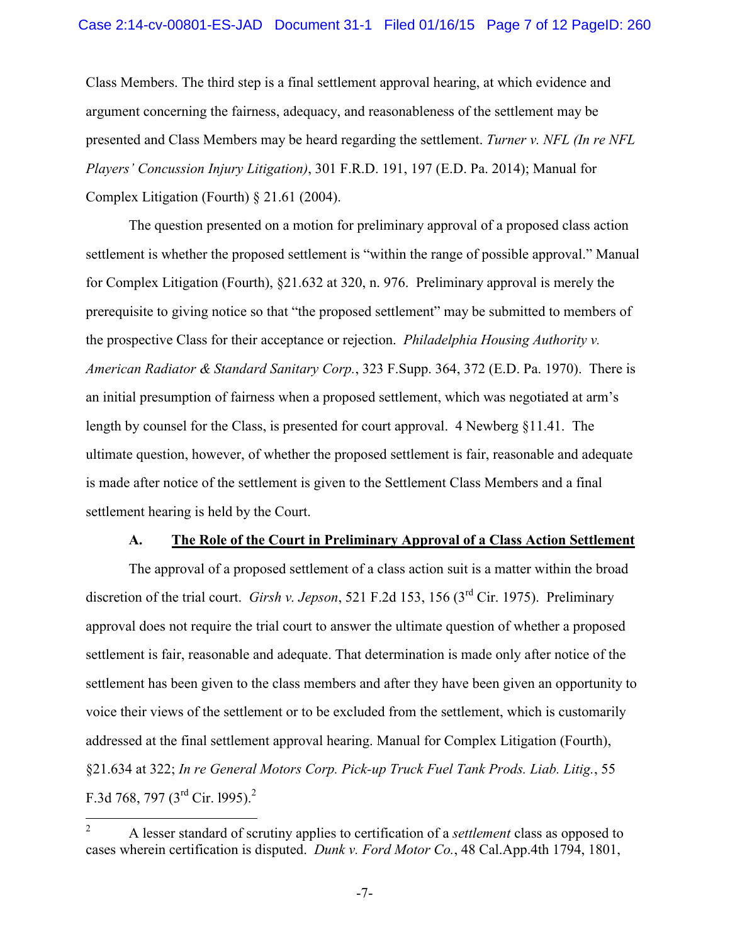Class Members. The third step is a final settlement approval hearing, at which evidence and argument concerning the fairness, adequacy, and reasonableness of the settlement may be presented and Class Members may be heard regarding the settlement. *Turner v. NFL (In re NFL Players' Concussion Injury Litigation)*, 301 F.R.D. 191, 197 (E.D. Pa. 2014); Manual for Complex Litigation (Fourth) § 21.61 (2004).

The question presented on a motion for preliminary approval of a proposed class action settlement is whether the proposed settlement is "within the range of possible approval." Manual for Complex Litigation (Fourth), §21.632 at 320, n. 976. Preliminary approval is merely the prerequisite to giving notice so that "the proposed settlement" may be submitted to members of the prospective Class for their acceptance or rejection. *Philadelphia Housing Authority v. American Radiator & Standard Sanitary Corp.*, 323 F.Supp. 364, 372 (E.D. Pa. 1970). There is an initial presumption of fairness when a proposed settlement, which was negotiated at arm's length by counsel for the Class, is presented for court approval. 4 Newberg §11.41. The ultimate question, however, of whether the proposed settlement is fair, reasonable and adequate is made after notice of the settlement is given to the Settlement Class Members and a final settlement hearing is held by the Court.

## **A. The Role of the Court in Preliminary Approval of a Class Action Settlement**

The approval of a proposed settlement of a class action suit is a matter within the broad discretion of the trial court. *Girsh v. Jepson*, 521 F.2d 153, 156 (3<sup>rd</sup> Cir. 1975). Preliminary approval does not require the trial court to answer the ultimate question of whether a proposed settlement is fair, reasonable and adequate. That determination is made only after notice of the settlement has been given to the class members and after they have been given an opportunity to voice their views of the settlement or to be excluded from the settlement, which is customarily addressed at the final settlement approval hearing. Manual for Complex Litigation (Fourth), §21.634 at 322; *In re General Motors Corp. Pick-up Truck Fuel Tank Prods. Liab. Litig.*, 55 F.3d 768, 797 (3<sup>rd</sup> Cir. 1995).<sup>2</sup>

 $\overline{2}$ <sup>2</sup> A lesser standard of scrutiny applies to certification of a *settlement* class as opposed to cases wherein certification is disputed. *Dunk v. Ford Motor Co.*, 48 Cal.App.4th 1794, 1801,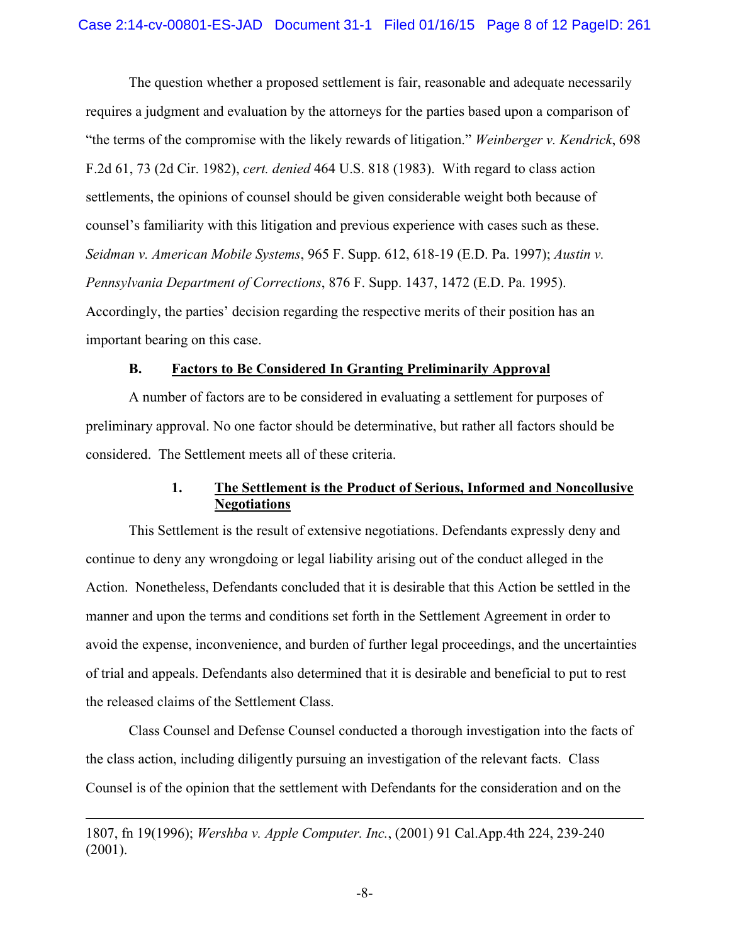The question whether a proposed settlement is fair, reasonable and adequate necessarily requires a judgment and evaluation by the attorneys for the parties based upon a comparison of "the terms of the compromise with the likely rewards of litigation." *Weinberger v. Kendrick*, 698 F.2d 61, 73 (2d Cir. 1982), *cert. denied* 464 U.S. 818 (1983). With regard to class action settlements, the opinions of counsel should be given considerable weight both because of counsel's familiarity with this litigation and previous experience with cases such as these. *Seidman v. American Mobile Systems*, 965 F. Supp. 612, 618-19 (E.D. Pa. 1997); *Austin v. Pennsylvania Department of Corrections*, 876 F. Supp. 1437, 1472 (E.D. Pa. 1995). Accordingly, the parties' decision regarding the respective merits of their position has an important bearing on this case.

### **B. Factors to Be Considered In Granting Preliminarily Approval**

A number of factors are to be considered in evaluating a settlement for purposes of preliminary approval. No one factor should be determinative, but rather all factors should be considered. The Settlement meets all of these criteria.

# **1. The Settlement is the Product of Serious, Informed and Noncollusive Negotiations**

This Settlement is the result of extensive negotiations. Defendants expressly deny and continue to deny any wrongdoing or legal liability arising out of the conduct alleged in the Action. Nonetheless, Defendants concluded that it is desirable that this Action be settled in the manner and upon the terms and conditions set forth in the Settlement Agreement in order to avoid the expense, inconvenience, and burden of further legal proceedings, and the uncertainties of trial and appeals. Defendants also determined that it is desirable and beneficial to put to rest the released claims of the Settlement Class.

Class Counsel and Defense Counsel conducted a thorough investigation into the facts of the class action, including diligently pursuing an investigation of the relevant facts. Class Counsel is of the opinion that the settlement with Defendants for the consideration and on the

1807, fn 19(1996); *Wershba v. Apple Computer. Inc.*, (2001) 91 Cal.App.4th 224, 239-240 (2001).

 $\overline{a}$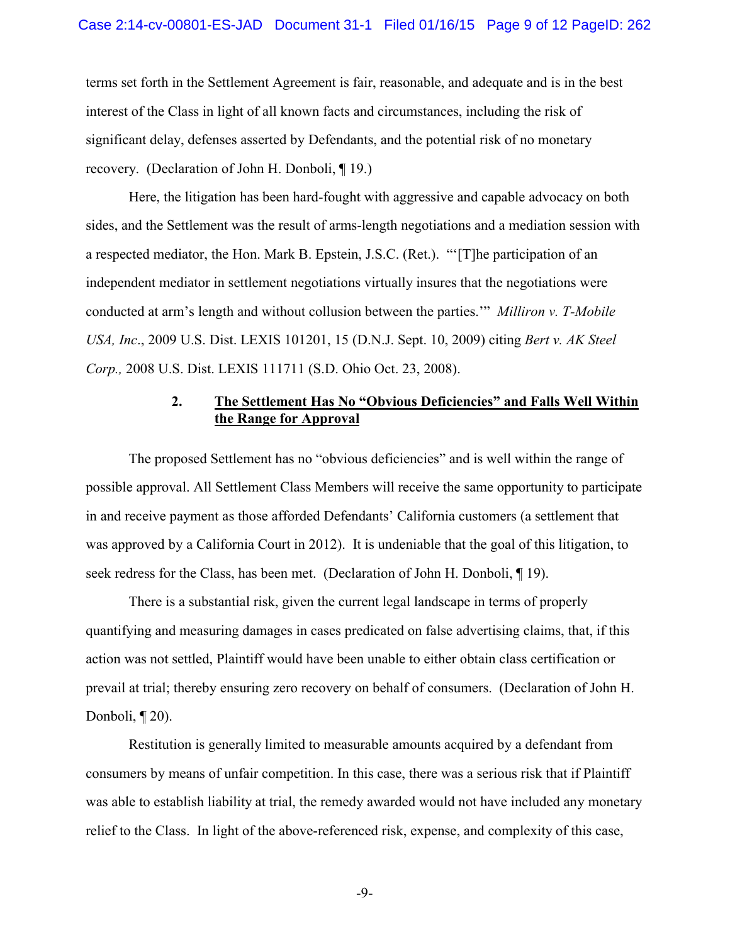terms set forth in the Settlement Agreement is fair, reasonable, and adequate and is in the best interest of the Class in light of all known facts and circumstances, including the risk of significant delay, defenses asserted by Defendants, and the potential risk of no monetary recovery. (Declaration of John H. Donboli, ¶ 19.)

Here, the litigation has been hard-fought with aggressive and capable advocacy on both sides, and the Settlement was the result of arms-length negotiations and a mediation session with a respected mediator, the Hon. Mark B. Epstein, J.S.C. (Ret.). "'[T]he participation of an independent mediator in settlement negotiations virtually insures that the negotiations were conducted at arm's length and without collusion between the parties.'" *Milliron v. T-Mobile USA, Inc*., 2009 U.S. Dist. LEXIS 101201, 15 (D.N.J. Sept. 10, 2009) citing *Bert v. AK Steel Corp.,* 2008 U.S. Dist. LEXIS 111711 (S.D. Ohio Oct. 23, 2008).

# **2. The Settlement Has No "Obvious Deficiencies" and Falls Well Within the Range for Approval**

The proposed Settlement has no "obvious deficiencies" and is well within the range of possible approval. All Settlement Class Members will receive the same opportunity to participate in and receive payment as those afforded Defendants' California customers (a settlement that was approved by a California Court in 2012). It is undeniable that the goal of this litigation, to seek redress for the Class, has been met. (Declaration of John H. Donboli, ¶ 19).

There is a substantial risk, given the current legal landscape in terms of properly quantifying and measuring damages in cases predicated on false advertising claims, that, if this action was not settled, Plaintiff would have been unable to either obtain class certification or prevail at trial; thereby ensuring zero recovery on behalf of consumers. (Declaration of John H. Donboli, ¶ 20).

Restitution is generally limited to measurable amounts acquired by a defendant from consumers by means of unfair competition. In this case, there was a serious risk that if Plaintiff was able to establish liability at trial, the remedy awarded would not have included any monetary relief to the Class. In light of the above-referenced risk, expense, and complexity of this case,

-9-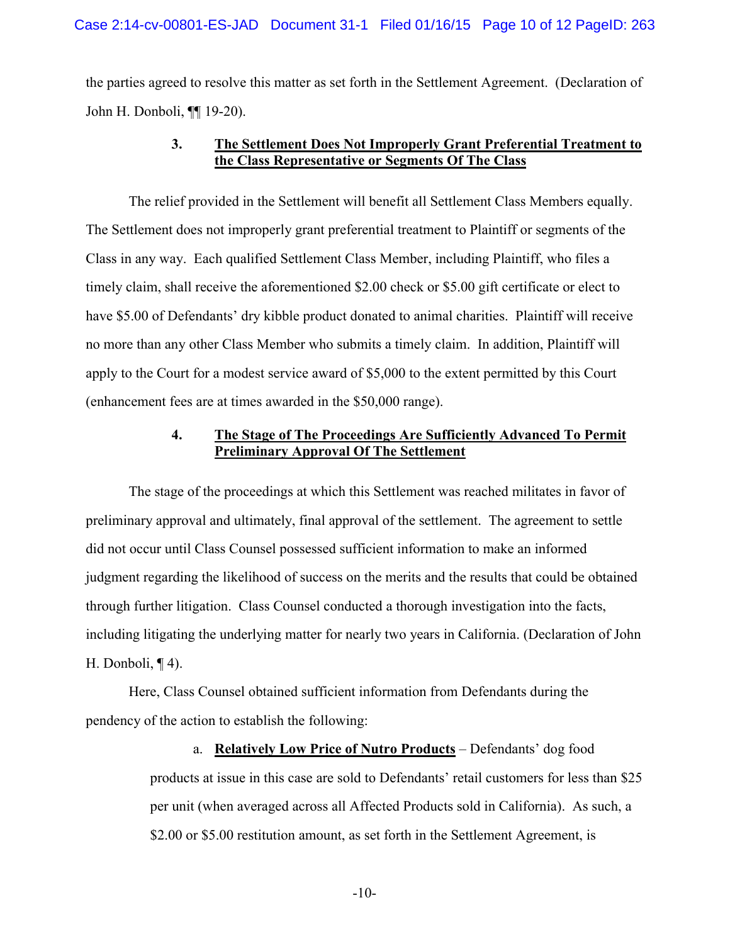the parties agreed to resolve this matter as set forth in the Settlement Agreement. (Declaration of John H. Donboli, ¶¶ 19-20).

# **3. The Settlement Does Not Improperly Grant Preferential Treatment to the Class Representative or Segments Of The Class**

The relief provided in the Settlement will benefit all Settlement Class Members equally. The Settlement does not improperly grant preferential treatment to Plaintiff or segments of the Class in any way. Each qualified Settlement Class Member, including Plaintiff, who files a timely claim, shall receive the aforementioned \$2.00 check or \$5.00 gift certificate or elect to have \$5.00 of Defendants' dry kibble product donated to animal charities. Plaintiff will receive no more than any other Class Member who submits a timely claim. In addition, Plaintiff will apply to the Court for a modest service award of \$5,000 to the extent permitted by this Court (enhancement fees are at times awarded in the \$50,000 range).

# **4. The Stage of The Proceedings Are Sufficiently Advanced To Permit Preliminary Approval Of The Settlement**

The stage of the proceedings at which this Settlement was reached militates in favor of preliminary approval and ultimately, final approval of the settlement. The agreement to settle did not occur until Class Counsel possessed sufficient information to make an informed judgment regarding the likelihood of success on the merits and the results that could be obtained through further litigation. Class Counsel conducted a thorough investigation into the facts, including litigating the underlying matter for nearly two years in California. (Declaration of John H. Donboli, ¶ 4).

Here, Class Counsel obtained sufficient information from Defendants during the pendency of the action to establish the following:

> a. **Relatively Low Price of Nutro Products** – Defendants' dog food products at issue in this case are sold to Defendants' retail customers for less than \$25 per unit (when averaged across all Affected Products sold in California). As such, a \$2.00 or \$5.00 restitution amount, as set forth in the Settlement Agreement, is

> > -10-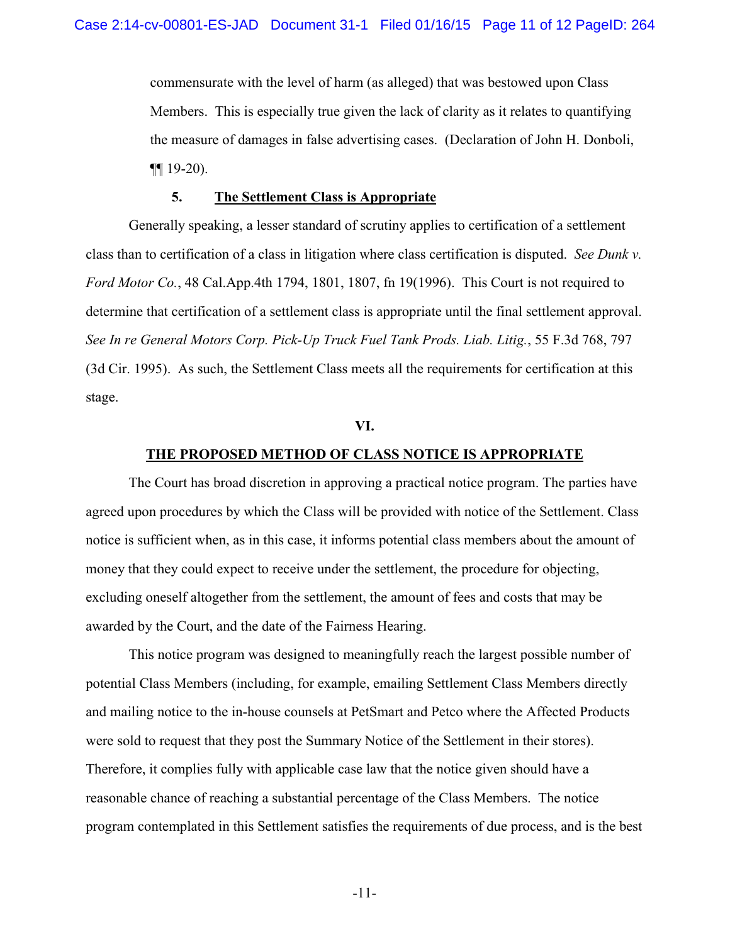commensurate with the level of harm (as alleged) that was bestowed upon Class Members. This is especially true given the lack of clarity as it relates to quantifying the measure of damages in false advertising cases. (Declaration of John H. Donboli, ¶¶ 19-20).

#### **5. The Settlement Class is Appropriate**

Generally speaking, a lesser standard of scrutiny applies to certification of a settlement class than to certification of a class in litigation where class certification is disputed. *See Dunk v. Ford Motor Co.*, 48 Cal.App.4th 1794, 1801, 1807, fn 19(1996).This Court is not required to determine that certification of a settlement class is appropriate until the final settlement approval. *See In re General Motors Corp. Pick-Up Truck Fuel Tank Prods. Liab. Litig.*, 55 F.3d 768, 797 (3d Cir. 1995). As such, the Settlement Class meets all the requirements for certification at this stage.

#### **VI.**

#### **THE PROPOSED METHOD OF CLASS NOTICE IS APPROPRIATE**

The Court has broad discretion in approving a practical notice program. The parties have agreed upon procedures by which the Class will be provided with notice of the Settlement. Class notice is sufficient when, as in this case, it informs potential class members about the amount of money that they could expect to receive under the settlement, the procedure for objecting, excluding oneself altogether from the settlement, the amount of fees and costs that may be awarded by the Court, and the date of the Fairness Hearing.

This notice program was designed to meaningfully reach the largest possible number of potential Class Members (including, for example, emailing Settlement Class Members directly and mailing notice to the in-house counsels at PetSmart and Petco where the Affected Products were sold to request that they post the Summary Notice of the Settlement in their stores). Therefore, it complies fully with applicable case law that the notice given should have a reasonable chance of reaching a substantial percentage of the Class Members. The notice program contemplated in this Settlement satisfies the requirements of due process, and is the best

-11-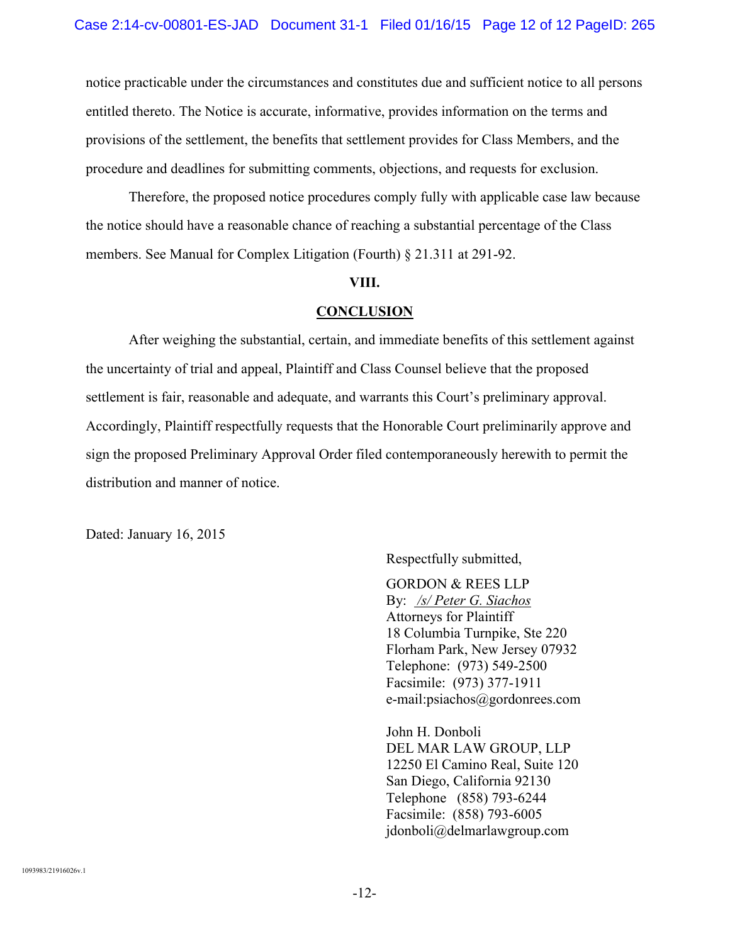notice practicable under the circumstances and constitutes due and sufficient notice to all persons entitled thereto. The Notice is accurate, informative, provides information on the terms and provisions of the settlement, the benefits that settlement provides for Class Members, and the procedure and deadlines for submitting comments, objections, and requests for exclusion.

Therefore, the proposed notice procedures comply fully with applicable case law because the notice should have a reasonable chance of reaching a substantial percentage of the Class members. See Manual for Complex Litigation (Fourth) § 21.311 at 291-92.

### **VIII.**

#### **CONCLUSION**

After weighing the substantial, certain, and immediate benefits of this settlement against the uncertainty of trial and appeal, Plaintiff and Class Counsel believe that the proposed settlement is fair, reasonable and adequate, and warrants this Court's preliminary approval. Accordingly, Plaintiff respectfully requests that the Honorable Court preliminarily approve and sign the proposed Preliminary Approval Order filed contemporaneously herewith to permit the distribution and manner of notice.

Dated: January 16, 2015

Respectfully submitted,

GORDON & REES LLP By: */s/ Peter G. Siachos* Attorneys for Plaintiff 18 Columbia Turnpike, Ste 220 Florham Park, New Jersey 07932 Telephone: (973) 549-2500 Facsimile: (973) 377-1911 e-mail:psiachos@gordonrees.com

John H. Donboli DEL MAR LAW GROUP, LLP 12250 El Camino Real, Suite 120 San Diego, California 92130 Telephone (858) 793-6244 Facsimile: (858) 793-6005 jdonboli@delmarlawgroup.com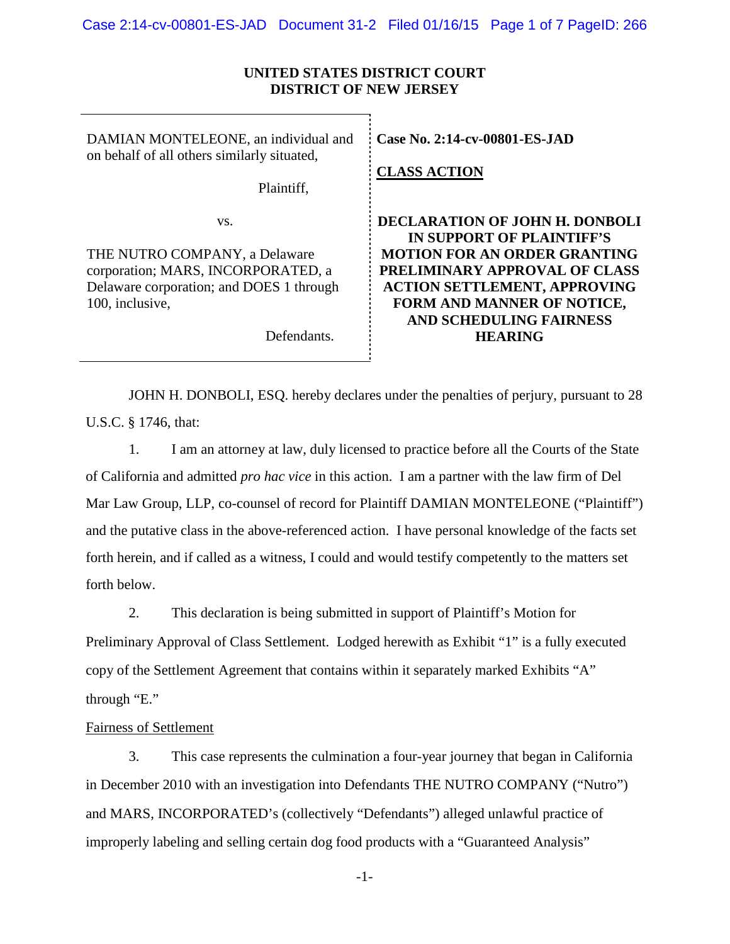## **UNITED STATES DISTRICT COURT DISTRICT OF NEW JERSEY**

DAMIAN MONTELEONE, an individual and on behalf of all others similarly situated,

Plaintiff,

vs.

THE NUTRO COMPANY, a Delaware corporation; MARS, INCORPORATED, a Delaware corporation; and DOES 1 through 100, inclusive,

Defendants.

**CaseNo. [2:14-cv-00801-ES-JAD](https://ecf.njd.uscourts.gov/cgi-bin/DktRpt.pl?299914)**

**CLASS ACTION**

**DECLARATION OF JOHN H. DONBOLI IN SUPPORT OF PLAINTIFF'S MOTION FOR AN ORDER GRANTING PRELIMINARY APPROVAL OF CLASS ACTION SETTLEMENT, APPROVING FORM AND MANNER OF NOTICE, AND SCHEDULING FAIRNESS HEARING**

JOHN H. DONBOLI, ESQ. hereby declares under the penalties of perjury, pursuant to 28 U.S.C. § 1746, that:

1. I am an attorney at law, duly licensed to practice before all the Courts of the State of California and admitted *pro hac vice* in this action. I am a partner with the law firm of Del Mar Law Group, LLP, co-counsel of record for Plaintiff DAMIAN MONTELEONE ("Plaintiff") and the putative class in the above-referenced action. I have personal knowledge of the facts set forth herein, and if called as a witness, I could and would testify competently to the matters set forth below.

2. This declaration is being submitted in support of Plaintiff's Motion for Preliminary Approval of Class Settlement. Lodged herewith as Exhibit "1" is a fully executed copy of the Settlement Agreement that contains within it separately marked Exhibits "A" through "E."

## Fairness of Settlement

3. This case represents the culmination a four-year journey that began in California in December 2010 with an investigation into Defendants THE NUTRO COMPANY ("Nutro") and MARS, INCORPORATED's (collectively "Defendants") alleged unlawful practice of improperly labeling and selling certain dog food products with a "Guaranteed Analysis"

-1-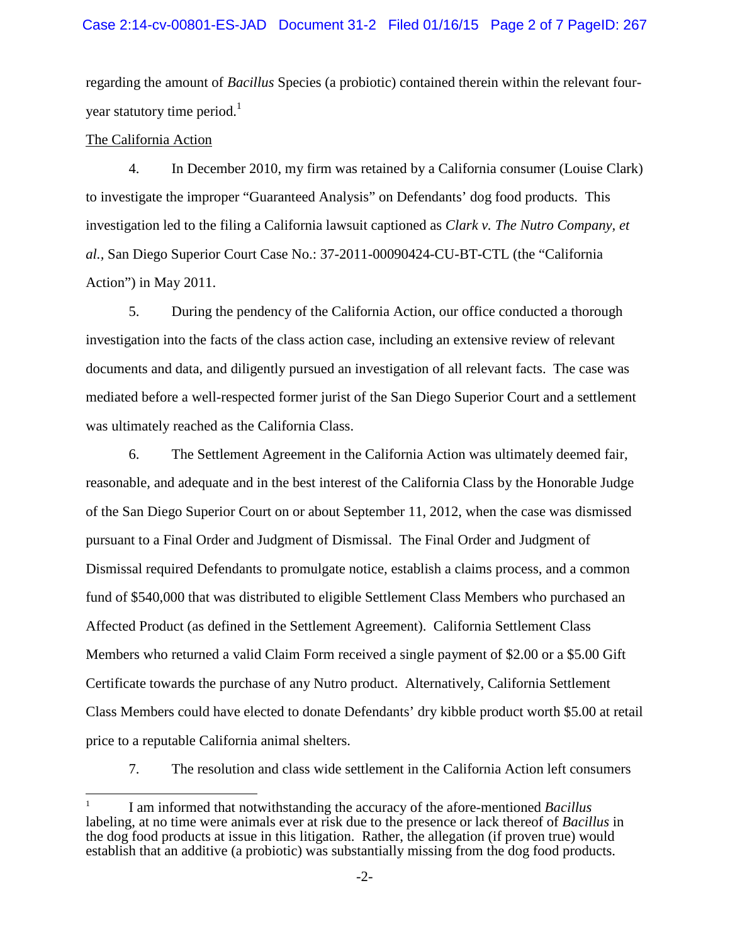regarding the amount of *Bacillus* Species (a probiotic) contained therein within the relevant fouryear statutory time period. $<sup>1</sup>$  $<sup>1</sup>$  $<sup>1</sup>$ </sup>

## The California Action

4. In December 2010, my firm was retained by a California consumer (Louise Clark) to investigate the improper "Guaranteed Analysis" on Defendants' dog food products. This investigation led to the filing a California lawsuit captioned as *Clark v. The Nutro Company, et al.,* San Diego Superior Court Case No.: 37-2011-00090424-CU-BT-CTL (the "California Action") in May 2011.

5. During the pendency of the California Action, our office conducted a thorough investigation into the facts of the class action case, including an extensive review of relevant documents and data, and diligently pursued an investigation of all relevant facts. The case was mediated before a well-respected former jurist of the San Diego Superior Court and a settlement was ultimately reached as the California Class.

6. The Settlement Agreement in the California Action was ultimately deemed fair, reasonable, and adequate and in the best interest of the California Class by the Honorable Judge of the San Diego Superior Court on or about September 11, 2012, when the case was dismissed pursuant to a Final Order and Judgment of Dismissal. The Final Order and Judgment of Dismissal required Defendants to promulgate notice, establish a claims process, and a common fund of \$540,000 that was distributed to eligible Settlement Class Members who purchased an Affected Product (as defined in the Settlement Agreement). California Settlement Class Members who returned a valid Claim Form received a single payment of \$2.00 or a \$5.00 Gift Certificate towards the purchase of any Nutro product. Alternatively, California Settlement Class Members could have elected to donate Defendants' dry kibble product worth \$5.00 at retail price to a reputable California animal shelters.

7. The resolution and class wide settlement in the California Action left consumers

<span id="page-15-0"></span><sup>1</sup> I am informed that notwithstanding the accuracy of the afore-mentioned *Bacillus* labeling, at no time were animals ever at risk due to the presence or lack thereof of *Bacillus* in the dog food products at issue in this litigation. Rather, the allegation (if proven true) would establish that an additive (a probiotic) was substantially missing from the dog food products.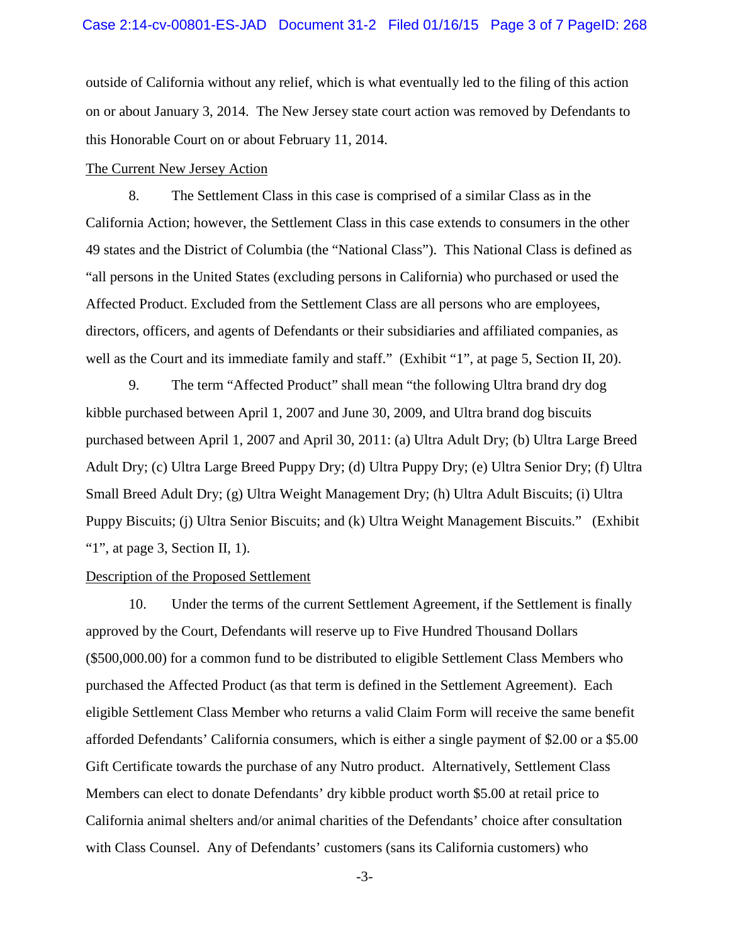outside of California without any relief, which is what eventually led to the filing of this action on or about January 3, 2014. The New Jersey state court action was removed by Defendants to this Honorable Court on or about February 11, 2014.

### The Current New Jersey Action

8. The Settlement Class in this case is comprised of a similar Class as in the California Action; however, the Settlement Class in this case extends to consumers in the other 49 states and the District of Columbia (the "National Class"). This National Class is defined as "all persons in the United States (excluding persons in California) who purchased or used the Affected Product. Excluded from the Settlement Class are all persons who are employees, directors, officers, and agents of Defendants or their subsidiaries and affiliated companies, as well as the Court and its immediate family and staff." (Exhibit "1", at page 5, Section II, 20).

9. The term "Affected Product" shall mean "the following Ultra brand dry dog kibble purchased between April 1, 2007 and June 30, 2009, and Ultra brand dog biscuits purchased between April 1, 2007 and April 30, 2011: (a) Ultra Adult Dry; (b) Ultra Large Breed Adult Dry; (c) Ultra Large Breed Puppy Dry; (d) Ultra Puppy Dry; (e) Ultra Senior Dry; (f) Ultra Small Breed Adult Dry; (g) Ultra Weight Management Dry; (h) Ultra Adult Biscuits; (i) Ultra Puppy Biscuits; (j) Ultra Senior Biscuits; and (k) Ultra Weight Management Biscuits." (Exhibit "1", at page 3, Section II, 1).

#### Description of the Proposed Settlement

10. Under the terms of the current Settlement Agreement, if the Settlement is finally approved by the Court, Defendants will reserve up to Five Hundred Thousand Dollars (\$500,000.00) for a common fund to be distributed to eligible Settlement Class Members who purchased the Affected Product (as that term is defined in the Settlement Agreement). Each eligible Settlement Class Member who returns a valid Claim Form will receive the same benefit afforded Defendants' California consumers, which is either a single payment of \$2.00 or a \$5.00 Gift Certificate towards the purchase of any Nutro product. Alternatively, Settlement Class Members can elect to donate Defendants' dry kibble product worth \$5.00 at retail price to California animal shelters and/or animal charities of the Defendants' choice after consultation with Class Counsel. Any of Defendants' customers (sans its California customers) who

-3-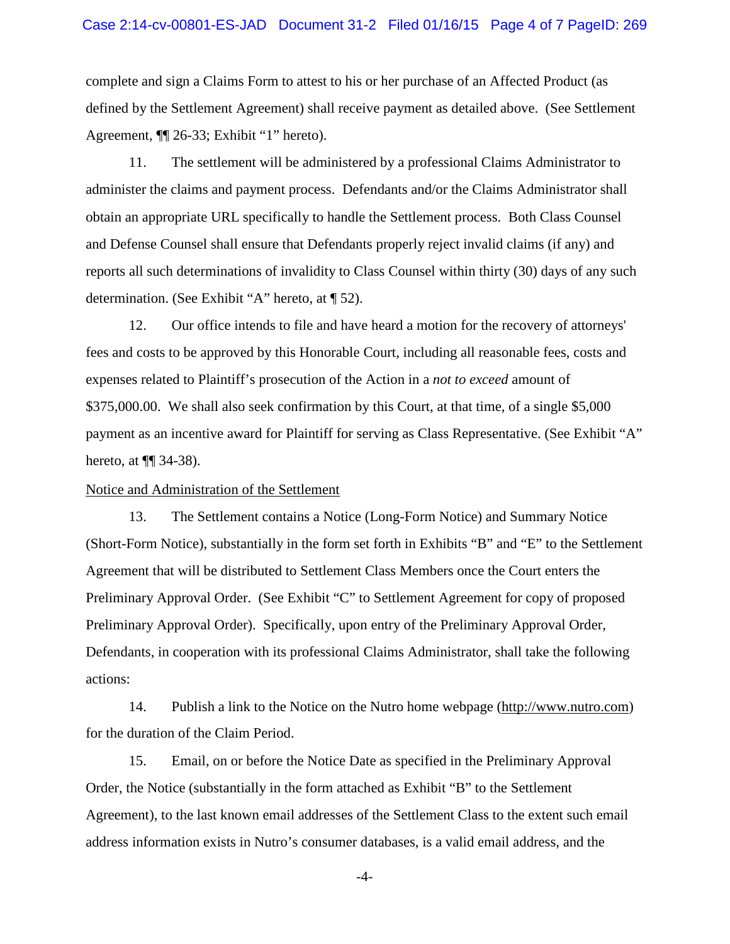complete and sign a Claims Form to attest to his or her purchase of an Affected Product (as defined by the Settlement Agreement) shall receive payment as detailed above. (See Settlement Agreement, ¶¶ 26-33; Exhibit "1" hereto).

11. The settlement will be administered by a professional Claims Administrator to administer the claims and payment process. Defendants and/or the Claims Administrator shall obtain an appropriate URL specifically to handle the Settlement process. Both Class Counsel and Defense Counsel shall ensure that Defendants properly reject invalid claims (if any) and reports all such determinations of invalidity to Class Counsel within thirty (30) days of any such determination. (See Exhibit "A" hereto, at ¶ 52).

12. Our office intends to file and have heard a motion for the recovery of attorneys' fees and costs to be approved by this Honorable Court, including all reasonable fees, costs and expenses related to Plaintiff's prosecution of the Action in a *not to exceed* amount of \$375,000.00. We shall also seek confirmation by this Court, at that time, of a single \$5,000 payment as an incentive award for Plaintiff for serving as Class Representative. (See Exhibit "A" hereto, at ¶¶ 34-38).

## Notice and Administration of the Settlement

13. The Settlement contains a Notice (Long-Form Notice) and Summary Notice (Short-Form Notice), substantially in the form set forth in Exhibits "B" and "E" to the Settlement Agreement that will be distributed to Settlement Class Members once the Court enters the Preliminary Approval Order. (See Exhibit "C" to Settlement Agreement for copy of proposed Preliminary Approval Order). Specifically, upon entry of the Preliminary Approval Order, Defendants, in cooperation with its professional Claims Administrator, shall take the following actions:

14. Publish a link to the Notice on the Nutro home webpage (http://www.nutro.com) for the duration of the Claim Period.

15. Email, on or before the Notice Date as specified in the Preliminary Approval Order, the Notice (substantially in the form attached as Exhibit "B" to the Settlement Agreement), to the last known email addresses of the Settlement Class to the extent such email address information exists in Nutro's consumer databases, is a valid email address, and the

-4-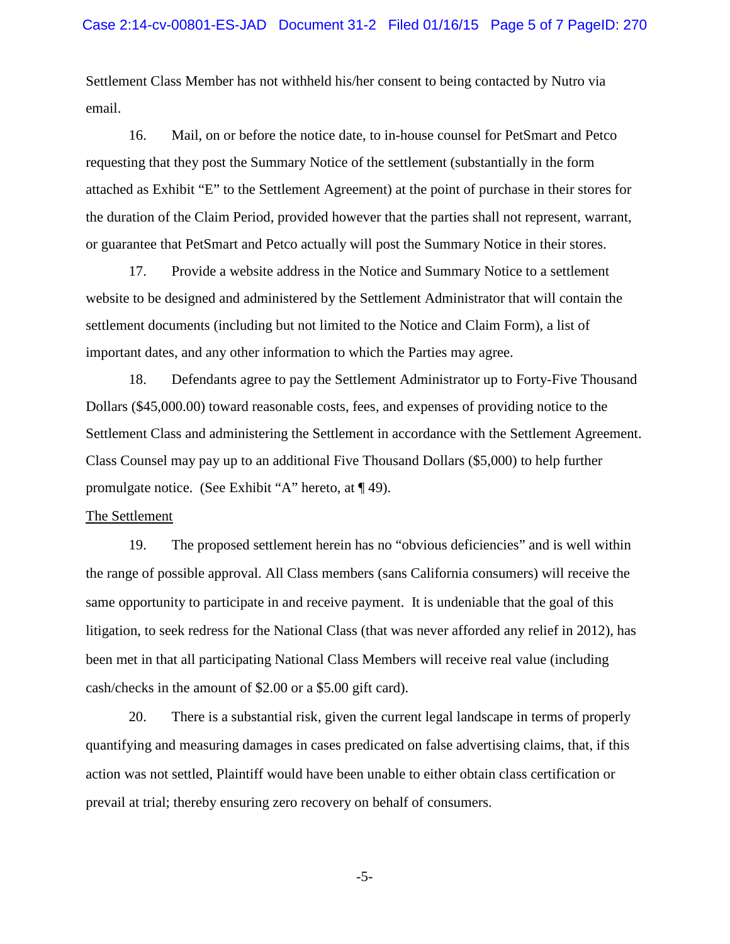Settlement Class Member has not withheld his/her consent to being contacted by Nutro via email.

16. Mail, on or before the notice date, to in-house counsel for PetSmart and Petco requesting that they post the Summary Notice of the settlement (substantially in the form attached as Exhibit "E" to the Settlement Agreement) at the point of purchase in their stores for the duration of the Claim Period, provided however that the parties shall not represent, warrant, or guarantee that PetSmart and Petco actually will post the Summary Notice in their stores.

17. Provide a website address in the Notice and Summary Notice to a settlement website to be designed and administered by the Settlement Administrator that will contain the settlement documents (including but not limited to the Notice and Claim Form), a list of important dates, and any other information to which the Parties may agree.

18. Defendants agree to pay the Settlement Administrator up to Forty-Five Thousand Dollars (\$45,000.00) toward reasonable costs, fees, and expenses of providing notice to the Settlement Class and administering the Settlement in accordance with the Settlement Agreement. Class Counsel may pay up to an additional Five Thousand Dollars (\$5,000) to help further promulgate notice. (See Exhibit "A" hereto, at ¶ 49).

### The Settlement

19. The proposed settlement herein has no "obvious deficiencies" and is well within the range of possible approval. All Class members (sans California consumers) will receive the same opportunity to participate in and receive payment. It is undeniable that the goal of this litigation, to seek redress for the National Class (that was never afforded any relief in 2012), has been met in that all participating National Class Members will receive real value (including cash/checks in the amount of \$2.00 or a \$5.00 gift card).

20. There is a substantial risk, given the current legal landscape in terms of properly quantifying and measuring damages in cases predicated on false advertising claims, that, if this action was not settled, Plaintiff would have been unable to either obtain class certification or prevail at trial; thereby ensuring zero recovery on behalf of consumers.

-5-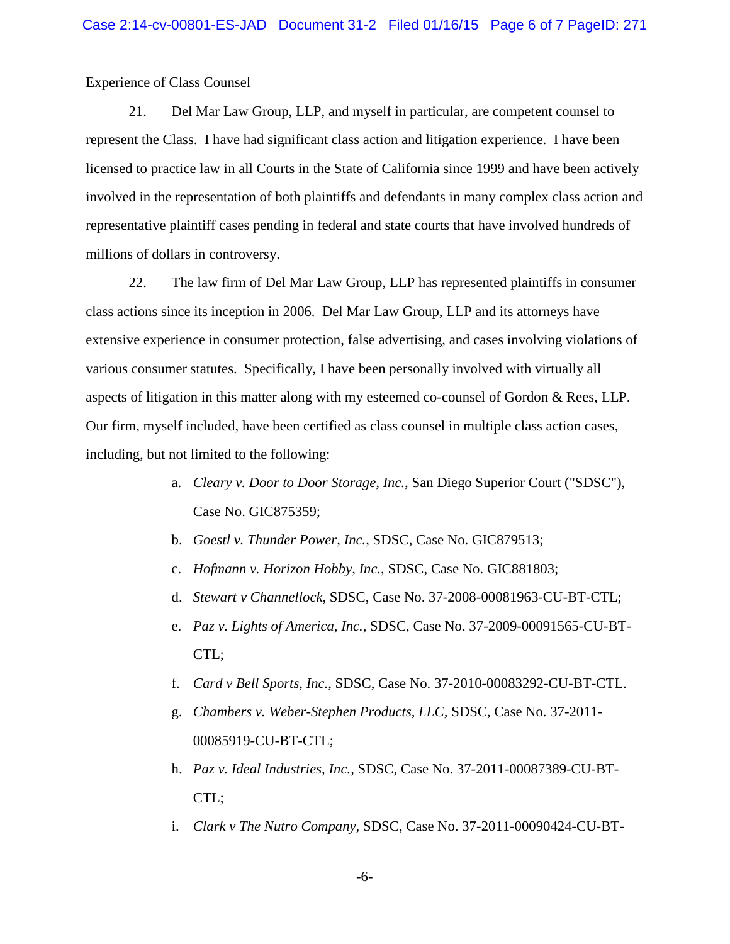#### Experience of Class Counsel

21. Del Mar Law Group, LLP, and myself in particular, are competent counsel to represent the Class. I have had significant class action and litigation experience. I have been licensed to practice law in all Courts in the State of California since 1999 and have been actively involved in the representation of both plaintiffs and defendants in many complex class action and representative plaintiff cases pending in federal and state courts that have involved hundreds of millions of dollars in controversy.

22. The law firm of Del Mar Law Group, LLP has represented plaintiffs in consumer class actions since its inception in 2006. Del Mar Law Group, LLP and its attorneys have extensive experience in consumer protection, false advertising, and cases involving violations of various consumer statutes. Specifically, I have been personally involved with virtually all aspects of litigation in this matter along with my esteemed co-counsel of Gordon & Rees, LLP. Our firm, myself included, have been certified as class counsel in multiple class action cases, including, but not limited to the following:

- a. *Cleary v. Door to Door Storage, Inc.*, San Diego Superior Court ("SDSC"), Case No. GIC875359;
- b. *Goestl v. Thunder Power, Inc.*, SDSC, Case No. GIC879513;
- c. *Hofmann v. Horizon Hobby, Inc.*, SDSC, Case No. GIC881803;
- d. *Stewart v Channellock,* SDSC, Case No. 37-2008-00081963-CU-BT-CTL;
- e. *Paz v. Lights of America, Inc.,* SDSC, Case No. 37-2009-00091565-CU-BT-CTL;
- f. *Card v Bell Sports, Inc.*, SDSC, Case No. 37-2010-00083292-CU-BT-CTL.
- g. *Chambers v. Weber-Stephen Products, LLC,* SDSC, Case No. 37-2011- 00085919-CU-BT-CTL;
- h. *Paz v. Ideal Industries, Inc.,* SDSC, Case No. 37-2011-00087389-CU-BT-CTL;
- i. *Clark v The Nutro Company,* SDSC, Case No. 37-2011-00090424-CU-BT-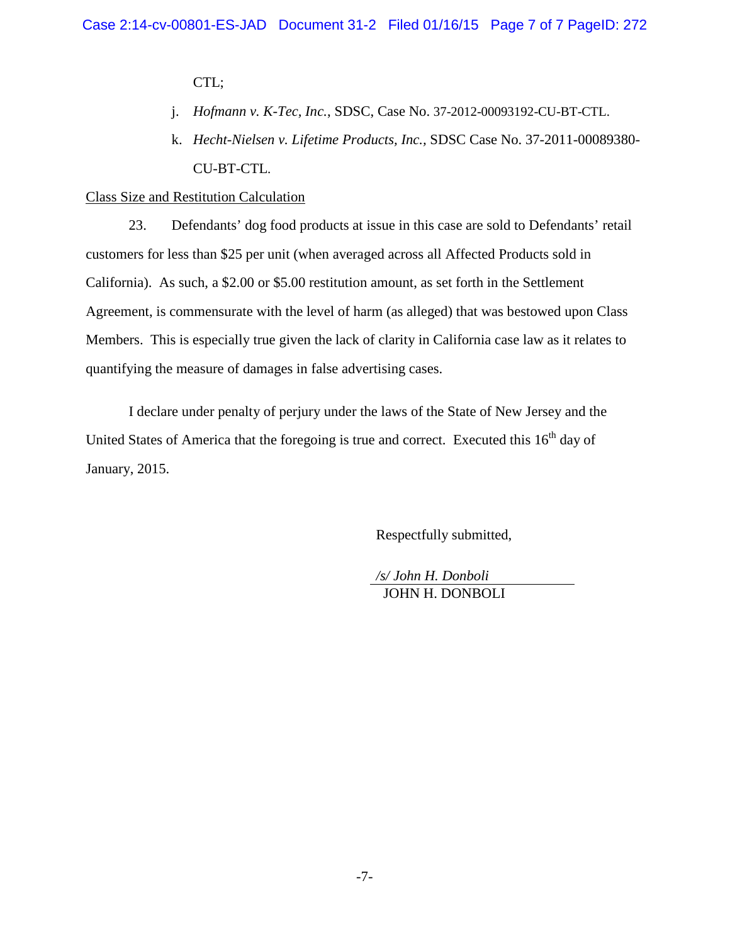CTL;

- j. *Hofmann v. K-Tec, Inc.*, SDSC, Case No. 37-2012-00093192-CU-BT-CTL.
- k. *Hecht-Nielsen v. Lifetime Products, Inc.,* SDSC Case No. 37-2011-00089380- CU-BT-CTL.

### Class Size and Restitution Calculation

23. Defendants' dog food products at issue in this case are sold to Defendants' retail customers for less than \$25 per unit (when averaged across all Affected Products sold in California). As such, a \$2.00 or \$5.00 restitution amount, as set forth in the Settlement Agreement, is commensurate with the level of harm (as alleged) that was bestowed upon Class Members. This is especially true given the lack of clarity in California case law as it relates to quantifying the measure of damages in false advertising cases.

I declare under penalty of perjury under the laws of the State of New Jersey and the United States of America that the foregoing is true and correct. Executed this  $16<sup>th</sup>$  day of January, 2015.

Respectfully submitted,

*/s/ John H. Donboli* JOHN H. DONBOLI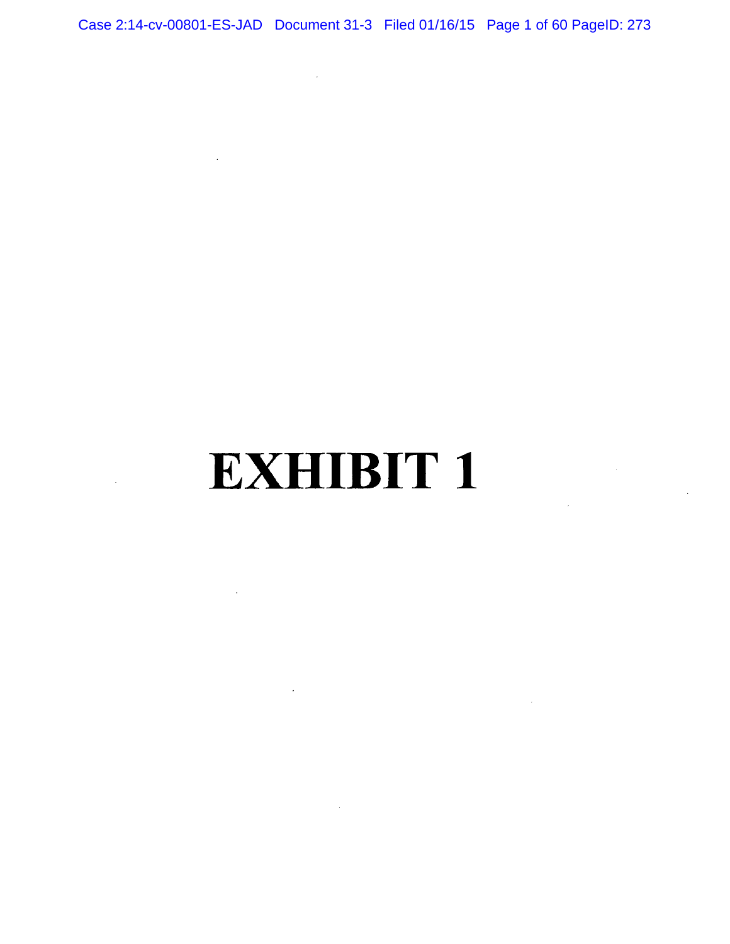Case 2:14-cv-00801-ES-JAD Document 31-3 Filed 01/16/15 Page 1 of 60 PageID: 273

 $\sim 10^7$ 

 $\mathcal{L}^{\text{max}}_{\text{max}}$ 

 $\sim 10^{11}$ 

 $\sim$   $\sim$ 

 $\sim 10^{11}$ 

**EXHIBIT 1** 

 $\sim 10$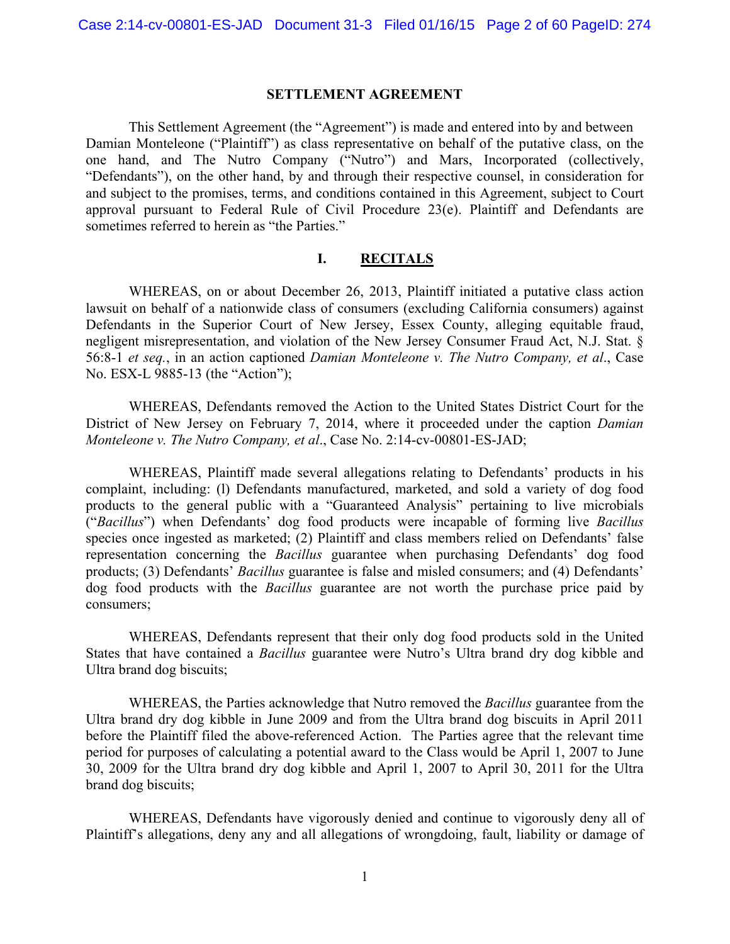#### **SETTLEMENT AGREEMENT**

This Settlement Agreement (the "Agreement") is made and entered into by and between Damian Monteleone ("Plaintiff") as class representative on behalf of the putative class, on the one hand, and The Nutro Company ("Nutro") and Mars, Incorporated (collectively, "Defendants"), on the other hand, by and through their respective counsel, in consideration for and subject to the promises, terms, and conditions contained in this Agreement, subject to Court approval pursuant to Federal Rule of Civil Procedure 23(e). Plaintiff and Defendants are sometimes referred to herein as "the Parties."

#### **I. RECITALS**

WHEREAS, on or about December 26, 2013, Plaintiff initiated a putative class action lawsuit on behalf of a nationwide class of consumers (excluding California consumers) against Defendants in the Superior Court of New Jersey, Essex County, alleging equitable fraud, negligent misrepresentation, and violation of the New Jersey Consumer Fraud Act, N.J. Stat. § 56:8-1 *et seq.*, in an action captioned *Damian Monteleone v. The Nutro Company, et al*., Case No. ESX-L 9885-13 (the "Action");

 WHEREAS, Defendants removed the Action to the United States District Court for the District of New Jersey on February 7, 2014, where it proceeded under the caption *Damian Monteleone v. The Nutro Company, et al*., Case No. 2:14-cv-00801-ES-JAD;

WHEREAS, Plaintiff made several allegations relating to Defendants' products in his complaint, including: (l) Defendants manufactured, marketed, and sold a variety of dog food products to the general public with a "Guaranteed Analysis" pertaining to live microbials ("*Bacillus*") when Defendants' dog food products were incapable of forming live *Bacillus* species once ingested as marketed; (2) Plaintiff and class members relied on Defendants' false representation concerning the *Bacillus* guarantee when purchasing Defendants' dog food products; (3) Defendants' *Bacillus* guarantee is false and misled consumers; and (4) Defendants' dog food products with the *Bacillus* guarantee are not worth the purchase price paid by consumers;

WHEREAS, Defendants represent that their only dog food products sold in the United States that have contained a *Bacillus* guarantee were Nutro's Ultra brand dry dog kibble and Ultra brand dog biscuits;

WHEREAS, the Parties acknowledge that Nutro removed the *Bacillus* guarantee from the Ultra brand dry dog kibble in June 2009 and from the Ultra brand dog biscuits in April 2011 before the Plaintiff filed the above-referenced Action. The Parties agree that the relevant time period for purposes of calculating a potential award to the Class would be April 1, 2007 to June 30, 2009 for the Ultra brand dry dog kibble and April 1, 2007 to April 30, 2011 for the Ultra brand dog biscuits;

WHEREAS, Defendants have vigorously denied and continue to vigorously deny all of Plaintiff's allegations, deny any and all allegations of wrongdoing, fault, liability or damage of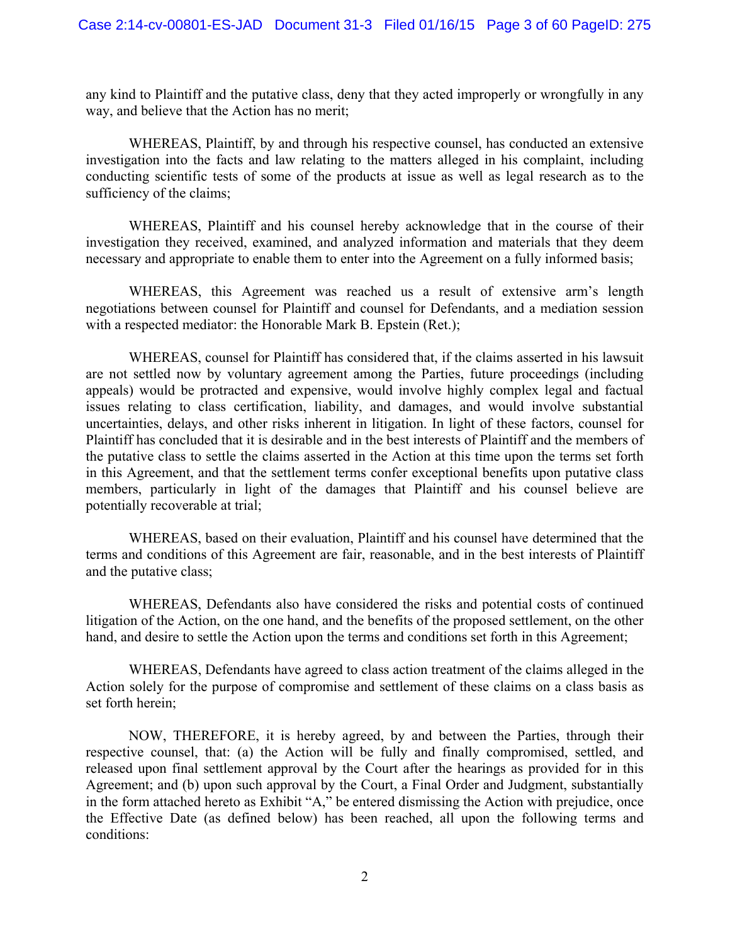any kind to Plaintiff and the putative class, deny that they acted improperly or wrongfully in any way, and believe that the Action has no merit;

WHEREAS, Plaintiff, by and through his respective counsel, has conducted an extensive investigation into the facts and law relating to the matters alleged in his complaint, including conducting scientific tests of some of the products at issue as well as legal research as to the sufficiency of the claims;

WHEREAS, Plaintiff and his counsel hereby acknowledge that in the course of their investigation they received, examined, and analyzed information and materials that they deem necessary and appropriate to enable them to enter into the Agreement on a fully informed basis;

WHEREAS, this Agreement was reached us a result of extensive arm's length negotiations between counsel for Plaintiff and counsel for Defendants, and a mediation session with a respected mediator: the Honorable Mark B. Epstein (Ret.);

WHEREAS, counsel for Plaintiff has considered that, if the claims asserted in his lawsuit are not settled now by voluntary agreement among the Parties, future proceedings (including appeals) would be protracted and expensive, would involve highly complex legal and factual issues relating to class certification, liability, and damages, and would involve substantial uncertainties, delays, and other risks inherent in litigation. In light of these factors, counsel for Plaintiff has concluded that it is desirable and in the best interests of Plaintiff and the members of the putative class to settle the claims asserted in the Action at this time upon the terms set forth in this Agreement, and that the settlement terms confer exceptional benefits upon putative class members, particularly in light of the damages that Plaintiff and his counsel believe are potentially recoverable at trial;

WHEREAS, based on their evaluation, Plaintiff and his counsel have determined that the terms and conditions of this Agreement are fair, reasonable, and in the best interests of Plaintiff and the putative class;

WHEREAS, Defendants also have considered the risks and potential costs of continued litigation of the Action, on the one hand, and the benefits of the proposed settlement, on the other hand, and desire to settle the Action upon the terms and conditions set forth in this Agreement;

WHEREAS, Defendants have agreed to class action treatment of the claims alleged in the Action solely for the purpose of compromise and settlement of these claims on a class basis as set forth herein;

NOW, THEREFORE, it is hereby agreed, by and between the Parties, through their respective counsel, that: (a) the Action will be fully and finally compromised, settled, and released upon final settlement approval by the Court after the hearings as provided for in this Agreement; and (b) upon such approval by the Court, a Final Order and Judgment, substantially in the form attached hereto as Exhibit "A," be entered dismissing the Action with prejudice, once the Effective Date (as defined below) has been reached, all upon the following terms and conditions: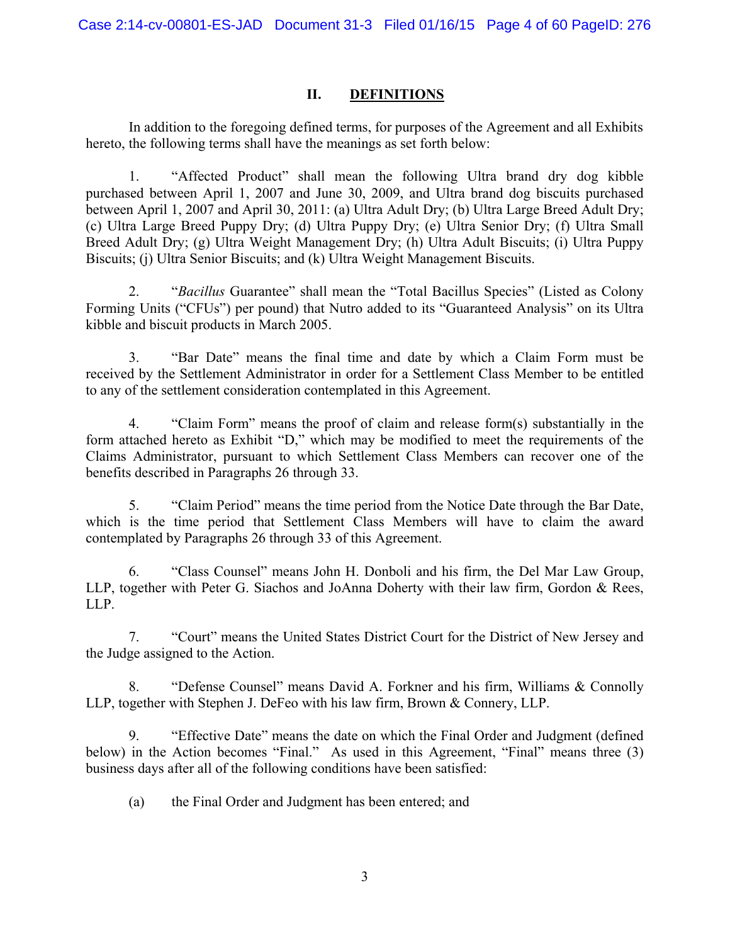### **II. DEFINITIONS**

In addition to the foregoing defined terms, for purposes of the Agreement and all Exhibits hereto, the following terms shall have the meanings as set forth below:

1. "Affected Product" shall mean the following Ultra brand dry dog kibble purchased between April 1, 2007 and June 30, 2009, and Ultra brand dog biscuits purchased between April 1, 2007 and April 30, 2011: (a) Ultra Adult Dry; (b) Ultra Large Breed Adult Dry; (c) Ultra Large Breed Puppy Dry; (d) Ultra Puppy Dry; (e) Ultra Senior Dry; (f) Ultra Small Breed Adult Dry; (g) Ultra Weight Management Dry; (h) Ultra Adult Biscuits; (i) Ultra Puppy Biscuits; (j) Ultra Senior Biscuits; and (k) Ultra Weight Management Biscuits.

2. "*Bacillus* Guarantee" shall mean the "Total Bacillus Species" (Listed as Colony Forming Units ("CFUs") per pound) that Nutro added to its "Guaranteed Analysis" on its Ultra kibble and biscuit products in March 2005.

3. "Bar Date" means the final time and date by which a Claim Form must be received by the Settlement Administrator in order for a Settlement Class Member to be entitled to any of the settlement consideration contemplated in this Agreement.

4. "Claim Form" means the proof of claim and release form(s) substantially in the form attached hereto as Exhibit "D," which may be modified to meet the requirements of the Claims Administrator, pursuant to which Settlement Class Members can recover one of the benefits described in Paragraphs 26 through 33.

5. "Claim Period" means the time period from the Notice Date through the Bar Date, which is the time period that Settlement Class Members will have to claim the award contemplated by Paragraphs 26 through 33 of this Agreement.

6. "Class Counsel" means John H. Donboli and his firm, the Del Mar Law Group, LLP, together with Peter G. Siachos and JoAnna Doherty with their law firm, Gordon & Rees, LLP.

7. "Court" means the United States District Court for the District of New Jersey and the Judge assigned to the Action.

8. "Defense Counsel" means David A. Forkner and his firm, Williams & Connolly LLP, together with Stephen J. DeFeo with his law firm, Brown & Connery, LLP.

9. "Effective Date" means the date on which the Final Order and Judgment (defined below) in the Action becomes "Final." As used in this Agreement, "Final" means three (3) business days after all of the following conditions have been satisfied:

(a) the Final Order and Judgment has been entered; and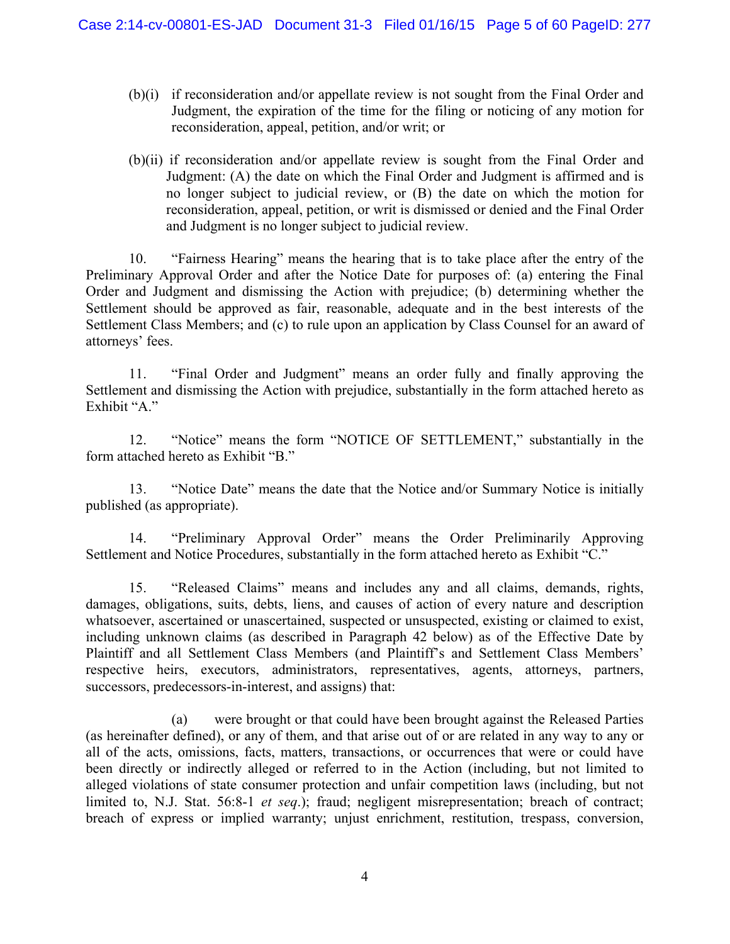- (b)(i) if reconsideration and/or appellate review is not sought from the Final Order and Judgment, the expiration of the time for the filing or noticing of any motion for reconsideration, appeal, petition, and/or writ; or
- (b)(ii) if reconsideration and/or appellate review is sought from the Final Order and Judgment: (A) the date on which the Final Order and Judgment is affirmed and is no longer subject to judicial review, or (B) the date on which the motion for reconsideration, appeal, petition, or writ is dismissed or denied and the Final Order and Judgment is no longer subject to judicial review.

10. "Fairness Hearing" means the hearing that is to take place after the entry of the Preliminary Approval Order and after the Notice Date for purposes of: (a) entering the Final Order and Judgment and dismissing the Action with prejudice; (b) determining whether the Settlement should be approved as fair, reasonable, adequate and in the best interests of the Settlement Class Members; and (c) to rule upon an application by Class Counsel for an award of attorneys' fees.

11. "Final Order and Judgment" means an order fully and finally approving the Settlement and dismissing the Action with prejudice, substantially in the form attached hereto as Exhibit "A."

12. "Notice" means the form "NOTICE OF SETTLEMENT," substantially in the form attached hereto as Exhibit "B."

13. "Notice Date" means the date that the Notice and/or Summary Notice is initially published (as appropriate).

14. "Preliminary Approval Order" means the Order Preliminarily Approving Settlement and Notice Procedures, substantially in the form attached hereto as Exhibit "C."

15. "Released Claims" means and includes any and all claims, demands, rights, damages, obligations, suits, debts, liens, and causes of action of every nature and description whatsoever, ascertained or unascertained, suspected or unsuspected, existing or claimed to exist, including unknown claims (as described in Paragraph 42 below) as of the Effective Date by Plaintiff and all Settlement Class Members (and Plaintiff's and Settlement Class Members' respective heirs, executors, administrators, representatives, agents, attorneys, partners, successors, predecessors-in-interest, and assigns) that:

 (a) were brought or that could have been brought against the Released Parties (as hereinafter defined), or any of them, and that arise out of or are related in any way to any or all of the acts, omissions, facts, matters, transactions, or occurrences that were or could have been directly or indirectly alleged or referred to in the Action (including, but not limited to alleged violations of state consumer protection and unfair competition laws (including, but not limited to, N.J. Stat. 56:8-1 *et seq*.); fraud; negligent misrepresentation; breach of contract; breach of express or implied warranty; unjust enrichment, restitution, trespass, conversion,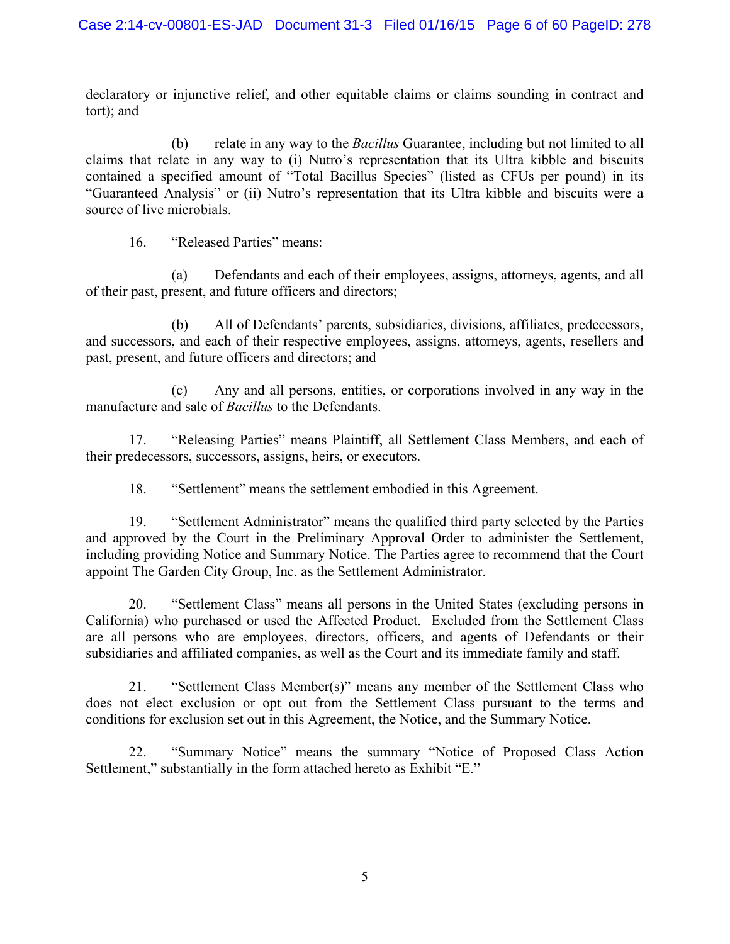declaratory or injunctive relief, and other equitable claims or claims sounding in contract and tort); and

 (b) relate in any way to the *Bacillus* Guarantee, including but not limited to all claims that relate in any way to (i) Nutro's representation that its Ultra kibble and biscuits contained a specified amount of "Total Bacillus Species" (listed as CFUs per pound) in its "Guaranteed Analysis" or (ii) Nutro's representation that its Ultra kibble and biscuits were a source of live microbials.

16. "Released Parties" means:

 (a) Defendants and each of their employees, assigns, attorneys, agents, and all of their past, present, and future officers and directors;

 (b) All of Defendants' parents, subsidiaries, divisions, affiliates, predecessors, and successors, and each of their respective employees, assigns, attorneys, agents, resellers and past, present, and future officers and directors; and

 (c) Any and all persons, entities, or corporations involved in any way in the manufacture and sale of *Bacillus* to the Defendants.

17. "Releasing Parties" means Plaintiff, all Settlement Class Members, and each of their predecessors, successors, assigns, heirs, or executors.

18. "Settlement" means the settlement embodied in this Agreement.

19. "Settlement Administrator" means the qualified third party selected by the Parties and approved by the Court in the Preliminary Approval Order to administer the Settlement, including providing Notice and Summary Notice. The Parties agree to recommend that the Court appoint The Garden City Group, Inc. as the Settlement Administrator.

20. "Settlement Class" means all persons in the United States (excluding persons in California) who purchased or used the Affected Product. Excluded from the Settlement Class are all persons who are employees, directors, officers, and agents of Defendants or their subsidiaries and affiliated companies, as well as the Court and its immediate family and staff.

21. "Settlement Class Member(s)" means any member of the Settlement Class who does not elect exclusion or opt out from the Settlement Class pursuant to the terms and conditions for exclusion set out in this Agreement, the Notice, and the Summary Notice.

22. "Summary Notice" means the summary "Notice of Proposed Class Action Settlement," substantially in the form attached hereto as Exhibit "E."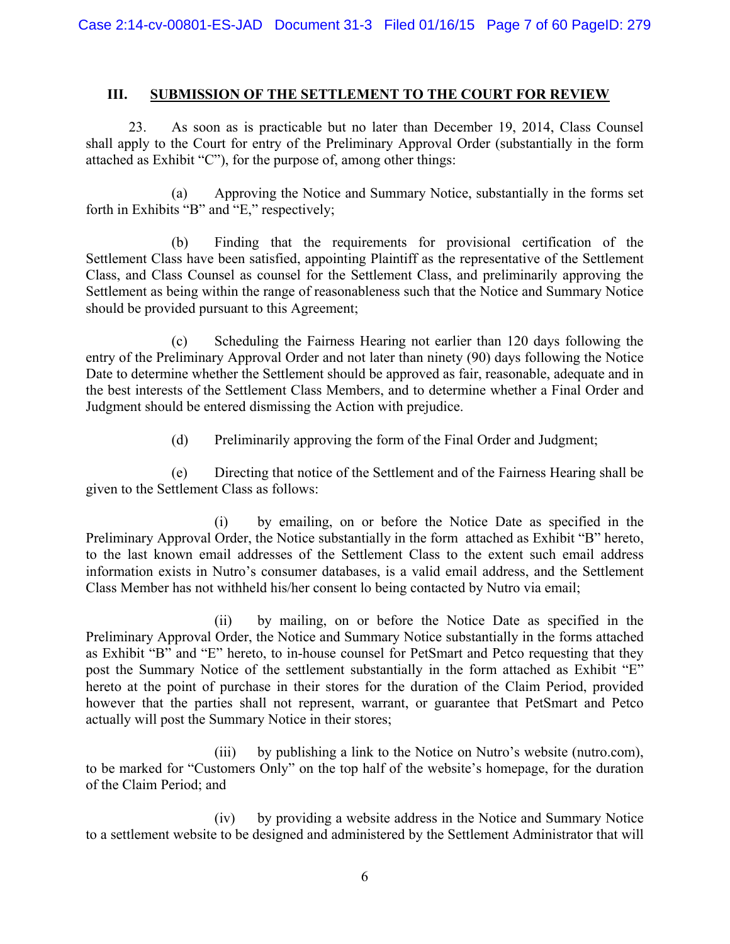# **III. SUBMISSION OF THE SETTLEMENT TO THE COURT FOR REVIEW**

23. As soon as is practicable but no later than December 19, 2014, Class Counsel shall apply to the Court for entry of the Preliminary Approval Order (substantially in the form attached as Exhibit "C"), for the purpose of, among other things:

(a) Approving the Notice and Summary Notice, substantially in the forms set forth in Exhibits "B" and "E," respectively;

(b) Finding that the requirements for provisional certification of the Settlement Class have been satisfied, appointing Plaintiff as the representative of the Settlement Class, and Class Counsel as counsel for the Settlement Class, and preliminarily approving the Settlement as being within the range of reasonableness such that the Notice and Summary Notice should be provided pursuant to this Agreement;

(c) Scheduling the Fairness Hearing not earlier than 120 days following the entry of the Preliminary Approval Order and not later than ninety (90) days following the Notice Date to determine whether the Settlement should be approved as fair, reasonable, adequate and in the best interests of the Settlement Class Members, and to determine whether a Final Order and Judgment should be entered dismissing the Action with prejudice.

(d) Preliminarily approving the form of the Final Order and Judgment;

(e) Directing that notice of the Settlement and of the Fairness Hearing shall be given to the Settlement Class as follows:

(i) by emailing, on or before the Notice Date as specified in the Preliminary Approval Order, the Notice substantially in the form attached as Exhibit "B" hereto, to the last known email addresses of the Settlement Class to the extent such email address information exists in Nutro's consumer databases, is a valid email address, and the Settlement Class Member has not withheld his/her consent lo being contacted by Nutro via email;

(ii) by mailing, on or before the Notice Date as specified in the Preliminary Approval Order, the Notice and Summary Notice substantially in the forms attached as Exhibit "B" and "E" hereto, to in-house counsel for PetSmart and Petco requesting that they post the Summary Notice of the settlement substantially in the form attached as Exhibit "E" hereto at the point of purchase in their stores for the duration of the Claim Period, provided however that the parties shall not represent, warrant, or guarantee that PetSmart and Petco actually will post the Summary Notice in their stores;

(iii) by publishing a link to the Notice on Nutro's website (nutro.com), to be marked for "Customers Only" on the top half of the website's homepage, for the duration of the Claim Period; and

(iv) by providing a website address in the Notice and Summary Notice to a settlement website to be designed and administered by the Settlement Administrator that will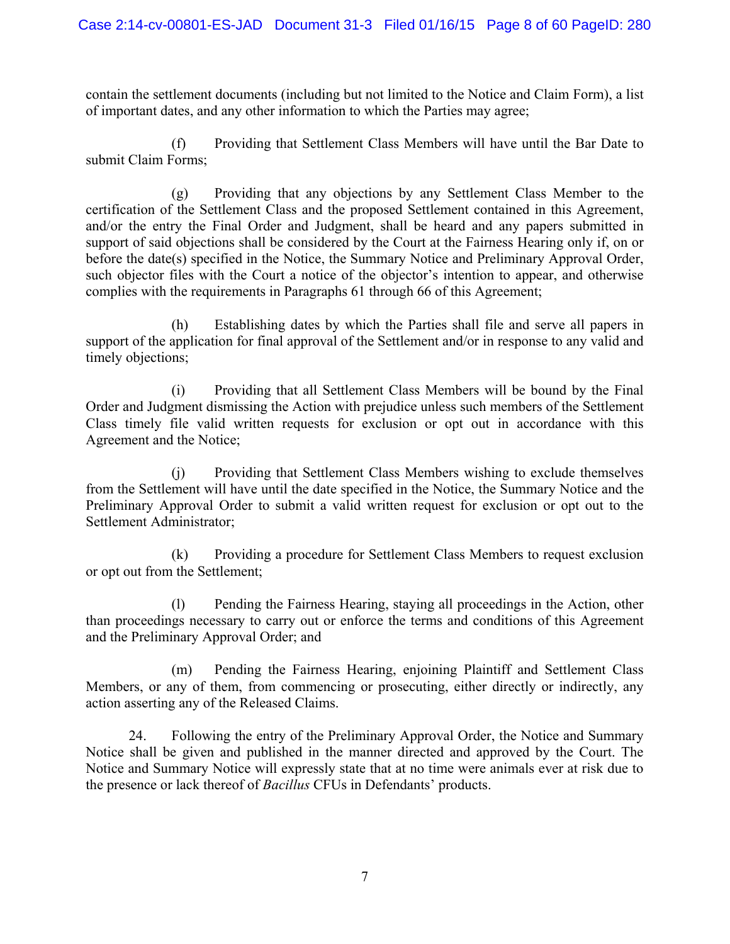contain the settlement documents (including but not limited to the Notice and Claim Form), a list of important dates, and any other information to which the Parties may agree;

(f) Providing that Settlement Class Members will have until the Bar Date to submit Claim Forms;

(g) Providing that any objections by any Settlement Class Member to the certification of the Settlement Class and the proposed Settlement contained in this Agreement, and/or the entry the Final Order and Judgment, shall be heard and any papers submitted in support of said objections shall be considered by the Court at the Fairness Hearing only if, on or before the date(s) specified in the Notice, the Summary Notice and Preliminary Approval Order, such objector files with the Court a notice of the objector's intention to appear, and otherwise complies with the requirements in Paragraphs 61 through 66 of this Agreement;

(h) Establishing dates by which the Parties shall file and serve all papers in support of the application for final approval of the Settlement and/or in response to any valid and timely objections;

(i) Providing that all Settlement Class Members will be bound by the Final Order and Judgment dismissing the Action with prejudice unless such members of the Settlement Class timely file valid written requests for exclusion or opt out in accordance with this Agreement and the Notice;

(j) Providing that Settlement Class Members wishing to exclude themselves from the Settlement will have until the date specified in the Notice, the Summary Notice and the Preliminary Approval Order to submit a valid written request for exclusion or opt out to the Settlement Administrator;

(k) Providing a procedure for Settlement Class Members to request exclusion or opt out from the Settlement;

(l) Pending the Fairness Hearing, staying all proceedings in the Action, other than proceedings necessary to carry out or enforce the terms and conditions of this Agreement and the Preliminary Approval Order; and

(m) Pending the Fairness Hearing, enjoining Plaintiff and Settlement Class Members, or any of them, from commencing or prosecuting, either directly or indirectly, any action asserting any of the Released Claims.

24. Following the entry of the Preliminary Approval Order, the Notice and Summary Notice shall be given and published in the manner directed and approved by the Court. The Notice and Summary Notice will expressly state that at no time were animals ever at risk due to the presence or lack thereof of *Bacillus* CFUs in Defendants' products.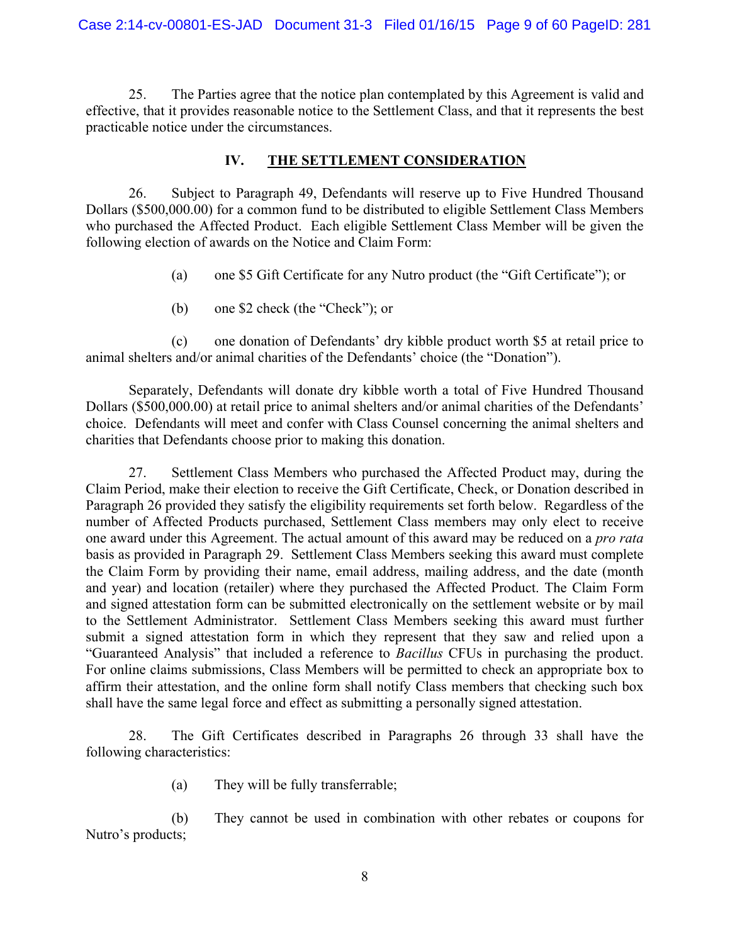25. The Parties agree that the notice plan contemplated by this Agreement is valid and effective, that it provides reasonable notice to the Settlement Class, and that it represents the best practicable notice under the circumstances.

# **IV. THE SETTLEMENT CONSIDERATION**

26. Subject to Paragraph 49, Defendants will reserve up to Five Hundred Thousand Dollars (\$500,000.00) for a common fund to be distributed to eligible Settlement Class Members who purchased the Affected Product. Each eligible Settlement Class Member will be given the following election of awards on the Notice and Claim Form:

- (a) one \$5 Gift Certificate for any Nutro product (the "Gift Certificate"); or
- (b) one \$2 check (the "Check"); or

(c) one donation of Defendants' dry kibble product worth \$5 at retail price to animal shelters and/or animal charities of the Defendants' choice (the "Donation").

Separately, Defendants will donate dry kibble worth a total of Five Hundred Thousand Dollars (\$500,000.00) at retail price to animal shelters and/or animal charities of the Defendants' choice. Defendants will meet and confer with Class Counsel concerning the animal shelters and charities that Defendants choose prior to making this donation.

27. Settlement Class Members who purchased the Affected Product may, during the Claim Period, make their election to receive the Gift Certificate, Check, or Donation described in Paragraph 26 provided they satisfy the eligibility requirements set forth below. Regardless of the number of Affected Products purchased, Settlement Class members may only elect to receive one award under this Agreement. The actual amount of this award may be reduced on a *pro rata*  basis as provided in Paragraph 29. Settlement Class Members seeking this award must complete the Claim Form by providing their name, email address, mailing address, and the date (month and year) and location (retailer) where they purchased the Affected Product. The Claim Form and signed attestation form can be submitted electronically on the settlement website or by mail to the Settlement Administrator. Settlement Class Members seeking this award must further submit a signed attestation form in which they represent that they saw and relied upon a "Guaranteed Analysis" that included a reference to *Bacillus* CFUs in purchasing the product. For online claims submissions, Class Members will be permitted to check an appropriate box to affirm their attestation, and the online form shall notify Class members that checking such box shall have the same legal force and effect as submitting a personally signed attestation.

28. The Gift Certificates described in Paragraphs 26 through 33 shall have the following characteristics:

(a) They will be fully transferrable;

(b) They cannot be used in combination with other rebates or coupons for Nutro's products;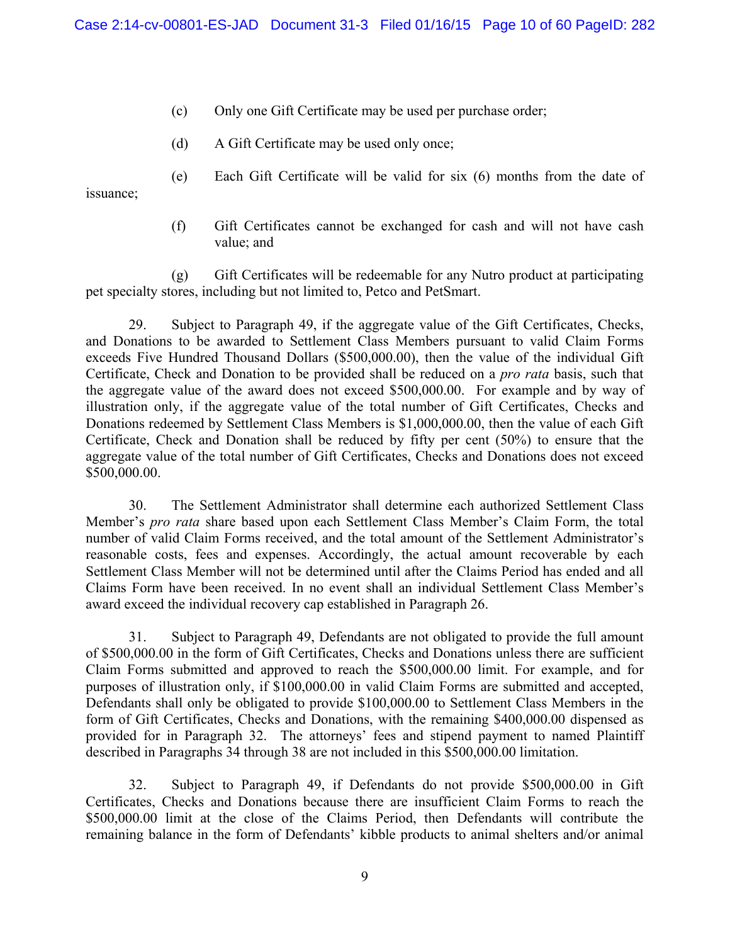- (c) Only one Gift Certificate may be used per purchase order;
- (d) A Gift Certificate may be used only once;
- (e) Each Gift Certificate will be valid for six (6) months from the date of

issuance;

(f) Gift Certificates cannot be exchanged for cash and will not have cash value; and

(g) Gift Certificates will be redeemable for any Nutro product at participating pet specialty stores, including but not limited to, Petco and PetSmart.

29. Subject to Paragraph 49, if the aggregate value of the Gift Certificates, Checks, and Donations to be awarded to Settlement Class Members pursuant to valid Claim Forms exceeds Five Hundred Thousand Dollars (\$500,000.00), then the value of the individual Gift Certificate, Check and Donation to be provided shall be reduced on a *pro rata* basis, such that the aggregate value of the award does not exceed \$500,000.00. For example and by way of illustration only, if the aggregate value of the total number of Gift Certificates, Checks and Donations redeemed by Settlement Class Members is \$1,000,000.00, then the value of each Gift Certificate, Check and Donation shall be reduced by fifty per cent (50%) to ensure that the aggregate value of the total number of Gift Certificates, Checks and Donations does not exceed \$500,000.00.

30. The Settlement Administrator shall determine each authorized Settlement Class Member's *pro rata* share based upon each Settlement Class Member's Claim Form, the total number of valid Claim Forms received, and the total amount of the Settlement Administrator's reasonable costs, fees and expenses. Accordingly, the actual amount recoverable by each Settlement Class Member will not be determined until after the Claims Period has ended and all Claims Form have been received. In no event shall an individual Settlement Class Member's award exceed the individual recovery cap established in Paragraph 26.

31. Subject to Paragraph 49, Defendants are not obligated to provide the full amount of \$500,000.00 in the form of Gift Certificates, Checks and Donations unless there are sufficient Claim Forms submitted and approved to reach the \$500,000.00 limit. For example, and for purposes of illustration only, if \$100,000.00 in valid Claim Forms are submitted and accepted, Defendants shall only be obligated to provide \$100,000.00 to Settlement Class Members in the form of Gift Certificates, Checks and Donations, with the remaining \$400,000.00 dispensed as provided for in Paragraph 32. The attorneys' fees and stipend payment to named Plaintiff described in Paragraphs 34 through 38 are not included in this \$500,000.00 limitation.

32. Subject to Paragraph 49, if Defendants do not provide \$500,000.00 in Gift Certificates, Checks and Donations because there are insufficient Claim Forms to reach the \$500,000.00 limit at the close of the Claims Period, then Defendants will contribute the remaining balance in the form of Defendants' kibble products to animal shelters and/or animal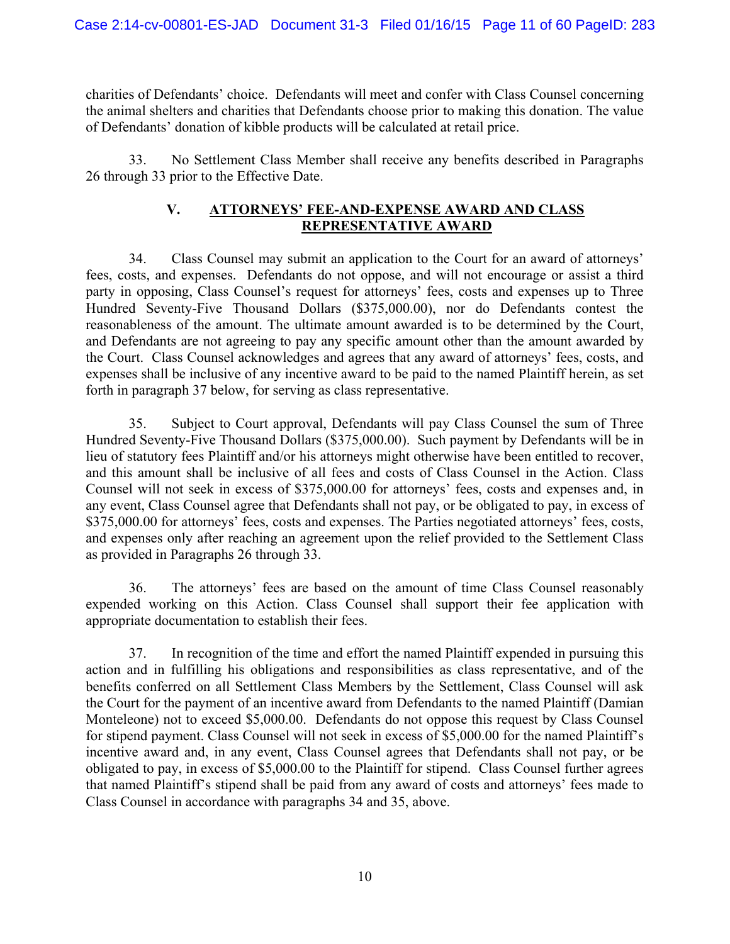charities of Defendants' choice. Defendants will meet and confer with Class Counsel concerning the animal shelters and charities that Defendants choose prior to making this donation. The value of Defendants' donation of kibble products will be calculated at retail price.

33. No Settlement Class Member shall receive any benefits described in Paragraphs 26 through 33 prior to the Effective Date.

# **V. ATTORNEYS' FEE-AND-EXPENSE AWARD AND CLASS REPRESENTATIVE AWARD**

34. Class Counsel may submit an application to the Court for an award of attorneys' fees, costs, and expenses. Defendants do not oppose, and will not encourage or assist a third party in opposing, Class Counsel's request for attorneys' fees, costs and expenses up to Three Hundred Seventy-Five Thousand Dollars (\$375,000.00), nor do Defendants contest the reasonableness of the amount. The ultimate amount awarded is to be determined by the Court, and Defendants are not agreeing to pay any specific amount other than the amount awarded by the Court. Class Counsel acknowledges and agrees that any award of attorneys' fees, costs, and expenses shall be inclusive of any incentive award to be paid to the named Plaintiff herein, as set forth in paragraph 37 below, for serving as class representative.

35. Subject to Court approval, Defendants will pay Class Counsel the sum of Three Hundred Seventy-Five Thousand Dollars (\$375,000.00). Such payment by Defendants will be in lieu of statutory fees Plaintiff and/or his attorneys might otherwise have been entitled to recover, and this amount shall be inclusive of all fees and costs of Class Counsel in the Action. Class Counsel will not seek in excess of \$375,000.00 for attorneys' fees, costs and expenses and, in any event, Class Counsel agree that Defendants shall not pay, or be obligated to pay, in excess of \$375,000.00 for attorneys' fees, costs and expenses. The Parties negotiated attorneys' fees, costs, and expenses only after reaching an agreement upon the relief provided to the Settlement Class as provided in Paragraphs 26 through 33.

36. The attorneys' fees are based on the amount of time Class Counsel reasonably expended working on this Action. Class Counsel shall support their fee application with appropriate documentation to establish their fees.

37. In recognition of the time and effort the named Plaintiff expended in pursuing this action and in fulfilling his obligations and responsibilities as class representative, and of the benefits conferred on all Settlement Class Members by the Settlement, Class Counsel will ask the Court for the payment of an incentive award from Defendants to the named Plaintiff (Damian Monteleone) not to exceed \$5,000.00. Defendants do not oppose this request by Class Counsel for stipend payment. Class Counsel will not seek in excess of \$5,000.00 for the named Plaintiff's incentive award and, in any event, Class Counsel agrees that Defendants shall not pay, or be obligated to pay, in excess of \$5,000.00 to the Plaintiff for stipend. Class Counsel further agrees that named Plaintiff's stipend shall be paid from any award of costs and attorneys' fees made to Class Counsel in accordance with paragraphs 34 and 35, above.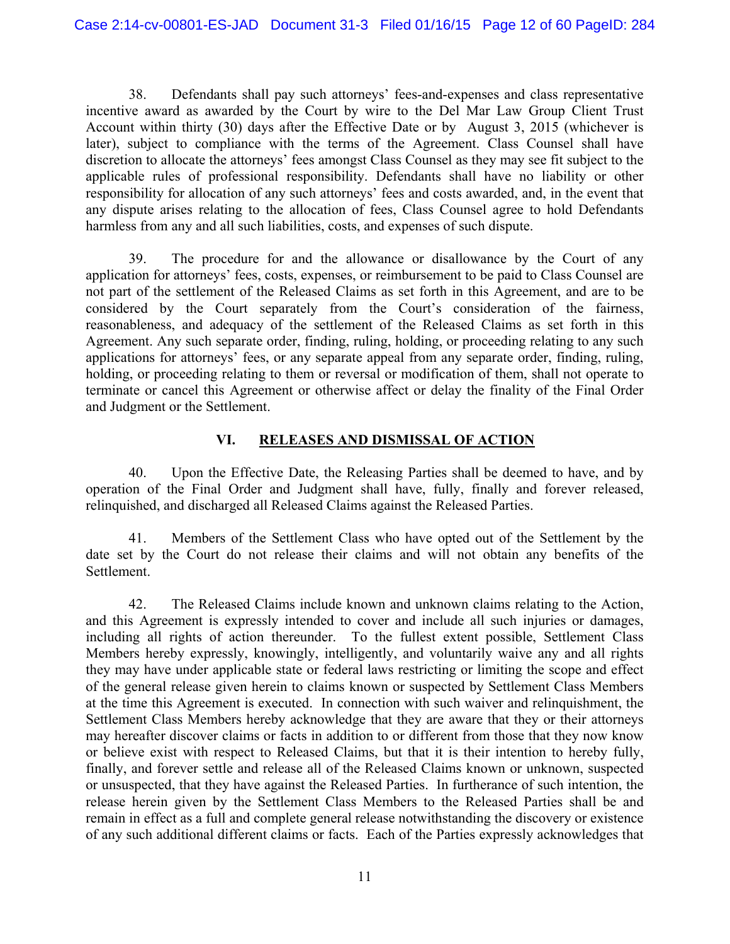38. Defendants shall pay such attorneys' fees-and-expenses and class representative incentive award as awarded by the Court by wire to the Del Mar Law Group Client Trust Account within thirty (30) days after the Effective Date or by August 3, 2015 (whichever is later), subject to compliance with the terms of the Agreement. Class Counsel shall have discretion to allocate the attorneys' fees amongst Class Counsel as they may see fit subject to the applicable rules of professional responsibility. Defendants shall have no liability or other responsibility for allocation of any such attorneys' fees and costs awarded, and, in the event that any dispute arises relating to the allocation of fees, Class Counsel agree to hold Defendants harmless from any and all such liabilities, costs, and expenses of such dispute.

39. The procedure for and the allowance or disallowance by the Court of any application for attorneys' fees, costs, expenses, or reimbursement to be paid to Class Counsel are not part of the settlement of the Released Claims as set forth in this Agreement, and are to be considered by the Court separately from the Court's consideration of the fairness, reasonableness, and adequacy of the settlement of the Released Claims as set forth in this Agreement. Any such separate order, finding, ruling, holding, or proceeding relating to any such applications for attorneys' fees, or any separate appeal from any separate order, finding, ruling, holding, or proceeding relating to them or reversal or modification of them, shall not operate to terminate or cancel this Agreement or otherwise affect or delay the finality of the Final Order and Judgment or the Settlement.

# **VI. RELEASES AND DISMISSAL OF ACTION**

40. Upon the Effective Date, the Releasing Parties shall be deemed to have, and by operation of the Final Order and Judgment shall have, fully, finally and forever released, relinquished, and discharged all Released Claims against the Released Parties.

41. Members of the Settlement Class who have opted out of the Settlement by the date set by the Court do not release their claims and will not obtain any benefits of the Settlement.

42. The Released Claims include known and unknown claims relating to the Action, and this Agreement is expressly intended to cover and include all such injuries or damages, including all rights of action thereunder. To the fullest extent possible, Settlement Class Members hereby expressly, knowingly, intelligently, and voluntarily waive any and all rights they may have under applicable state or federal laws restricting or limiting the scope and effect of the general release given herein to claims known or suspected by Settlement Class Members at the time this Agreement is executed. In connection with such waiver and relinquishment, the Settlement Class Members hereby acknowledge that they are aware that they or their attorneys may hereafter discover claims or facts in addition to or different from those that they now know or believe exist with respect to Released Claims, but that it is their intention to hereby fully, finally, and forever settle and release all of the Released Claims known or unknown, suspected or unsuspected, that they have against the Released Parties. In furtherance of such intention, the release herein given by the Settlement Class Members to the Released Parties shall be and remain in effect as a full and complete general release notwithstanding the discovery or existence of any such additional different claims or facts. Each of the Parties expressly acknowledges that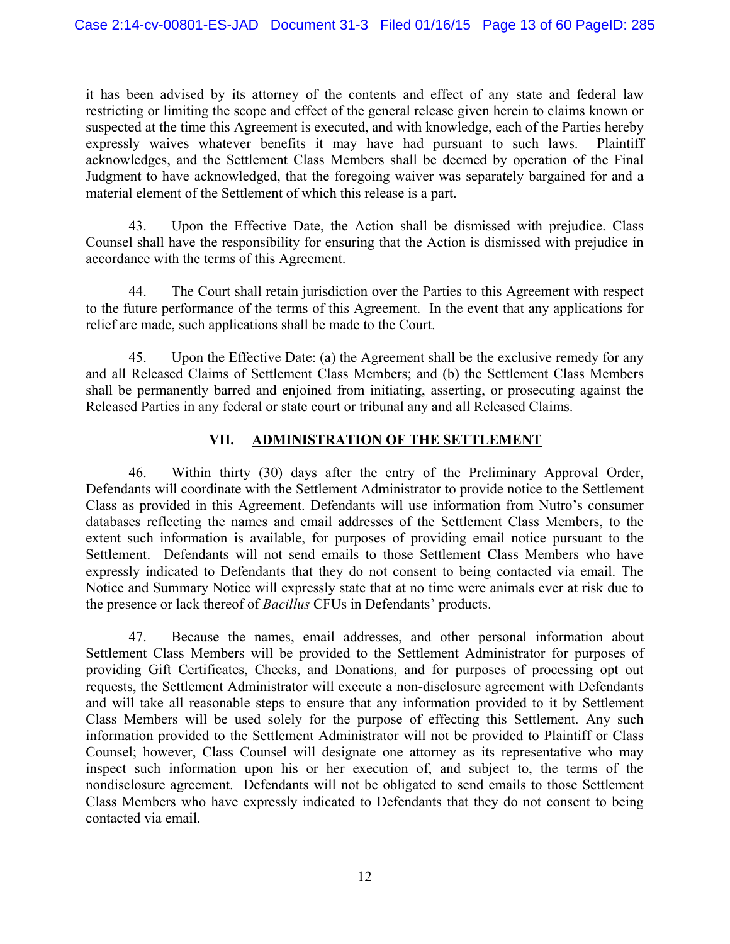it has been advised by its attorney of the contents and effect of any state and federal law restricting or limiting the scope and effect of the general release given herein to claims known or suspected at the time this Agreement is executed, and with knowledge, each of the Parties hereby expressly waives whatever benefits it may have had pursuant to such laws. Plaintiff acknowledges, and the Settlement Class Members shall be deemed by operation of the Final Judgment to have acknowledged, that the foregoing waiver was separately bargained for and a material element of the Settlement of which this release is a part.

43. Upon the Effective Date, the Action shall be dismissed with prejudice. Class Counsel shall have the responsibility for ensuring that the Action is dismissed with prejudice in accordance with the terms of this Agreement.

44. The Court shall retain jurisdiction over the Parties to this Agreement with respect to the future performance of the terms of this Agreement. In the event that any applications for relief are made, such applications shall be made to the Court.

45. Upon the Effective Date: (a) the Agreement shall be the exclusive remedy for any and all Released Claims of Settlement Class Members; and (b) the Settlement Class Members shall be permanently barred and enjoined from initiating, asserting, or prosecuting against the Released Parties in any federal or state court or tribunal any and all Released Claims.

# **VII. ADMINISTRATION OF THE SETTLEMENT**

46. Within thirty (30) days after the entry of the Preliminary Approval Order, Defendants will coordinate with the Settlement Administrator to provide notice to the Settlement Class as provided in this Agreement. Defendants will use information from Nutro's consumer databases reflecting the names and email addresses of the Settlement Class Members, to the extent such information is available, for purposes of providing email notice pursuant to the Settlement. Defendants will not send emails to those Settlement Class Members who have expressly indicated to Defendants that they do not consent to being contacted via email. The Notice and Summary Notice will expressly state that at no time were animals ever at risk due to the presence or lack thereof of *Bacillus* CFUs in Defendants' products.

47. Because the names, email addresses, and other personal information about Settlement Class Members will be provided to the Settlement Administrator for purposes of providing Gift Certificates, Checks, and Donations, and for purposes of processing opt out requests, the Settlement Administrator will execute a non-disclosure agreement with Defendants and will take all reasonable steps to ensure that any information provided to it by Settlement Class Members will be used solely for the purpose of effecting this Settlement. Any such information provided to the Settlement Administrator will not be provided to Plaintiff or Class Counsel; however, Class Counsel will designate one attorney as its representative who may inspect such information upon his or her execution of, and subject to, the terms of the nondisclosure agreement. Defendants will not be obligated to send emails to those Settlement Class Members who have expressly indicated to Defendants that they do not consent to being contacted via email.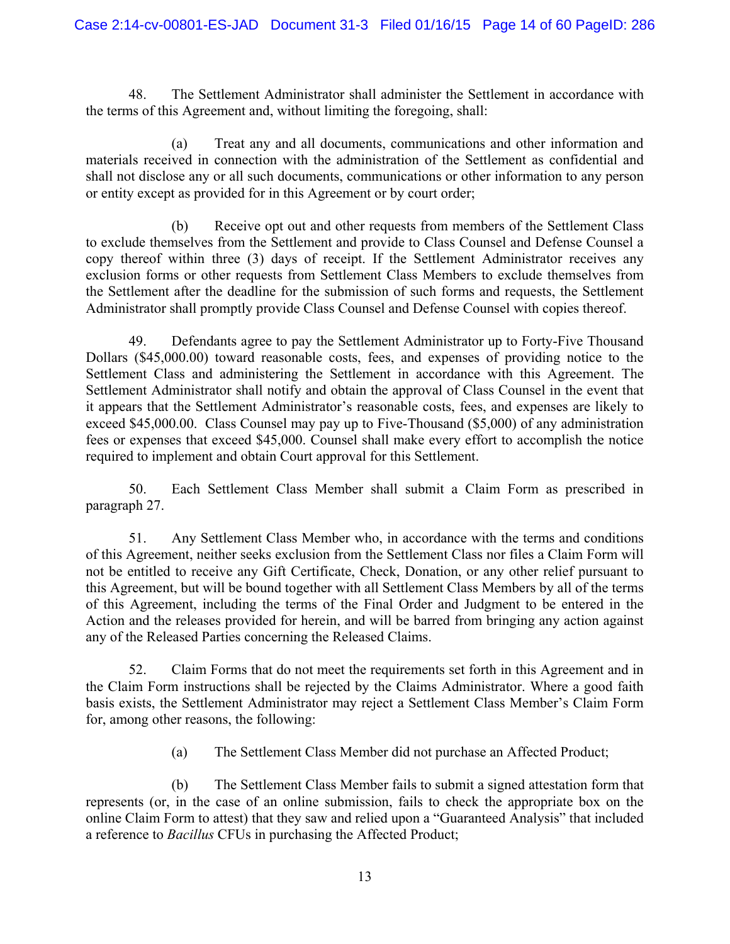48. The Settlement Administrator shall administer the Settlement in accordance with the terms of this Agreement and, without limiting the foregoing, shall:

 (a) Treat any and all documents, communications and other information and materials received in connection with the administration of the Settlement as confidential and shall not disclose any or all such documents, communications or other information to any person or entity except as provided for in this Agreement or by court order;

 (b) Receive opt out and other requests from members of the Settlement Class to exclude themselves from the Settlement and provide to Class Counsel and Defense Counsel a copy thereof within three (3) days of receipt. If the Settlement Administrator receives any exclusion forms or other requests from Settlement Class Members to exclude themselves from the Settlement after the deadline for the submission of such forms and requests, the Settlement Administrator shall promptly provide Class Counsel and Defense Counsel with copies thereof.

49. Defendants agree to pay the Settlement Administrator up to Forty-Five Thousand Dollars (\$45,000.00) toward reasonable costs, fees, and expenses of providing notice to the Settlement Class and administering the Settlement in accordance with this Agreement. The Settlement Administrator shall notify and obtain the approval of Class Counsel in the event that it appears that the Settlement Administrator's reasonable costs, fees, and expenses are likely to exceed \$45,000.00. Class Counsel may pay up to Five-Thousand (\$5,000) of any administration fees or expenses that exceed \$45,000. Counsel shall make every effort to accomplish the notice required to implement and obtain Court approval for this Settlement.

50. Each Settlement Class Member shall submit a Claim Form as prescribed in paragraph 27.

51. Any Settlement Class Member who, in accordance with the terms and conditions of this Agreement, neither seeks exclusion from the Settlement Class nor files a Claim Form will not be entitled to receive any Gift Certificate, Check, Donation, or any other relief pursuant to this Agreement, but will be bound together with all Settlement Class Members by all of the terms of this Agreement, including the terms of the Final Order and Judgment to be entered in the Action and the releases provided for herein, and will be barred from bringing any action against any of the Released Parties concerning the Released Claims.

52. Claim Forms that do not meet the requirements set forth in this Agreement and in the Claim Form instructions shall be rejected by the Claims Administrator. Where a good faith basis exists, the Settlement Administrator may reject a Settlement Class Member's Claim Form for, among other reasons, the following:

(a) The Settlement Class Member did not purchase an Affected Product;

(b) The Settlement Class Member fails to submit a signed attestation form that represents (or, in the case of an online submission, fails to check the appropriate box on the online Claim Form to attest) that they saw and relied upon a "Guaranteed Analysis" that included a reference to *Bacillus* CFUs in purchasing the Affected Product;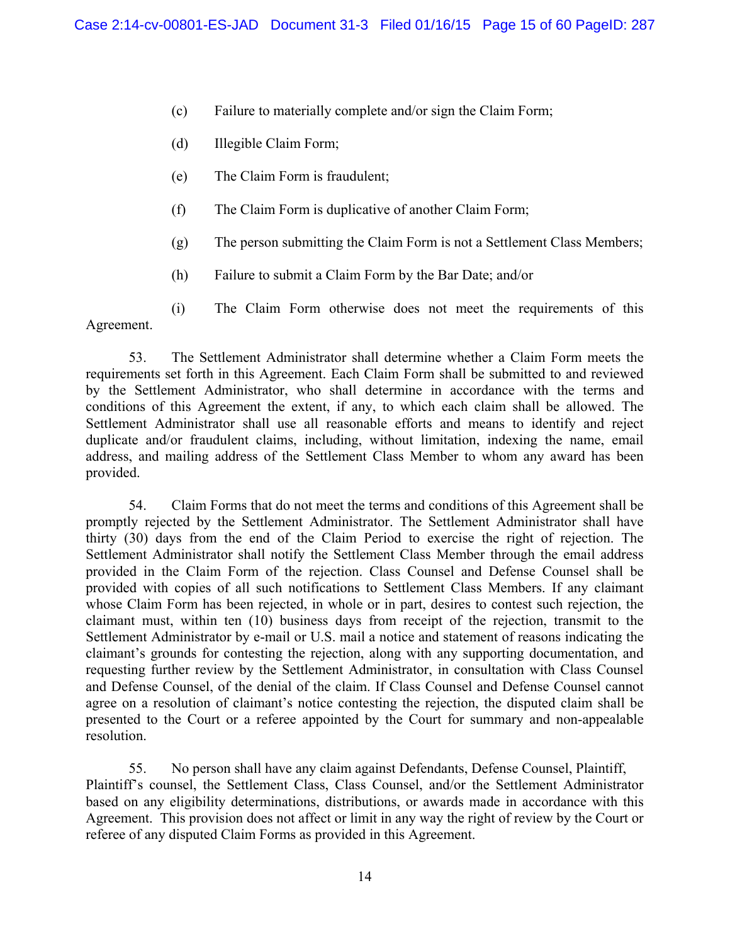- (c) Failure to materially complete and/or sign the Claim Form;
- (d) Illegible Claim Form;
- (e) The Claim Form is fraudulent;
- (f) The Claim Form is duplicative of another Claim Form;
- (g) The person submitting the Claim Form is not a Settlement Class Members;
- (h) Failure to submit a Claim Form by the Bar Date; and/or
- (i) The Claim Form otherwise does not meet the requirements of this Agreement.

53. The Settlement Administrator shall determine whether a Claim Form meets the requirements set forth in this Agreement. Each Claim Form shall be submitted to and reviewed by the Settlement Administrator, who shall determine in accordance with the terms and conditions of this Agreement the extent, if any, to which each claim shall be allowed. The Settlement Administrator shall use all reasonable efforts and means to identify and reject duplicate and/or fraudulent claims, including, without limitation, indexing the name, email address, and mailing address of the Settlement Class Member to whom any award has been provided.

54. Claim Forms that do not meet the terms and conditions of this Agreement shall be promptly rejected by the Settlement Administrator. The Settlement Administrator shall have thirty (30) days from the end of the Claim Period to exercise the right of rejection. The Settlement Administrator shall notify the Settlement Class Member through the email address provided in the Claim Form of the rejection. Class Counsel and Defense Counsel shall be provided with copies of all such notifications to Settlement Class Members. If any claimant whose Claim Form has been rejected, in whole or in part, desires to contest such rejection, the claimant must, within ten (10) business days from receipt of the rejection, transmit to the Settlement Administrator by e-mail or U.S. mail a notice and statement of reasons indicating the claimant's grounds for contesting the rejection, along with any supporting documentation, and requesting further review by the Settlement Administrator, in consultation with Class Counsel and Defense Counsel, of the denial of the claim. If Class Counsel and Defense Counsel cannot agree on a resolution of claimant's notice contesting the rejection, the disputed claim shall be presented to the Court or a referee appointed by the Court for summary and non-appealable resolution.

55. No person shall have any claim against Defendants, Defense Counsel, Plaintiff, Plaintiff's counsel, the Settlement Class, Class Counsel, and/or the Settlement Administrator based on any eligibility determinations, distributions, or awards made in accordance with this Agreement. This provision does not affect or limit in any way the right of review by the Court or referee of any disputed Claim Forms as provided in this Agreement.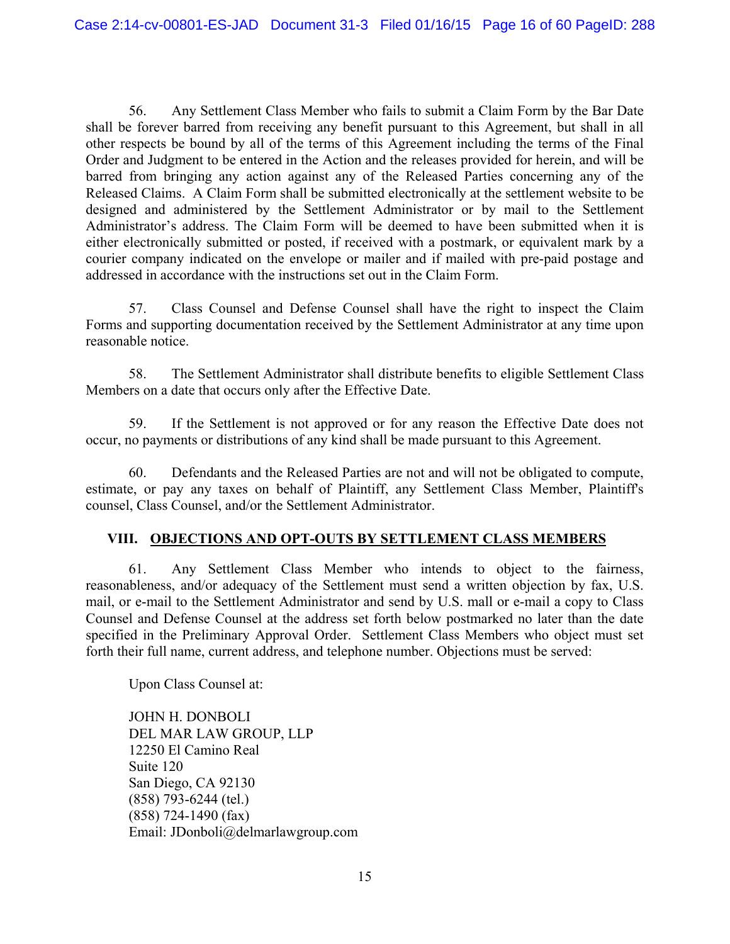56. Any Settlement Class Member who fails to submit a Claim Form by the Bar Date shall be forever barred from receiving any benefit pursuant to this Agreement, but shall in all other respects be bound by all of the terms of this Agreement including the terms of the Final Order and Judgment to be entered in the Action and the releases provided for herein, and will be barred from bringing any action against any of the Released Parties concerning any of the Released Claims. A Claim Form shall be submitted electronically at the settlement website to be designed and administered by the Settlement Administrator or by mail to the Settlement Administrator's address. The Claim Form will be deemed to have been submitted when it is either electronically submitted or posted, if received with a postmark, or equivalent mark by a courier company indicated on the envelope or mailer and if mailed with pre-paid postage and addressed in accordance with the instructions set out in the Claim Form.

57. Class Counsel and Defense Counsel shall have the right to inspect the Claim Forms and supporting documentation received by the Settlement Administrator at any time upon reasonable notice.

58. The Settlement Administrator shall distribute benefits to eligible Settlement Class Members on a date that occurs only after the Effective Date.

59. If the Settlement is not approved or for any reason the Effective Date does not occur, no payments or distributions of any kind shall be made pursuant to this Agreement.

60. Defendants and the Released Parties are not and will not be obligated to compute, estimate, or pay any taxes on behalf of Plaintiff, any Settlement Class Member, Plaintiff's counsel, Class Counsel, and/or the Settlement Administrator.

#### **VIII. OBJECTIONS AND OPT-OUTS BY SETTLEMENT CLASS MEMBERS**

61. Any Settlement Class Member who intends to object to the fairness, reasonableness, and/or adequacy of the Settlement must send a written objection by fax, U.S. mail, or e-mail to the Settlement Administrator and send by U.S. mall or e-mail a copy to Class Counsel and Defense Counsel at the address set forth below postmarked no later than the date specified in the Preliminary Approval Order. Settlement Class Members who object must set forth their full name, current address, and telephone number. Objections must be served:

Upon Class Counsel at:

JOHN H. DONBOLI DEL MAR LAW GROUP, LLP 12250 El Camino Real Suite 120 San Diego, CA 92130 (858) 793-6244 (tel.) (858) 724-1490 (fax) Email: JDonboli@delmarlawgroup.com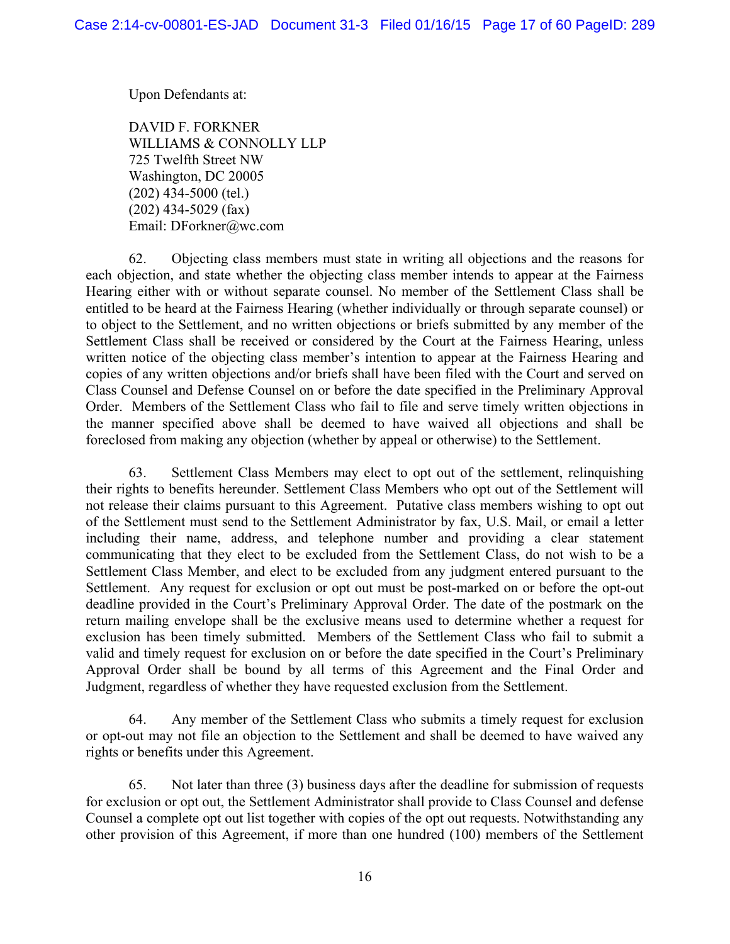Upon Defendants at:

DAVID F. FORKNER WILLIAMS & CONNOLLY LLP 725 Twelfth Street NW Washington, DC 20005 (202) 434-5000 (tel.) (202) 434-5029 (fax) Email: DForkner@wc.com

62. Objecting class members must state in writing all objections and the reasons for each objection, and state whether the objecting class member intends to appear at the Fairness Hearing either with or without separate counsel. No member of the Settlement Class shall be entitled to be heard at the Fairness Hearing (whether individually or through separate counsel) or to object to the Settlement, and no written objections or briefs submitted by any member of the Settlement Class shall be received or considered by the Court at the Fairness Hearing, unless written notice of the objecting class member's intention to appear at the Fairness Hearing and copies of any written objections and/or briefs shall have been filed with the Court and served on Class Counsel and Defense Counsel on or before the date specified in the Preliminary Approval Order. Members of the Settlement Class who fail to file and serve timely written objections in the manner specified above shall be deemed to have waived all objections and shall be foreclosed from making any objection (whether by appeal or otherwise) to the Settlement.

63. Settlement Class Members may elect to opt out of the settlement, relinquishing their rights to benefits hereunder. Settlement Class Members who opt out of the Settlement will not release their claims pursuant to this Agreement. Putative class members wishing to opt out of the Settlement must send to the Settlement Administrator by fax, U.S. Mail, or email a letter including their name, address, and telephone number and providing a clear statement communicating that they elect to be excluded from the Settlement Class, do not wish to be a Settlement Class Member, and elect to be excluded from any judgment entered pursuant to the Settlement. Any request for exclusion or opt out must be post-marked on or before the opt-out deadline provided in the Court's Preliminary Approval Order. The date of the postmark on the return mailing envelope shall be the exclusive means used to determine whether a request for exclusion has been timely submitted. Members of the Settlement Class who fail to submit a valid and timely request for exclusion on or before the date specified in the Court's Preliminary Approval Order shall be bound by all terms of this Agreement and the Final Order and Judgment, regardless of whether they have requested exclusion from the Settlement.

64. Any member of the Settlement Class who submits a timely request for exclusion or opt-out may not file an objection to the Settlement and shall be deemed to have waived any rights or benefits under this Agreement.

65. Not later than three (3) business days after the deadline for submission of requests for exclusion or opt out, the Settlement Administrator shall provide to Class Counsel and defense Counsel a complete opt out list together with copies of the opt out requests. Notwithstanding any other provision of this Agreement, if more than one hundred (100) members of the Settlement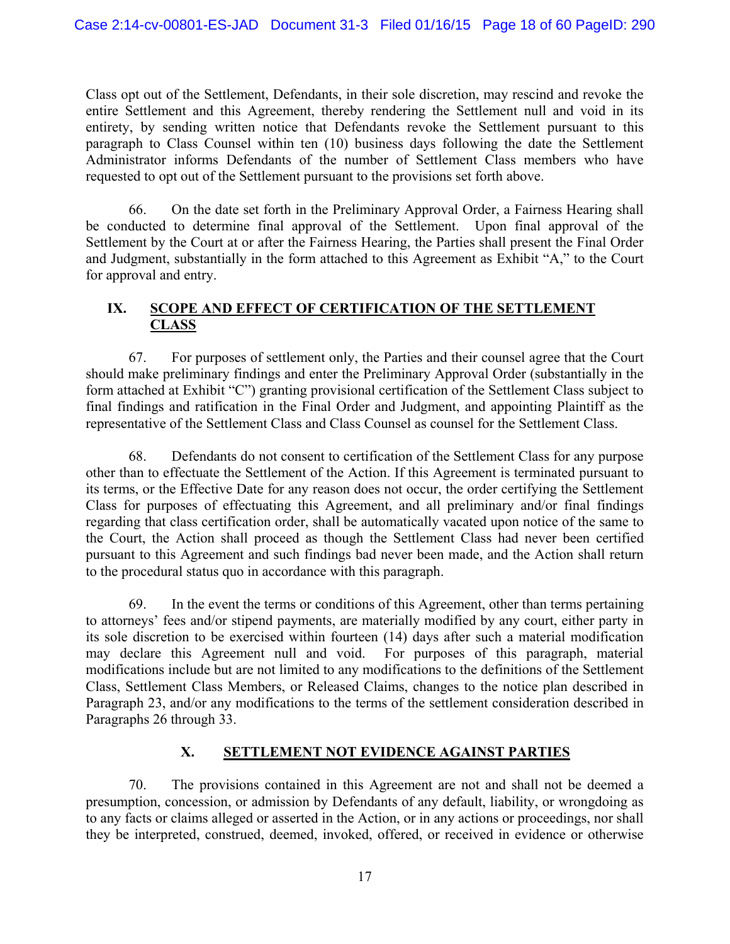Class opt out of the Settlement, Defendants, in their sole discretion, may rescind and revoke the entire Settlement and this Agreement, thereby rendering the Settlement null and void in its entirety, by sending written notice that Defendants revoke the Settlement pursuant to this paragraph to Class Counsel within ten (10) business days following the date the Settlement Administrator informs Defendants of the number of Settlement Class members who have requested to opt out of the Settlement pursuant to the provisions set forth above.

66. On the date set forth in the Preliminary Approval Order, a Fairness Hearing shall be conducted to determine final approval of the Settlement. Upon final approval of the Settlement by the Court at or after the Fairness Hearing, the Parties shall present the Final Order and Judgment, substantially in the form attached to this Agreement as Exhibit "A," to the Court for approval and entry.

#### **IX. SCOPE AND EFFECT OF CERTIFICATION OF THE SETTLEMENT CLASS**

67. For purposes of settlement only, the Parties and their counsel agree that the Court should make preliminary findings and enter the Preliminary Approval Order (substantially in the form attached at Exhibit "C") granting provisional certification of the Settlement Class subject to final findings and ratification in the Final Order and Judgment, and appointing Plaintiff as the representative of the Settlement Class and Class Counsel as counsel for the Settlement Class.

68. Defendants do not consent to certification of the Settlement Class for any purpose other than to effectuate the Settlement of the Action. If this Agreement is terminated pursuant to its terms, or the Effective Date for any reason does not occur, the order certifying the Settlement Class for purposes of effectuating this Agreement, and all preliminary and/or final findings regarding that class certification order, shall be automatically vacated upon notice of the same to the Court, the Action shall proceed as though the Settlement Class had never been certified pursuant to this Agreement and such findings bad never been made, and the Action shall return to the procedural status quo in accordance with this paragraph.

69. In the event the terms or conditions of this Agreement, other than terms pertaining to attorneys' fees and/or stipend payments, are materially modified by any court, either party in its sole discretion to be exercised within fourteen (14) days after such a material modification may declare this Agreement null and void. For purposes of this paragraph, material modifications include but are not limited to any modifications to the definitions of the Settlement Class, Settlement Class Members, or Released Claims, changes to the notice plan described in Paragraph 23, and/or any modifications to the terms of the settlement consideration described in Paragraphs 26 through 33.

### **X. SETTLEMENT NOT EVIDENCE AGAINST PARTIES**

70. The provisions contained in this Agreement are not and shall not be deemed a presumption, concession, or admission by Defendants of any default, liability, or wrongdoing as to any facts or claims alleged or asserted in the Action, or in any actions or proceedings, nor shall they be interpreted, construed, deemed, invoked, offered, or received in evidence or otherwise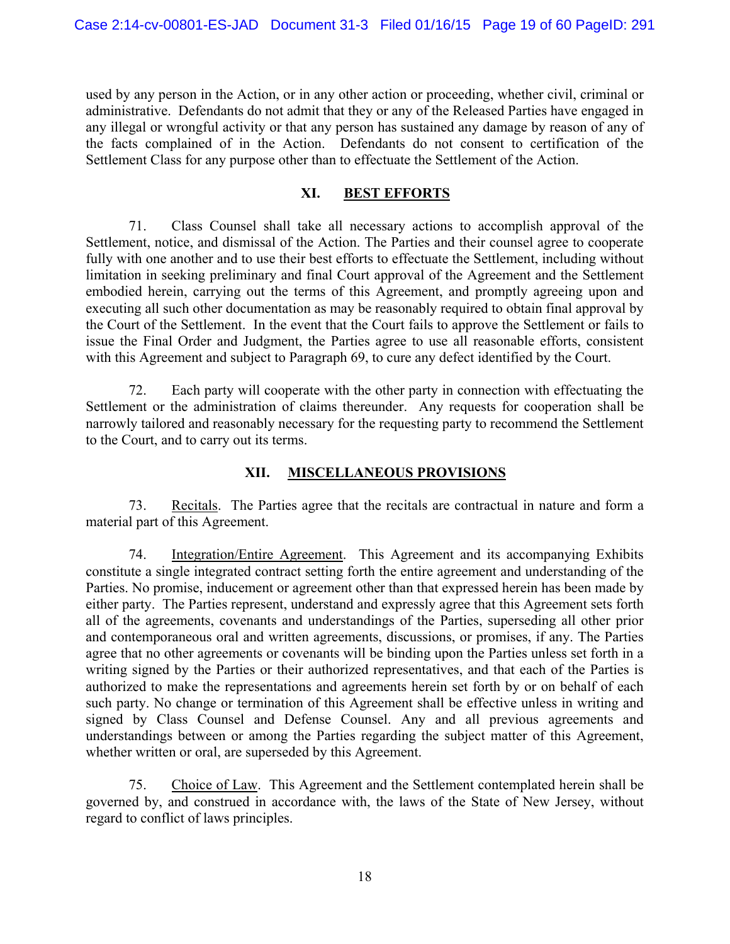used by any person in the Action, or in any other action or proceeding, whether civil, criminal or administrative. Defendants do not admit that they or any of the Released Parties have engaged in any illegal or wrongful activity or that any person has sustained any damage by reason of any of the facts complained of in the Action. Defendants do not consent to certification of the Settlement Class for any purpose other than to effectuate the Settlement of the Action.

#### **XI. BEST EFFORTS**

71. Class Counsel shall take all necessary actions to accomplish approval of the Settlement, notice, and dismissal of the Action. The Parties and their counsel agree to cooperate fully with one another and to use their best efforts to effectuate the Settlement, including without limitation in seeking preliminary and final Court approval of the Agreement and the Settlement embodied herein, carrying out the terms of this Agreement, and promptly agreeing upon and executing all such other documentation as may be reasonably required to obtain final approval by the Court of the Settlement. In the event that the Court fails to approve the Settlement or fails to issue the Final Order and Judgment, the Parties agree to use all reasonable efforts, consistent with this Agreement and subject to Paragraph 69, to cure any defect identified by the Court.

72. Each party will cooperate with the other party in connection with effectuating the Settlement or the administration of claims thereunder. Any requests for cooperation shall be narrowly tailored and reasonably necessary for the requesting party to recommend the Settlement to the Court, and to carry out its terms.

#### **XII. MISCELLANEOUS PROVISIONS**

73. Recitals. The Parties agree that the recitals are contractual in nature and form a material part of this Agreement.

74. Integration/Entire Agreement. This Agreement and its accompanying Exhibits constitute a single integrated contract setting forth the entire agreement and understanding of the Parties. No promise, inducement or agreement other than that expressed herein has been made by either party. The Parties represent, understand and expressly agree that this Agreement sets forth all of the agreements, covenants and understandings of the Parties, superseding all other prior and contemporaneous oral and written agreements, discussions, or promises, if any. The Parties agree that no other agreements or covenants will be binding upon the Parties unless set forth in a writing signed by the Parties or their authorized representatives, and that each of the Parties is authorized to make the representations and agreements herein set forth by or on behalf of each such party. No change or termination of this Agreement shall be effective unless in writing and signed by Class Counsel and Defense Counsel. Any and all previous agreements and understandings between or among the Parties regarding the subject matter of this Agreement, whether written or oral, are superseded by this Agreement.

75. Choice of Law. This Agreement and the Settlement contemplated herein shall be governed by, and construed in accordance with, the laws of the State of New Jersey, without regard to conflict of laws principles.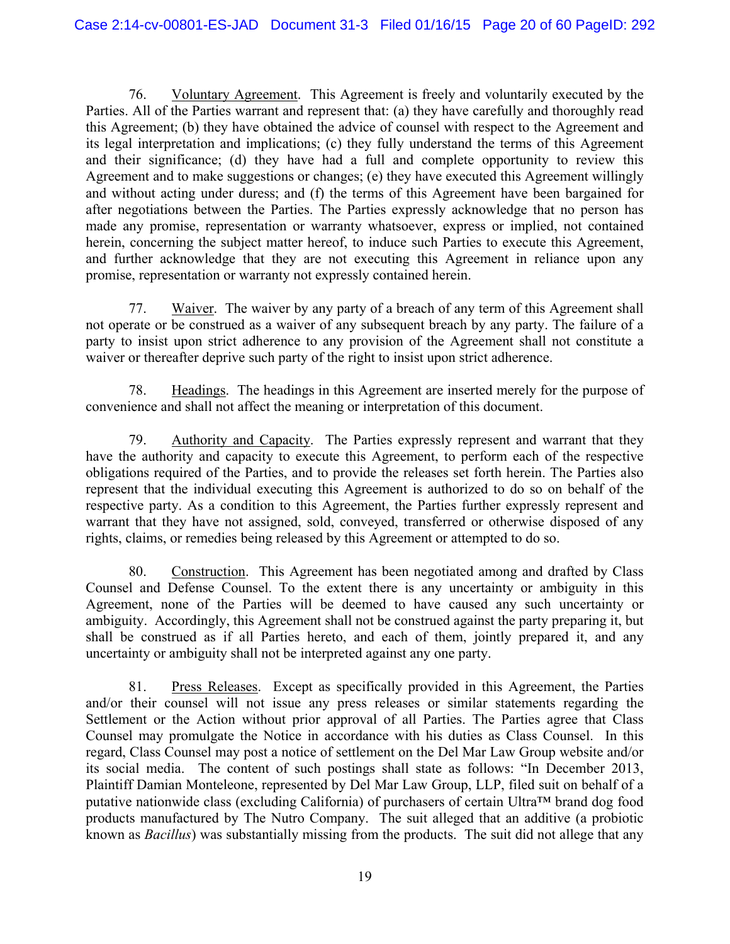76. Voluntary Agreement. This Agreement is freely and voluntarily executed by the Parties. All of the Parties warrant and represent that: (a) they have carefully and thoroughly read this Agreement; (b) they have obtained the advice of counsel with respect to the Agreement and its legal interpretation and implications; (c) they fully understand the terms of this Agreement and their significance; (d) they have had a full and complete opportunity to review this Agreement and to make suggestions or changes; (e) they have executed this Agreement willingly and without acting under duress; and (f) the terms of this Agreement have been bargained for after negotiations between the Parties. The Parties expressly acknowledge that no person has made any promise, representation or warranty whatsoever, express or implied, not contained herein, concerning the subject matter hereof, to induce such Parties to execute this Agreement, and further acknowledge that they are not executing this Agreement in reliance upon any promise, representation or warranty not expressly contained herein.

77. Waiver. The waiver by any party of a breach of any term of this Agreement shall not operate or be construed as a waiver of any subsequent breach by any party. The failure of a party to insist upon strict adherence to any provision of the Agreement shall not constitute a waiver or thereafter deprive such party of the right to insist upon strict adherence.

78. Headings. The headings in this Agreement are inserted merely for the purpose of convenience and shall not affect the meaning or interpretation of this document.

79. Authority and Capacity. The Parties expressly represent and warrant that they have the authority and capacity to execute this Agreement, to perform each of the respective obligations required of the Parties, and to provide the releases set forth herein. The Parties also represent that the individual executing this Agreement is authorized to do so on behalf of the respective party. As a condition to this Agreement, the Parties further expressly represent and warrant that they have not assigned, sold, conveyed, transferred or otherwise disposed of any rights, claims, or remedies being released by this Agreement or attempted to do so.

80. Construction. This Agreement has been negotiated among and drafted by Class Counsel and Defense Counsel. To the extent there is any uncertainty or ambiguity in this Agreement, none of the Parties will be deemed to have caused any such uncertainty or ambiguity. Accordingly, this Agreement shall not be construed against the party preparing it, but shall be construed as if all Parties hereto, and each of them, jointly prepared it, and any uncertainty or ambiguity shall not be interpreted against any one party.

81. Press Releases. Except as specifically provided in this Agreement, the Parties and/or their counsel will not issue any press releases or similar statements regarding the Settlement or the Action without prior approval of all Parties. The Parties agree that Class Counsel may promulgate the Notice in accordance with his duties as Class Counsel. In this regard, Class Counsel may post a notice of settlement on the Del Mar Law Group website and/or its social media. The content of such postings shall state as follows: "In December 2013, Plaintiff Damian Monteleone, represented by Del Mar Law Group, LLP, filed suit on behalf of a putative nationwide class (excluding California) of purchasers of certain Ultra™ brand dog food products manufactured by The Nutro Company. The suit alleged that an additive (a probiotic known as *Bacillus*) was substantially missing from the products. The suit did not allege that any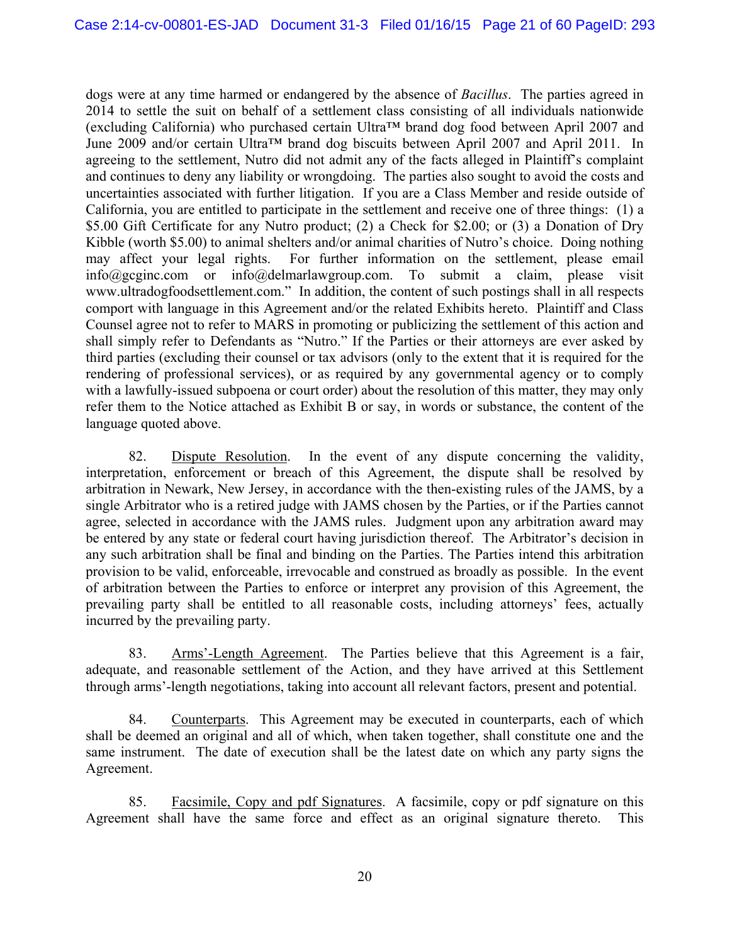dogs were at any time harmed or endangered by the absence of *Bacillus*. The parties agreed in 2014 to settle the suit on behalf of a settlement class consisting of all individuals nationwide (excluding California) who purchased certain Ultra™ brand dog food between April 2007 and June 2009 and/or certain Ultra™ brand dog biscuits between April 2007 and April 2011. In agreeing to the settlement, Nutro did not admit any of the facts alleged in Plaintiff's complaint and continues to deny any liability or wrongdoing. The parties also sought to avoid the costs and uncertainties associated with further litigation. If you are a Class Member and reside outside of California, you are entitled to participate in the settlement and receive one of three things: (1) a \$5.00 Gift Certificate for any Nutro product; (2) a Check for \$2.00; or (3) a Donation of Dry Kibble (worth \$5.00) to animal shelters and/or animal charities of Nutro's choice. Doing nothing may affect your legal rights. For further information on the settlement, please email info@gcginc.com or info@delmarlawgroup.com. To submit a claim, please visit www.ultradogfoodsettlement.com." In addition, the content of such postings shall in all respects comport with language in this Agreement and/or the related Exhibits hereto. Plaintiff and Class Counsel agree not to refer to MARS in promoting or publicizing the settlement of this action and shall simply refer to Defendants as "Nutro." If the Parties or their attorneys are ever asked by third parties (excluding their counsel or tax advisors (only to the extent that it is required for the rendering of professional services), or as required by any governmental agency or to comply with a lawfully-issued subpoena or court order) about the resolution of this matter, they may only refer them to the Notice attached as Exhibit B or say, in words or substance, the content of the language quoted above.

82. Dispute Resolution. In the event of any dispute concerning the validity, interpretation, enforcement or breach of this Agreement, the dispute shall be resolved by arbitration in Newark, New Jersey, in accordance with the then-existing rules of the JAMS, by a single Arbitrator who is a retired judge with JAMS chosen by the Parties, or if the Parties cannot agree, selected in accordance with the JAMS rules. Judgment upon any arbitration award may be entered by any state or federal court having jurisdiction thereof. The Arbitrator's decision in any such arbitration shall be final and binding on the Parties. The Parties intend this arbitration provision to be valid, enforceable, irrevocable and construed as broadly as possible. In the event of arbitration between the Parties to enforce or interpret any provision of this Agreement, the prevailing party shall be entitled to all reasonable costs, including attorneys' fees, actually incurred by the prevailing party.

83. Arms'-Length Agreement. The Parties believe that this Agreement is a fair, adequate, and reasonable settlement of the Action, and they have arrived at this Settlement through arms'-length negotiations, taking into account all relevant factors, present and potential.

84. Counterparts. This Agreement may be executed in counterparts, each of which shall be deemed an original and all of which, when taken together, shall constitute one and the same instrument. The date of execution shall be the latest date on which any party signs the Agreement.

85. Facsimile, Copy and pdf Signatures. A facsimile, copy or pdf signature on this Agreement shall have the same force and effect as an original signature thereto. This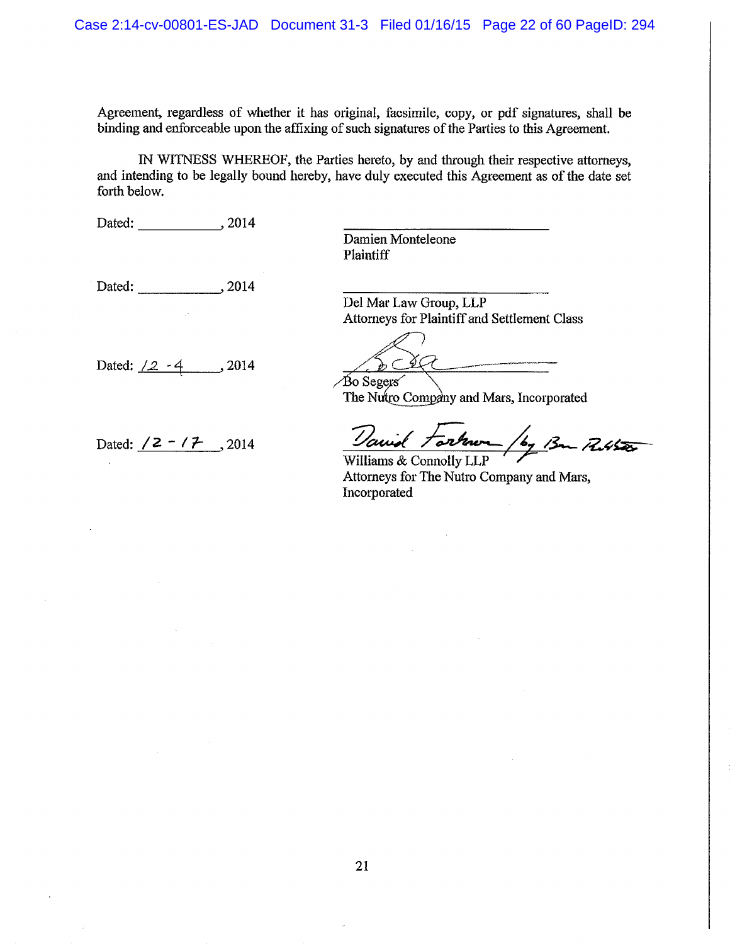Agreement, regardless of whether it has original, facsimile, copy, or pdf signatures, shall be binding and enforceable upon the affixing of such signatures of the Parties to this Agreement.

IN WITNESS WHEREOF, the Parties hereto, by and through their respective attorneys, and intending to be legally bound hereby, have duly executed this Agreement as of the date set forth below.

Dated: 2014

Damien Monteleone **Plaintiff** 

Dated: 2014

Dated:  $\angle 2 - 4$ , 2014

Dated:  $/2 - /7$ , 2014

Del Mar Law Group, LLP Attorneys for Plaintiff and Settlement Class

 $\angle$ Bo Segers

The Nutro Company and Mars, Incorporated

and tarker /by Bon Russer

Williams & Connolly LLP Attorneys for The Nutro Company and Mars, Incorporated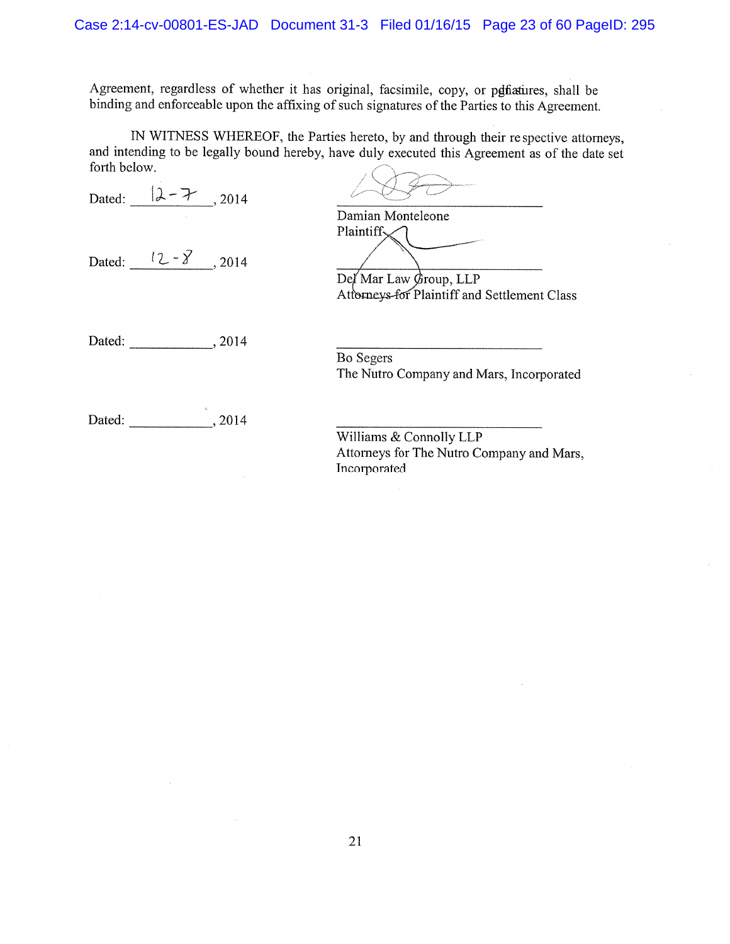Agreement, regardless of whether it has original, facsimile, copy, or penficatives, shall be binding and enforceable upon the affixing of such signatures of the Parties to this Agreement.

IN WITNESS WHEREOF, the Parties hereto, by and through their respective attorneys, and intending to be legally bound hereby, have duly executed this Agreement as of the date set forth below.  $1222$ 

| Dated: $ \lambda - \mathcal{F} $ , 2014 |                                                                                                   |
|-----------------------------------------|---------------------------------------------------------------------------------------------------|
|                                         | Damian Monteleone                                                                                 |
| Dated: $\frac{12-\cancel{8}}{2}$ , 2014 | Plaintiff $\mathcal{L}$<br>Del Mar Law Group, LLP<br>Attorneys-for Plaintiff and Settlement Class |
| Dated:<br>, 2014                        | Bo Segers<br>The Nutro Company and Mars, Incorporated                                             |
| 森<br>. 2014<br>Dated:                   | Williams & Connolly LLP                                                                           |
|                                         | Attorneys for The Nutro Company and Mars,<br>Incorporated                                         |

 $\mathcal{L}$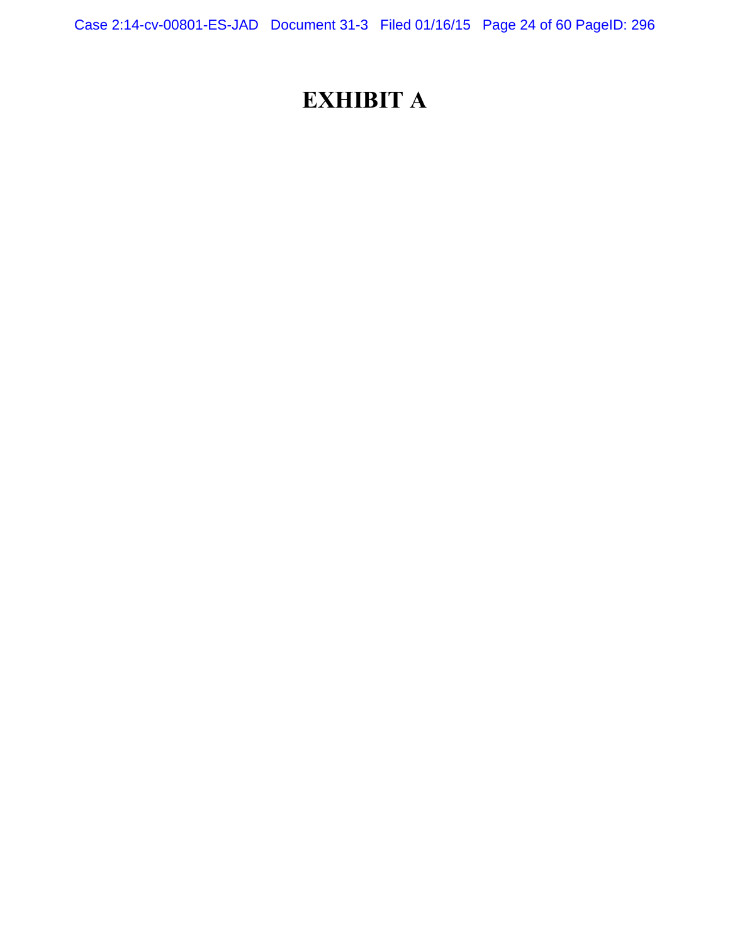Case 2:14-cv-00801-ES-JAD Document 31-3 Filed 01/16/15 Page 24 of 60 PageID: 296

# **EXHIBIT A**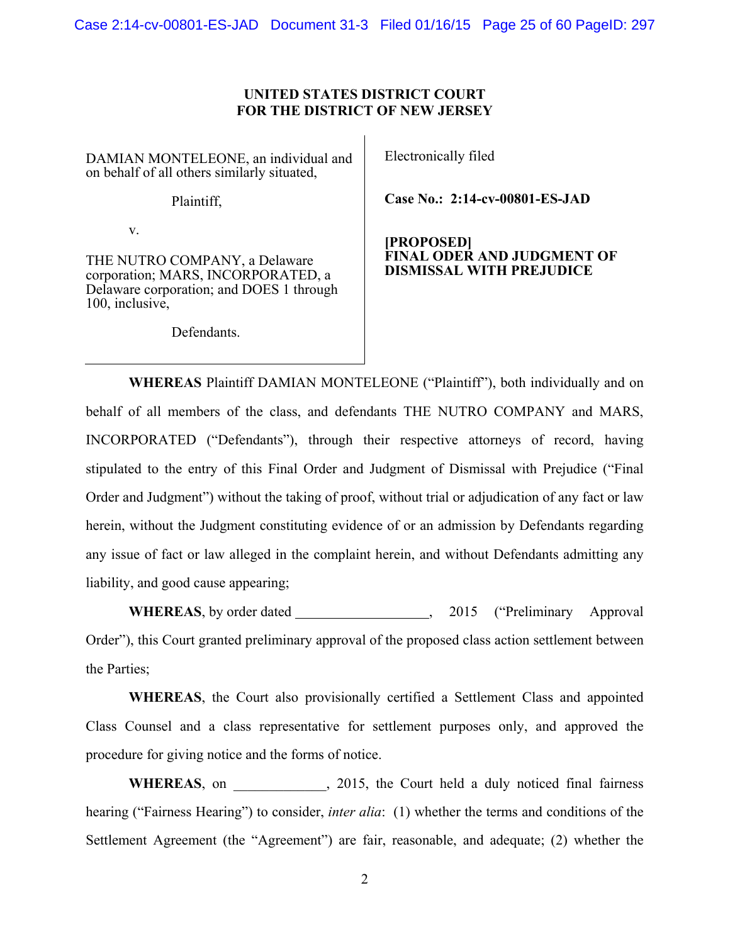Case 2:14-cv-00801-ES-JAD Document 31-3 Filed 01/16/15 Page 25 of 60 PageID: 297

#### **UNITED STATES DISTRICT COURT FOR THE DISTRICT OF NEW JERSEY**

DAMIAN MONTELEONE, an individual and on behalf of all others similarly situated,

Plaintiff,

v.

THE NUTRO COMPANY, a Delaware corporation; MARS, INCORPORATED, a Delaware corporation; and DOES 1 through 100, inclusive,

Defendants.

Electronically filed

**Case No.: 2:14-cv-00801-ES-JAD** 

#### **[PROPOSED] FINAL ODER AND JUDGMENT OF DISMISSAL WITH PREJUDICE**

**WHEREAS** Plaintiff DAMIAN MONTELEONE ("Plaintiff"), both individually and on behalf of all members of the class, and defendants THE NUTRO COMPANY and MARS, INCORPORATED ("Defendants"), through their respective attorneys of record, having stipulated to the entry of this Final Order and Judgment of Dismissal with Prejudice ("Final Order and Judgment") without the taking of proof, without trial or adjudication of any fact or law herein, without the Judgment constituting evidence of or an admission by Defendants regarding any issue of fact or law alleged in the complaint herein, and without Defendants admitting any liability, and good cause appearing;

**WHEREAS**, by order dated , 2015 ("Preliminary Approval") Order"), this Court granted preliminary approval of the proposed class action settlement between the Parties;

**WHEREAS**, the Court also provisionally certified a Settlement Class and appointed Class Counsel and a class representative for settlement purposes only, and approved the procedure for giving notice and the forms of notice.

WHEREAS, on  $\qquad \qquad$ , 2015, the Court held a duly noticed final fairness hearing ("Fairness Hearing") to consider, *inter alia*: (1) whether the terms and conditions of the Settlement Agreement (the "Agreement") are fair, reasonable, and adequate; (2) whether the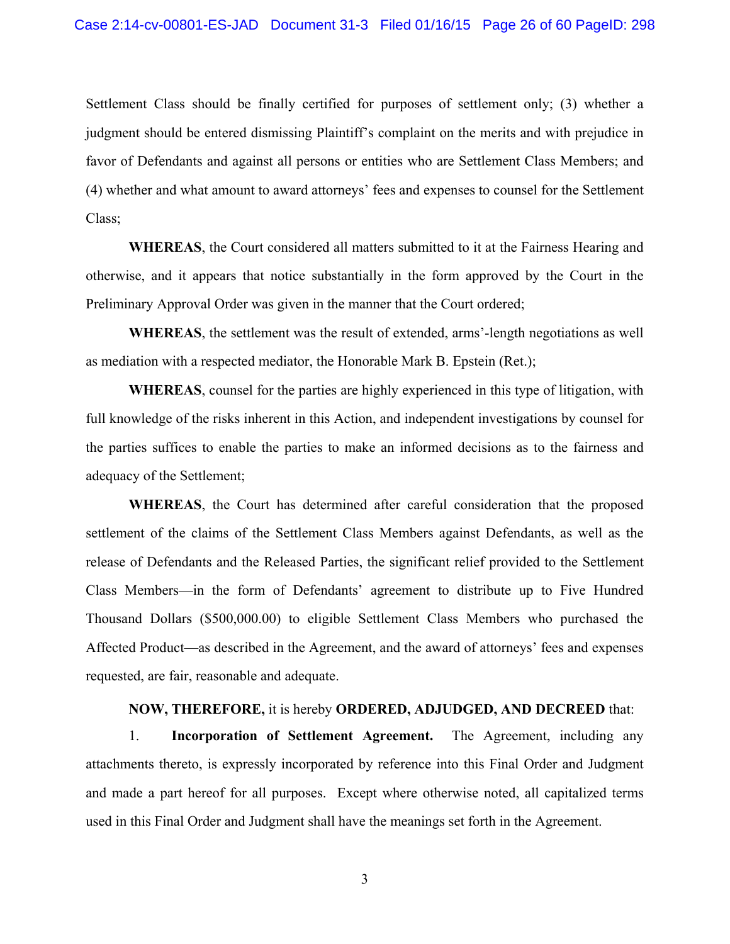Settlement Class should be finally certified for purposes of settlement only; (3) whether a judgment should be entered dismissing Plaintiff's complaint on the merits and with prejudice in favor of Defendants and against all persons or entities who are Settlement Class Members; and (4) whether and what amount to award attorneys' fees and expenses to counsel for the Settlement Class;

**WHEREAS**, the Court considered all matters submitted to it at the Fairness Hearing and otherwise, and it appears that notice substantially in the form approved by the Court in the Preliminary Approval Order was given in the manner that the Court ordered;

**WHEREAS**, the settlement was the result of extended, arms'-length negotiations as well as mediation with a respected mediator, the Honorable Mark B. Epstein (Ret.);

**WHEREAS**, counsel for the parties are highly experienced in this type of litigation, with full knowledge of the risks inherent in this Action, and independent investigations by counsel for the parties suffices to enable the parties to make an informed decisions as to the fairness and adequacy of the Settlement;

**WHEREAS**, the Court has determined after careful consideration that the proposed settlement of the claims of the Settlement Class Members against Defendants, as well as the release of Defendants and the Released Parties, the significant relief provided to the Settlement Class Members—in the form of Defendants' agreement to distribute up to Five Hundred Thousand Dollars (\$500,000.00) to eligible Settlement Class Members who purchased the Affected Product—as described in the Agreement, and the award of attorneys' fees and expenses requested, are fair, reasonable and adequate.

#### **NOW, THEREFORE,** it is hereby **ORDERED, ADJUDGED, AND DECREED** that:

1. **Incorporation of Settlement Agreement.** The Agreement, including any attachments thereto, is expressly incorporated by reference into this Final Order and Judgment and made a part hereof for all purposes. Except where otherwise noted, all capitalized terms used in this Final Order and Judgment shall have the meanings set forth in the Agreement.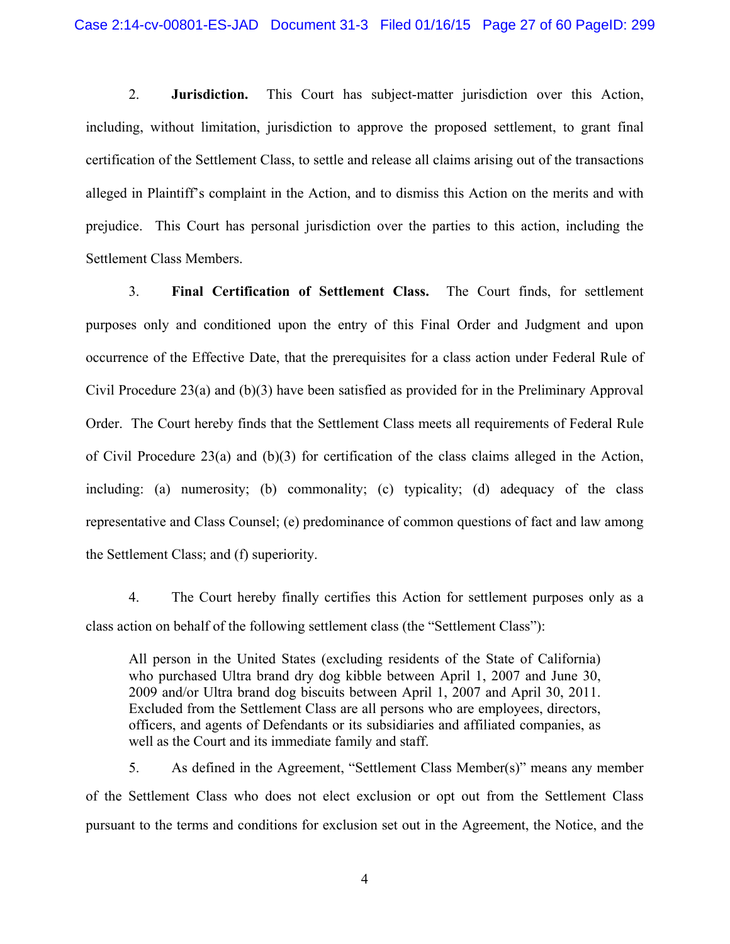2. **Jurisdiction.** This Court has subject-matter jurisdiction over this Action, including, without limitation, jurisdiction to approve the proposed settlement, to grant final certification of the Settlement Class, to settle and release all claims arising out of the transactions alleged in Plaintiff's complaint in the Action, and to dismiss this Action on the merits and with prejudice. This Court has personal jurisdiction over the parties to this action, including the Settlement Class Members.

3. **Final Certification of Settlement Class.** The Court finds, for settlement purposes only and conditioned upon the entry of this Final Order and Judgment and upon occurrence of the Effective Date, that the prerequisites for a class action under Federal Rule of Civil Procedure 23(a) and (b)(3) have been satisfied as provided for in the Preliminary Approval Order. The Court hereby finds that the Settlement Class meets all requirements of Federal Rule of Civil Procedure 23(a) and  $(b)(3)$  for certification of the class claims alleged in the Action, including: (a) numerosity; (b) commonality; (c) typicality; (d) adequacy of the class representative and Class Counsel; (e) predominance of common questions of fact and law among the Settlement Class; and (f) superiority.

4. The Court hereby finally certifies this Action for settlement purposes only as a class action on behalf of the following settlement class (the "Settlement Class"):

All person in the United States (excluding residents of the State of California) who purchased Ultra brand dry dog kibble between April 1, 2007 and June 30, 2009 and/or Ultra brand dog biscuits between April 1, 2007 and April 30, 2011. Excluded from the Settlement Class are all persons who are employees, directors, officers, and agents of Defendants or its subsidiaries and affiliated companies, as well as the Court and its immediate family and staff.

5. As defined in the Agreement, "Settlement Class Member(s)" means any member of the Settlement Class who does not elect exclusion or opt out from the Settlement Class pursuant to the terms and conditions for exclusion set out in the Agreement, the Notice, and the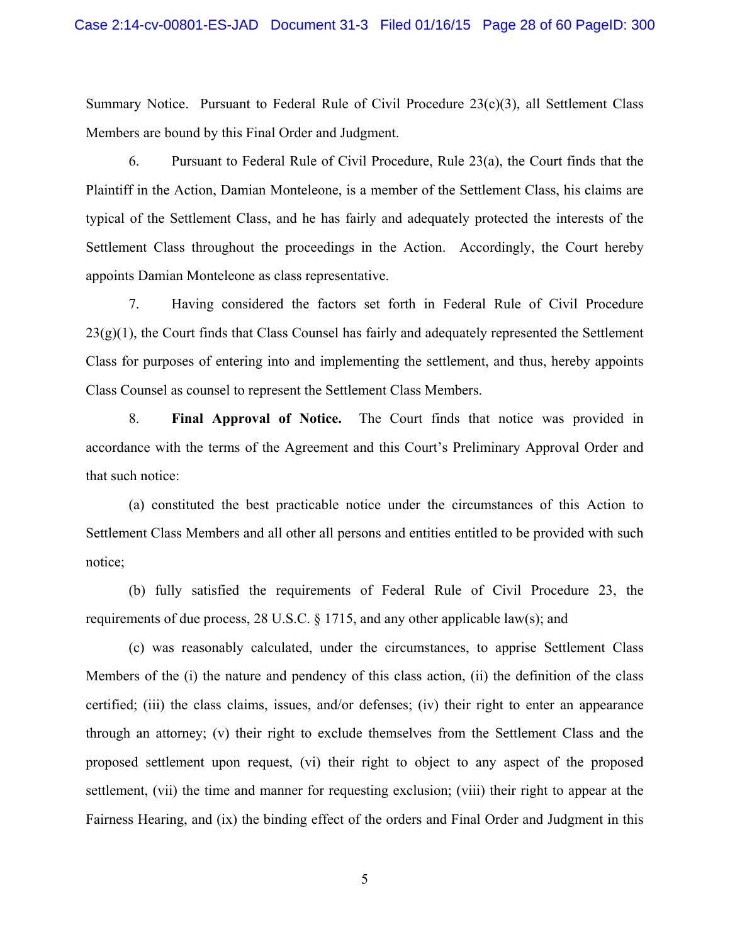Summary Notice. Pursuant to Federal Rule of Civil Procedure 23(c)(3), all Settlement Class Members are bound by this Final Order and Judgment.

6. Pursuant to Federal Rule of Civil Procedure, Rule 23(a), the Court finds that the Plaintiff in the Action, Damian Monteleone, is a member of the Settlement Class, his claims are typical of the Settlement Class, and he has fairly and adequately protected the interests of the Settlement Class throughout the proceedings in the Action. Accordingly, the Court hereby appoints Damian Monteleone as class representative.

7. Having considered the factors set forth in Federal Rule of Civil Procedure  $23(g)(1)$ , the Court finds that Class Counsel has fairly and adequately represented the Settlement Class for purposes of entering into and implementing the settlement, and thus, hereby appoints Class Counsel as counsel to represent the Settlement Class Members.

8. **Final Approval of Notice.** The Court finds that notice was provided in accordance with the terms of the Agreement and this Court's Preliminary Approval Order and that such notice:

(a) constituted the best practicable notice under the circumstances of this Action to Settlement Class Members and all other all persons and entities entitled to be provided with such notice;

(b) fully satisfied the requirements of Federal Rule of Civil Procedure 23, the requirements of due process, 28 U.S.C. § 1715, and any other applicable law(s); and

(c) was reasonably calculated, under the circumstances, to apprise Settlement Class Members of the (i) the nature and pendency of this class action, (ii) the definition of the class certified; (iii) the class claims, issues, and/or defenses; (iv) their right to enter an appearance through an attorney; (v) their right to exclude themselves from the Settlement Class and the proposed settlement upon request, (vi) their right to object to any aspect of the proposed settlement, (vii) the time and manner for requesting exclusion; (viii) their right to appear at the Fairness Hearing, and (ix) the binding effect of the orders and Final Order and Judgment in this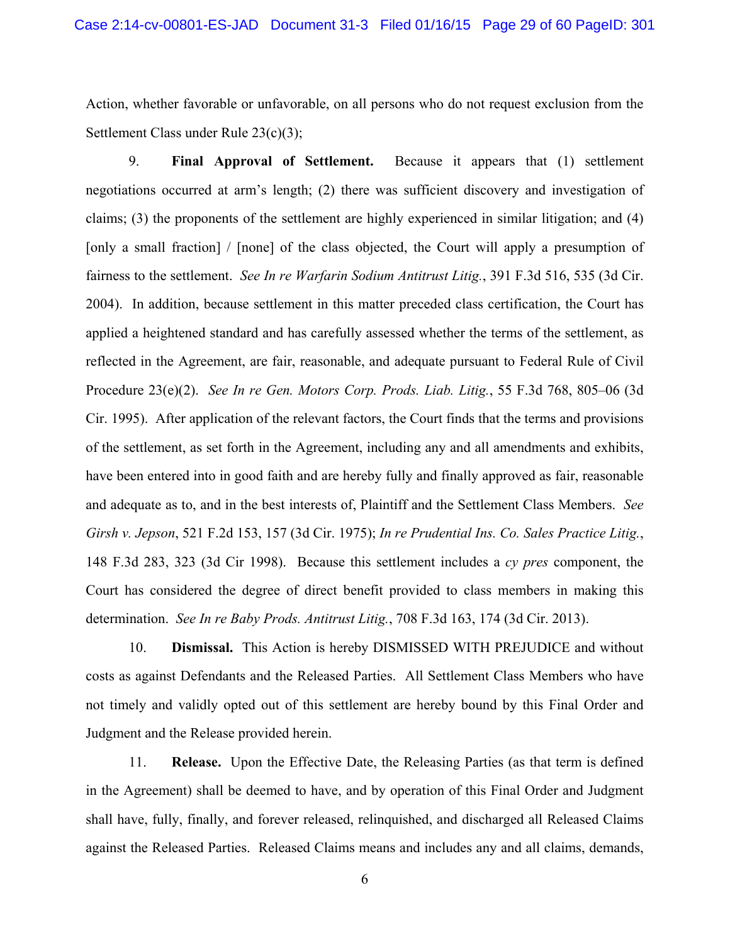Action, whether favorable or unfavorable, on all persons who do not request exclusion from the Settlement Class under Rule 23(c)(3);

9. **Final Approval of Settlement.** Because it appears that (1) settlement negotiations occurred at arm's length; (2) there was sufficient discovery and investigation of claims; (3) the proponents of the settlement are highly experienced in similar litigation; and (4) [only a small fraction] / [none] of the class objected, the Court will apply a presumption of fairness to the settlement. *See In re Warfarin Sodium Antitrust Litig.*, 391 F.3d 516, 535 (3d Cir. 2004). In addition, because settlement in this matter preceded class certification, the Court has applied a heightened standard and has carefully assessed whether the terms of the settlement, as reflected in the Agreement, are fair, reasonable, and adequate pursuant to Federal Rule of Civil Procedure 23(e)(2). *See In re Gen. Motors Corp. Prods. Liab. Litig.*, 55 F.3d 768, 805–06 (3d Cir. 1995). After application of the relevant factors, the Court finds that the terms and provisions of the settlement, as set forth in the Agreement, including any and all amendments and exhibits, have been entered into in good faith and are hereby fully and finally approved as fair, reasonable and adequate as to, and in the best interests of, Plaintiff and the Settlement Class Members. *See Girsh v. Jepson*, 521 F.2d 153, 157 (3d Cir. 1975); *In re Prudential Ins. Co. Sales Practice Litig.*, 148 F.3d 283, 323 (3d Cir 1998). Because this settlement includes a *cy pres* component, the Court has considered the degree of direct benefit provided to class members in making this determination. *See In re Baby Prods. Antitrust Litig.*, 708 F.3d 163, 174 (3d Cir. 2013).

10. **Dismissal.** This Action is hereby DISMISSED WITH PREJUDICE and without costs as against Defendants and the Released Parties. All Settlement Class Members who have not timely and validly opted out of this settlement are hereby bound by this Final Order and Judgment and the Release provided herein.

11. **Release.** Upon the Effective Date, the Releasing Parties (as that term is defined in the Agreement) shall be deemed to have, and by operation of this Final Order and Judgment shall have, fully, finally, and forever released, relinquished, and discharged all Released Claims against the Released Parties. Released Claims means and includes any and all claims, demands,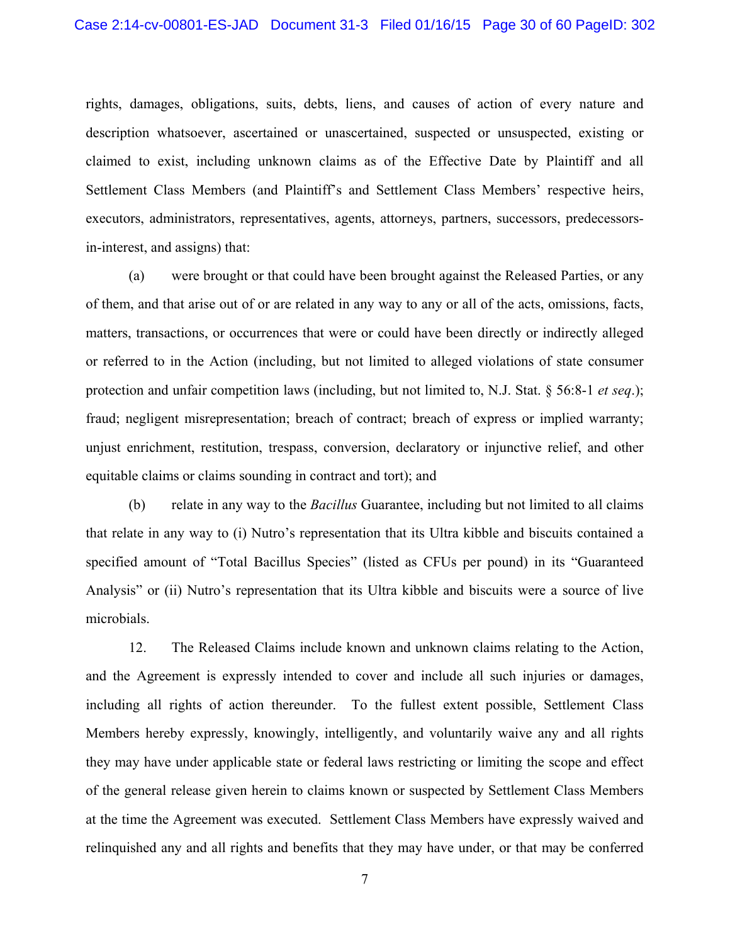rights, damages, obligations, suits, debts, liens, and causes of action of every nature and description whatsoever, ascertained or unascertained, suspected or unsuspected, existing or claimed to exist, including unknown claims as of the Effective Date by Plaintiff and all Settlement Class Members (and Plaintiff's and Settlement Class Members' respective heirs, executors, administrators, representatives, agents, attorneys, partners, successors, predecessorsin-interest, and assigns) that:

(a) were brought or that could have been brought against the Released Parties, or any of them, and that arise out of or are related in any way to any or all of the acts, omissions, facts, matters, transactions, or occurrences that were or could have been directly or indirectly alleged or referred to in the Action (including, but not limited to alleged violations of state consumer protection and unfair competition laws (including, but not limited to, N.J. Stat. § 56:8-1 *et seq*.); fraud; negligent misrepresentation; breach of contract; breach of express or implied warranty; unjust enrichment, restitution, trespass, conversion, declaratory or injunctive relief, and other equitable claims or claims sounding in contract and tort); and

(b) relate in any way to the *Bacillus* Guarantee, including but not limited to all claims that relate in any way to (i) Nutro's representation that its Ultra kibble and biscuits contained a specified amount of "Total Bacillus Species" (listed as CFUs per pound) in its "Guaranteed Analysis" or (ii) Nutro's representation that its Ultra kibble and biscuits were a source of live microbials.

12. The Released Claims include known and unknown claims relating to the Action, and the Agreement is expressly intended to cover and include all such injuries or damages, including all rights of action thereunder. To the fullest extent possible, Settlement Class Members hereby expressly, knowingly, intelligently, and voluntarily waive any and all rights they may have under applicable state or federal laws restricting or limiting the scope and effect of the general release given herein to claims known or suspected by Settlement Class Members at the time the Agreement was executed. Settlement Class Members have expressly waived and relinquished any and all rights and benefits that they may have under, or that may be conferred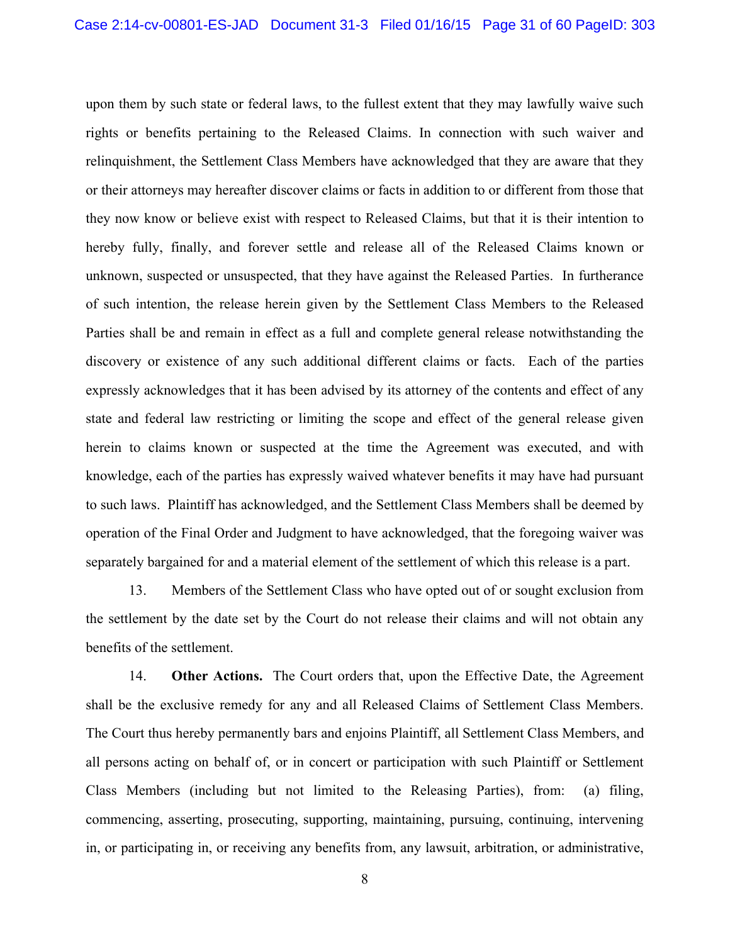upon them by such state or federal laws, to the fullest extent that they may lawfully waive such rights or benefits pertaining to the Released Claims. In connection with such waiver and relinquishment, the Settlement Class Members have acknowledged that they are aware that they or their attorneys may hereafter discover claims or facts in addition to or different from those that they now know or believe exist with respect to Released Claims, but that it is their intention to hereby fully, finally, and forever settle and release all of the Released Claims known or unknown, suspected or unsuspected, that they have against the Released Parties. In furtherance of such intention, the release herein given by the Settlement Class Members to the Released Parties shall be and remain in effect as a full and complete general release notwithstanding the discovery or existence of any such additional different claims or facts. Each of the parties expressly acknowledges that it has been advised by its attorney of the contents and effect of any state and federal law restricting or limiting the scope and effect of the general release given herein to claims known or suspected at the time the Agreement was executed, and with knowledge, each of the parties has expressly waived whatever benefits it may have had pursuant to such laws. Plaintiff has acknowledged, and the Settlement Class Members shall be deemed by operation of the Final Order and Judgment to have acknowledged, that the foregoing waiver was separately bargained for and a material element of the settlement of which this release is a part.

13. Members of the Settlement Class who have opted out of or sought exclusion from the settlement by the date set by the Court do not release their claims and will not obtain any benefits of the settlement.

14. **Other Actions.** The Court orders that, upon the Effective Date, the Agreement shall be the exclusive remedy for any and all Released Claims of Settlement Class Members. The Court thus hereby permanently bars and enjoins Plaintiff, all Settlement Class Members, and all persons acting on behalf of, or in concert or participation with such Plaintiff or Settlement Class Members (including but not limited to the Releasing Parties), from: (a) filing, commencing, asserting, prosecuting, supporting, maintaining, pursuing, continuing, intervening in, or participating in, or receiving any benefits from, any lawsuit, arbitration, or administrative,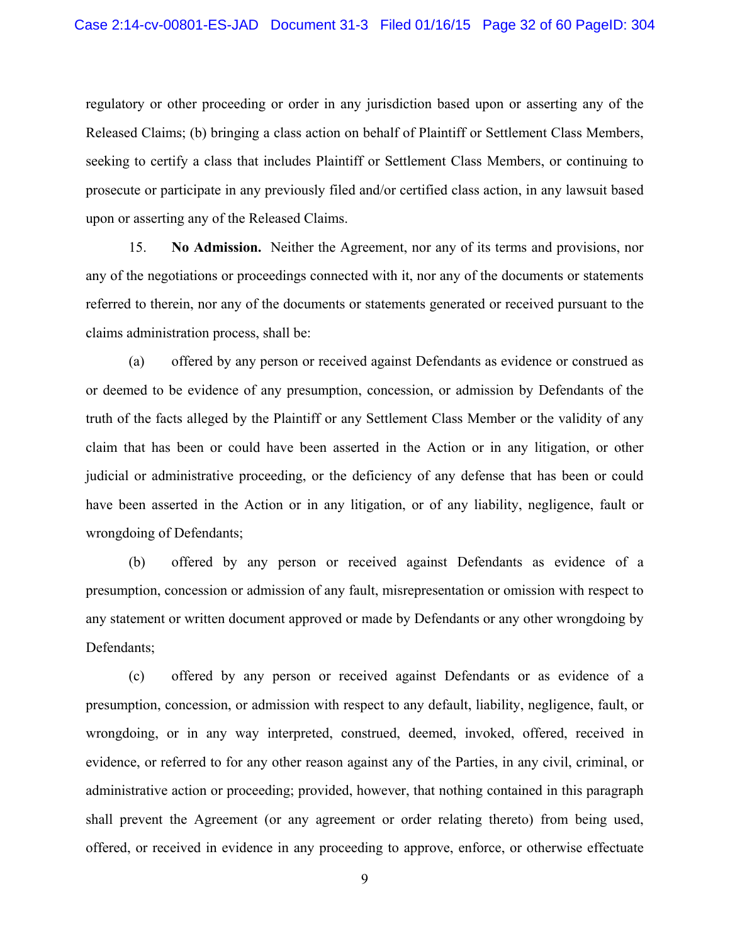regulatory or other proceeding or order in any jurisdiction based upon or asserting any of the Released Claims; (b) bringing a class action on behalf of Plaintiff or Settlement Class Members, seeking to certify a class that includes Plaintiff or Settlement Class Members, or continuing to prosecute or participate in any previously filed and/or certified class action, in any lawsuit based upon or asserting any of the Released Claims.

15. **No Admission.** Neither the Agreement, nor any of its terms and provisions, nor any of the negotiations or proceedings connected with it, nor any of the documents or statements referred to therein, nor any of the documents or statements generated or received pursuant to the claims administration process, shall be:

(a) offered by any person or received against Defendants as evidence or construed as or deemed to be evidence of any presumption, concession, or admission by Defendants of the truth of the facts alleged by the Plaintiff or any Settlement Class Member or the validity of any claim that has been or could have been asserted in the Action or in any litigation, or other judicial or administrative proceeding, or the deficiency of any defense that has been or could have been asserted in the Action or in any litigation, or of any liability, negligence, fault or wrongdoing of Defendants;

(b) offered by any person or received against Defendants as evidence of a presumption, concession or admission of any fault, misrepresentation or omission with respect to any statement or written document approved or made by Defendants or any other wrongdoing by Defendants;

(c) offered by any person or received against Defendants or as evidence of a presumption, concession, or admission with respect to any default, liability, negligence, fault, or wrongdoing, or in any way interpreted, construed, deemed, invoked, offered, received in evidence, or referred to for any other reason against any of the Parties, in any civil, criminal, or administrative action or proceeding; provided, however, that nothing contained in this paragraph shall prevent the Agreement (or any agreement or order relating thereto) from being used, offered, or received in evidence in any proceeding to approve, enforce, or otherwise effectuate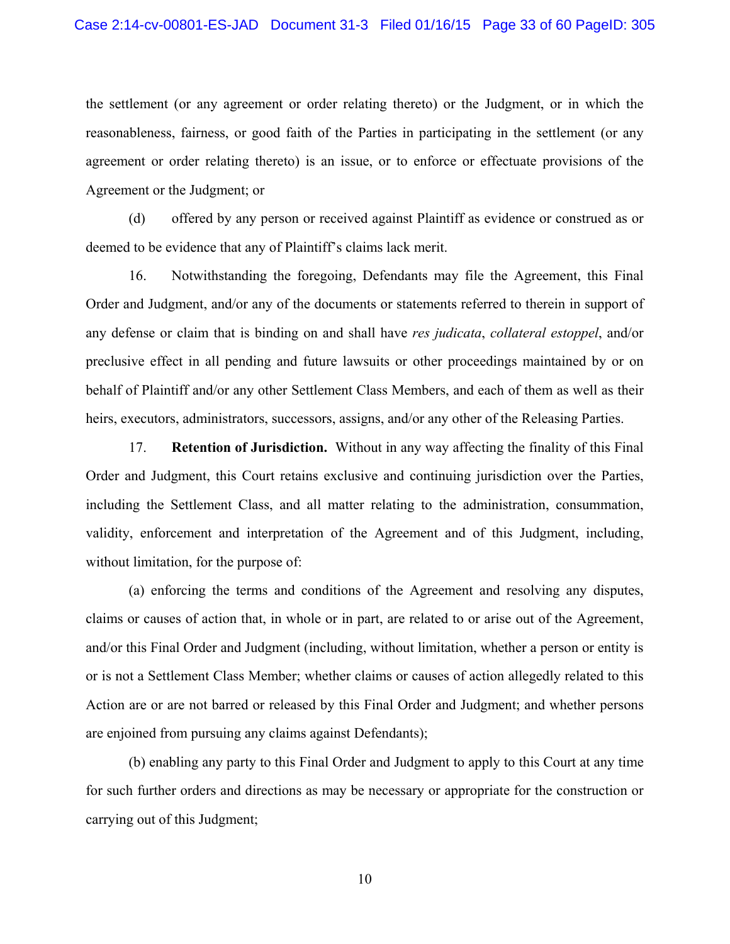the settlement (or any agreement or order relating thereto) or the Judgment, or in which the reasonableness, fairness, or good faith of the Parties in participating in the settlement (or any agreement or order relating thereto) is an issue, or to enforce or effectuate provisions of the Agreement or the Judgment; or

(d) offered by any person or received against Plaintiff as evidence or construed as or deemed to be evidence that any of Plaintiff's claims lack merit.

16. Notwithstanding the foregoing, Defendants may file the Agreement, this Final Order and Judgment, and/or any of the documents or statements referred to therein in support of any defense or claim that is binding on and shall have *res judicata*, *collateral estoppel*, and/or preclusive effect in all pending and future lawsuits or other proceedings maintained by or on behalf of Plaintiff and/or any other Settlement Class Members, and each of them as well as their heirs, executors, administrators, successors, assigns, and/or any other of the Releasing Parties.

17. **Retention of Jurisdiction.** Without in any way affecting the finality of this Final Order and Judgment, this Court retains exclusive and continuing jurisdiction over the Parties, including the Settlement Class, and all matter relating to the administration, consummation, validity, enforcement and interpretation of the Agreement and of this Judgment, including, without limitation, for the purpose of:

(a) enforcing the terms and conditions of the Agreement and resolving any disputes, claims or causes of action that, in whole or in part, are related to or arise out of the Agreement, and/or this Final Order and Judgment (including, without limitation, whether a person or entity is or is not a Settlement Class Member; whether claims or causes of action allegedly related to this Action are or are not barred or released by this Final Order and Judgment; and whether persons are enjoined from pursuing any claims against Defendants);

(b) enabling any party to this Final Order and Judgment to apply to this Court at any time for such further orders and directions as may be necessary or appropriate for the construction or carrying out of this Judgment;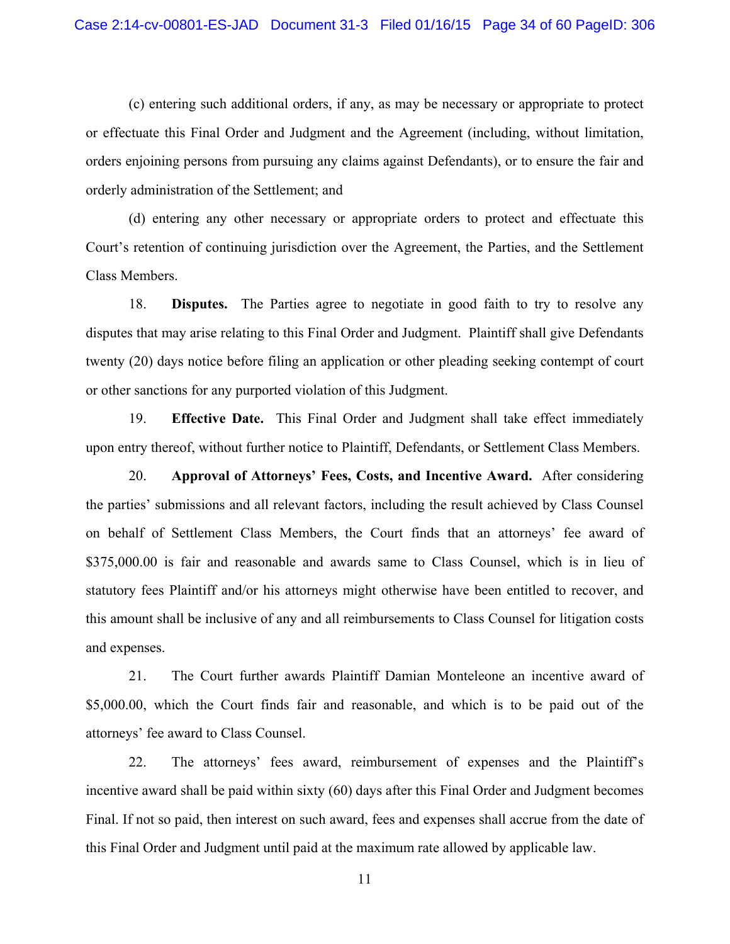(c) entering such additional orders, if any, as may be necessary or appropriate to protect or effectuate this Final Order and Judgment and the Agreement (including, without limitation, orders enjoining persons from pursuing any claims against Defendants), or to ensure the fair and orderly administration of the Settlement; and

(d) entering any other necessary or appropriate orders to protect and effectuate this Court's retention of continuing jurisdiction over the Agreement, the Parties, and the Settlement Class Members.

18. **Disputes.** The Parties agree to negotiate in good faith to try to resolve any disputes that may arise relating to this Final Order and Judgment. Plaintiff shall give Defendants twenty (20) days notice before filing an application or other pleading seeking contempt of court or other sanctions for any purported violation of this Judgment.

19. **Effective Date.** This Final Order and Judgment shall take effect immediately upon entry thereof, without further notice to Plaintiff, Defendants, or Settlement Class Members.

20. **Approval of Attorneys' Fees, Costs, and Incentive Award.** After considering the parties' submissions and all relevant factors, including the result achieved by Class Counsel on behalf of Settlement Class Members, the Court finds that an attorneys' fee award of \$375,000.00 is fair and reasonable and awards same to Class Counsel, which is in lieu of statutory fees Plaintiff and/or his attorneys might otherwise have been entitled to recover, and this amount shall be inclusive of any and all reimbursements to Class Counsel for litigation costs and expenses.

21. The Court further awards Plaintiff Damian Monteleone an incentive award of \$5,000.00, which the Court finds fair and reasonable, and which is to be paid out of the attorneys' fee award to Class Counsel.

22. The attorneys' fees award, reimbursement of expenses and the Plaintiff's incentive award shall be paid within sixty (60) days after this Final Order and Judgment becomes Final. If not so paid, then interest on such award, fees and expenses shall accrue from the date of this Final Order and Judgment until paid at the maximum rate allowed by applicable law.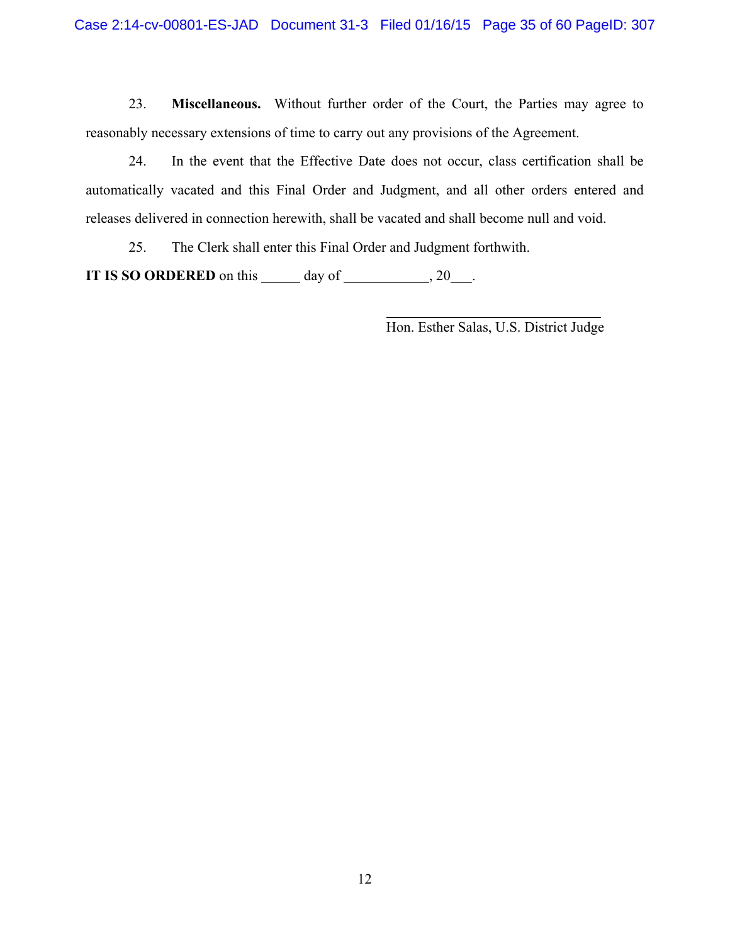23. **Miscellaneous.** Without further order of the Court, the Parties may agree to reasonably necessary extensions of time to carry out any provisions of the Agreement.

24. In the event that the Effective Date does not occur, class certification shall be automatically vacated and this Final Order and Judgment, and all other orders entered and releases delivered in connection herewith, shall be vacated and shall become null and void.

25. The Clerk shall enter this Final Order and Judgment forthwith.

**IT IS SO ORDERED** on this  $\qquad \qquad$  day of  $\qquad \qquad$ , 20  $\qquad$ .

Hon. Esther Salas, U.S. District Judge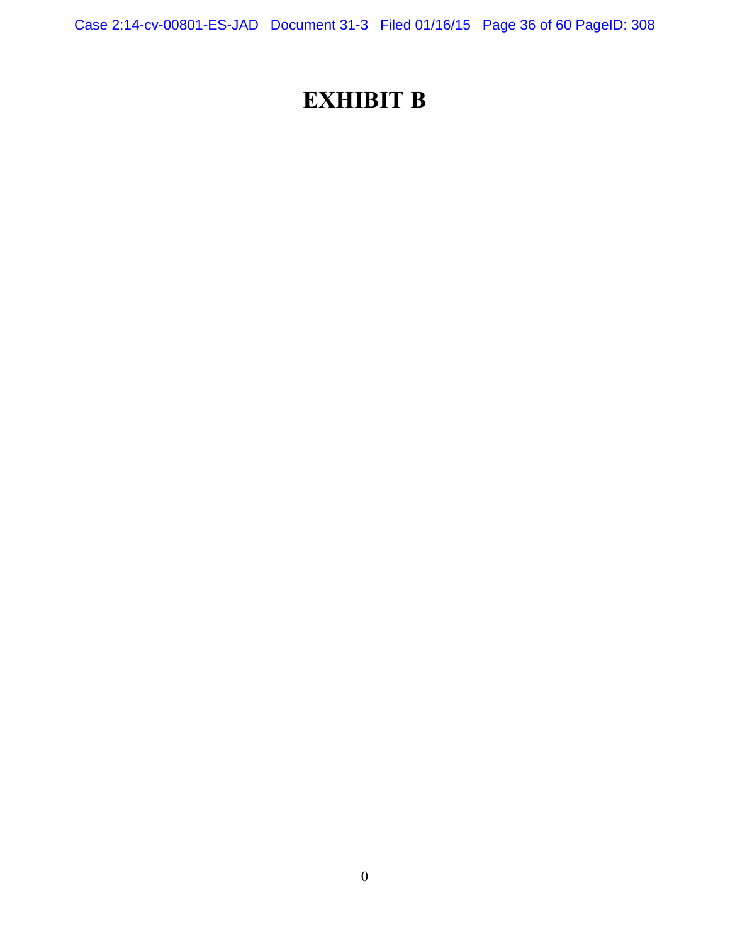Case 2:14-cv-00801-ES-JAD Document 31-3 Filed 01/16/15 Page 36 of 60 PageID: 308

## **EXHIBIT B**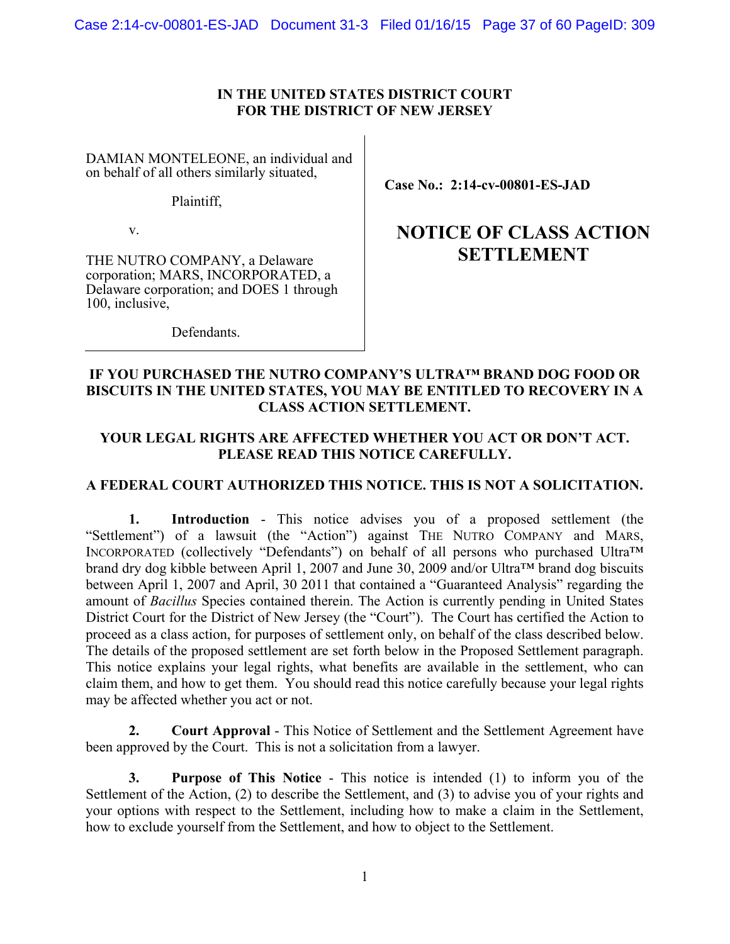Case 2:14-cv-00801-ES-JAD Document 31-3 Filed 01/16/15 Page 37 of 60 PageID: 309

#### **IN THE UNITED STATES DISTRICT COURT FOR THE DISTRICT OF NEW JERSEY**

DAMIAN MONTELEONE, an individual and on behalf of all others similarly situated,

Plaintiff,

v.

THE NUTRO COMPANY, a Delaware corporation; MARS, INCORPORATED, a Delaware corporation; and DOES 1 through 100, inclusive,

**Case No.: 2:14-cv-00801-ES-JAD** 

## **NOTICE OF CLASS ACTION SETTLEMENT**

Defendants.

#### **IF YOU PURCHASED THE NUTRO COMPANY'S ULTRA™ BRAND DOG FOOD OR BISCUITS IN THE UNITED STATES, YOU MAY BE ENTITLED TO RECOVERY IN A CLASS ACTION SETTLEMENT.**

#### **YOUR LEGAL RIGHTS ARE AFFECTED WHETHER YOU ACT OR DON'T ACT. PLEASE READ THIS NOTICE CAREFULLY.**

#### **A FEDERAL COURT AUTHORIZED THIS NOTICE. THIS IS NOT A SOLICITATION.**

**1. Introduction** - This notice advises you of a proposed settlement (the "Settlement") of a lawsuit (the "Action") against THE NUTRO COMPANY and MARS, INCORPORATED (collectively "Defendants") on behalf of all persons who purchased Ultra™ brand dry dog kibble between April 1, 2007 and June 30, 2009 and/or Ultra™ brand dog biscuits between April 1, 2007 and April, 30 2011 that contained a "Guaranteed Analysis" regarding the amount of *Bacillus* Species contained therein. The Action is currently pending in United States District Court for the District of New Jersey (the "Court"). The Court has certified the Action to proceed as a class action, for purposes of settlement only, on behalf of the class described below. The details of the proposed settlement are set forth below in the Proposed Settlement paragraph. This notice explains your legal rights, what benefits are available in the settlement, who can claim them, and how to get them. You should read this notice carefully because your legal rights may be affected whether you act or not.

**2. Court Approval** - This Notice of Settlement and the Settlement Agreement have been approved by the Court. This is not a solicitation from a lawyer.

**3. Purpose of This Notice** - This notice is intended (1) to inform you of the Settlement of the Action, (2) to describe the Settlement, and (3) to advise you of your rights and your options with respect to the Settlement, including how to make a claim in the Settlement, how to exclude yourself from the Settlement, and how to object to the Settlement.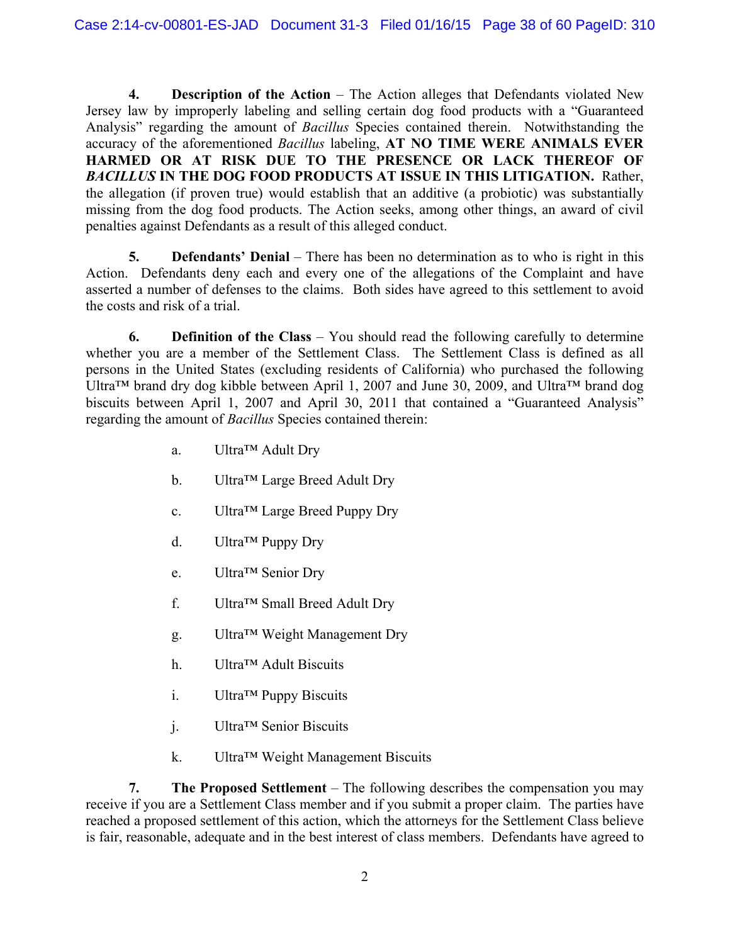**4. Description of the Action** – The Action alleges that Defendants violated New Jersey law by improperly labeling and selling certain dog food products with a "Guaranteed Analysis" regarding the amount of *Bacillus* Species contained therein. Notwithstanding the accuracy of the aforementioned *Bacillus* labeling, **AT NO TIME WERE ANIMALS EVER HARMED OR AT RISK DUE TO THE PRESENCE OR LACK THEREOF OF**  *BACILLUS* **IN THE DOG FOOD PRODUCTS AT ISSUE IN THIS LITIGATION.** Rather, the allegation (if proven true) would establish that an additive (a probiotic) was substantially missing from the dog food products. The Action seeks, among other things, an award of civil penalties against Defendants as a result of this alleged conduct.

**5. Defendants' Denial** – There has been no determination as to who is right in this Action. Defendants deny each and every one of the allegations of the Complaint and have asserted a number of defenses to the claims. Both sides have agreed to this settlement to avoid the costs and risk of a trial.

**6. Definition of the Class** – You should read the following carefully to determine whether you are a member of the Settlement Class. The Settlement Class is defined as all persons in the United States (excluding residents of California) who purchased the following Ultra™ brand dry dog kibble between April 1, 2007 and June 30, 2009, and Ultra™ brand dog biscuits between April 1, 2007 and April 30, 2011 that contained a "Guaranteed Analysis" regarding the amount of *Bacillus* Species contained therein:

- a. Ultra™ Adult Dry
- b. Ultra™ Large Breed Adult Dry
- c. Ultra™ Large Breed Puppy Dry
- d. Ultra™ Puppy Dry
- e. Ultra™ Senior Dry
- f. Ultra™ Small Breed Adult Dry
- g. Ultra™ Weight Management Dry
- h. Ultra™ Adult Biscuits
- i. Ultra™ Puppy Biscuits
- j. Ultra™ Senior Biscuits
- k. Ultra™ Weight Management Biscuits

**7. The Proposed Settlement** – The following describes the compensation you may receive if you are a Settlement Class member and if you submit a proper claim. The parties have reached a proposed settlement of this action, which the attorneys for the Settlement Class believe is fair, reasonable, adequate and in the best interest of class members. Defendants have agreed to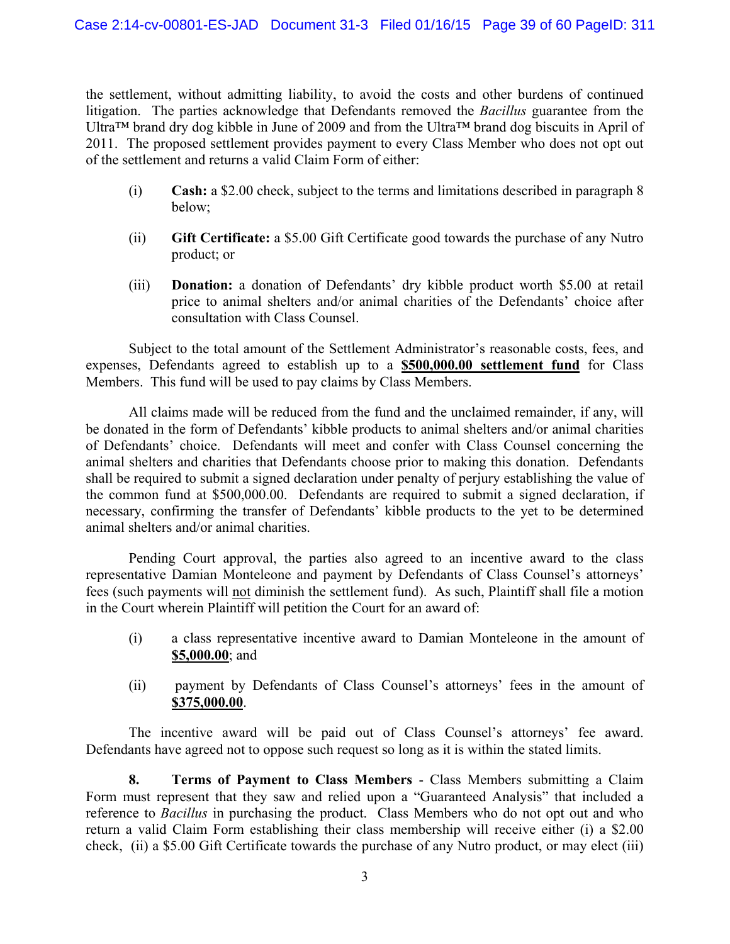the settlement, without admitting liability, to avoid the costs and other burdens of continued litigation. The parties acknowledge that Defendants removed the *Bacillus* guarantee from the Ultra™ brand dry dog kibble in June of 2009 and from the Ultra™ brand dog biscuits in April of 2011. The proposed settlement provides payment to every Class Member who does not opt out of the settlement and returns a valid Claim Form of either:

- (i) **Cash:** a \$2.00 check, subject to the terms and limitations described in paragraph 8 below;
- (ii) **Gift Certificate:** a \$5.00 Gift Certificate good towards the purchase of any Nutro product; or
- (iii) **Donation:** a donation of Defendants' dry kibble product worth \$5.00 at retail price to animal shelters and/or animal charities of the Defendants' choice after consultation with Class Counsel.

Subject to the total amount of the Settlement Administrator's reasonable costs, fees, and expenses, Defendants agreed to establish up to a **\$500,000.00 settlement fund** for Class Members. This fund will be used to pay claims by Class Members.

All claims made will be reduced from the fund and the unclaimed remainder, if any, will be donated in the form of Defendants' kibble products to animal shelters and/or animal charities of Defendants' choice. Defendants will meet and confer with Class Counsel concerning the animal shelters and charities that Defendants choose prior to making this donation. Defendants shall be required to submit a signed declaration under penalty of perjury establishing the value of the common fund at \$500,000.00. Defendants are required to submit a signed declaration, if necessary, confirming the transfer of Defendants' kibble products to the yet to be determined animal shelters and/or animal charities.

Pending Court approval, the parties also agreed to an incentive award to the class representative Damian Monteleone and payment by Defendants of Class Counsel's attorneys' fees (such payments will not diminish the settlement fund). As such, Plaintiff shall file a motion in the Court wherein Plaintiff will petition the Court for an award of:

- (i) a class representative incentive award to Damian Monteleone in the amount of **\$5,000.00**; and
- (ii) payment by Defendants of Class Counsel's attorneys' fees in the amount of **\$375,000.00**.

The incentive award will be paid out of Class Counsel's attorneys' fee award. Defendants have agreed not to oppose such request so long as it is within the stated limits.

**8. Terms of Payment to Class Members** - Class Members submitting a Claim Form must represent that they saw and relied upon a "Guaranteed Analysis" that included a reference to *Bacillus* in purchasing the product. Class Members who do not opt out and who return a valid Claim Form establishing their class membership will receive either (i) a \$2.00 check, (ii) a \$5.00 Gift Certificate towards the purchase of any Nutro product, or may elect (iii)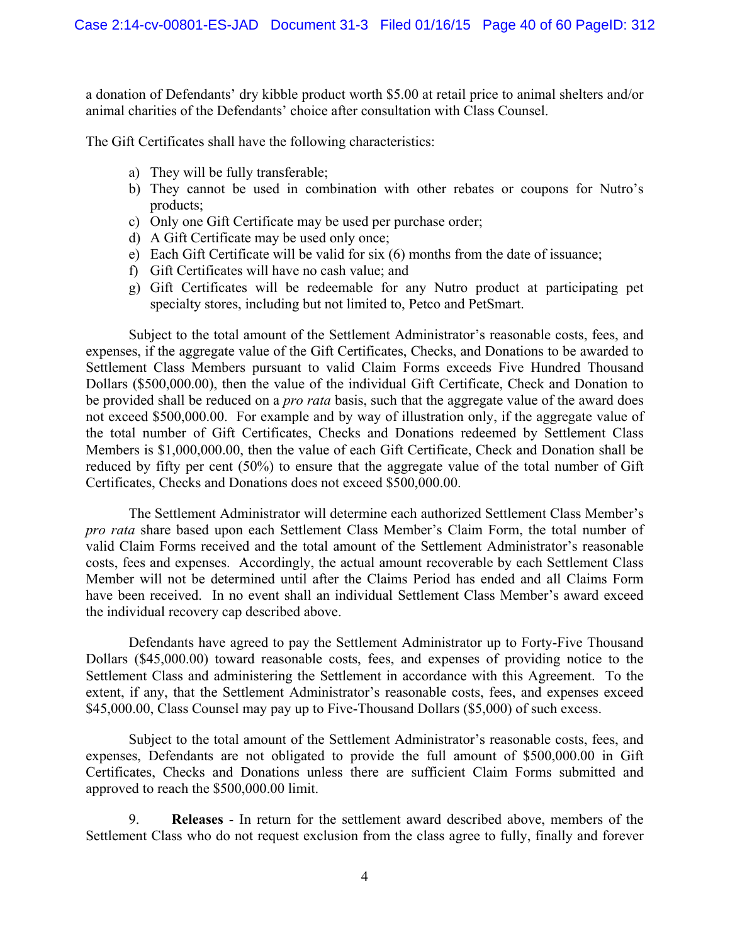a donation of Defendants' dry kibble product worth \$5.00 at retail price to animal shelters and/or animal charities of the Defendants' choice after consultation with Class Counsel.

The Gift Certificates shall have the following characteristics:

- a) They will be fully transferable;
- b) They cannot be used in combination with other rebates or coupons for Nutro's products;
- c) Only one Gift Certificate may be used per purchase order;
- d) A Gift Certificate may be used only once;
- e) Each Gift Certificate will be valid for six (6) months from the date of issuance;
- f) Gift Certificates will have no cash value; and
- g) Gift Certificates will be redeemable for any Nutro product at participating pet specialty stores, including but not limited to, Petco and PetSmart.

Subject to the total amount of the Settlement Administrator's reasonable costs, fees, and expenses, if the aggregate value of the Gift Certificates, Checks, and Donations to be awarded to Settlement Class Members pursuant to valid Claim Forms exceeds Five Hundred Thousand Dollars (\$500,000.00), then the value of the individual Gift Certificate, Check and Donation to be provided shall be reduced on a *pro rata* basis, such that the aggregate value of the award does not exceed \$500,000.00. For example and by way of illustration only, if the aggregate value of the total number of Gift Certificates, Checks and Donations redeemed by Settlement Class Members is \$1,000,000.00, then the value of each Gift Certificate, Check and Donation shall be reduced by fifty per cent (50%) to ensure that the aggregate value of the total number of Gift Certificates, Checks and Donations does not exceed \$500,000.00.

The Settlement Administrator will determine each authorized Settlement Class Member's *pro rata* share based upon each Settlement Class Member's Claim Form, the total number of valid Claim Forms received and the total amount of the Settlement Administrator's reasonable costs, fees and expenses. Accordingly, the actual amount recoverable by each Settlement Class Member will not be determined until after the Claims Period has ended and all Claims Form have been received. In no event shall an individual Settlement Class Member's award exceed the individual recovery cap described above.

Defendants have agreed to pay the Settlement Administrator up to Forty-Five Thousand Dollars (\$45,000.00) toward reasonable costs, fees, and expenses of providing notice to the Settlement Class and administering the Settlement in accordance with this Agreement. To the extent, if any, that the Settlement Administrator's reasonable costs, fees, and expenses exceed \$45,000.00, Class Counsel may pay up to Five-Thousand Dollars (\$5,000) of such excess.

Subject to the total amount of the Settlement Administrator's reasonable costs, fees, and expenses, Defendants are not obligated to provide the full amount of \$500,000.00 in Gift Certificates, Checks and Donations unless there are sufficient Claim Forms submitted and approved to reach the \$500,000.00 limit.

9. **Releases** - In return for the settlement award described above, members of the Settlement Class who do not request exclusion from the class agree to fully, finally and forever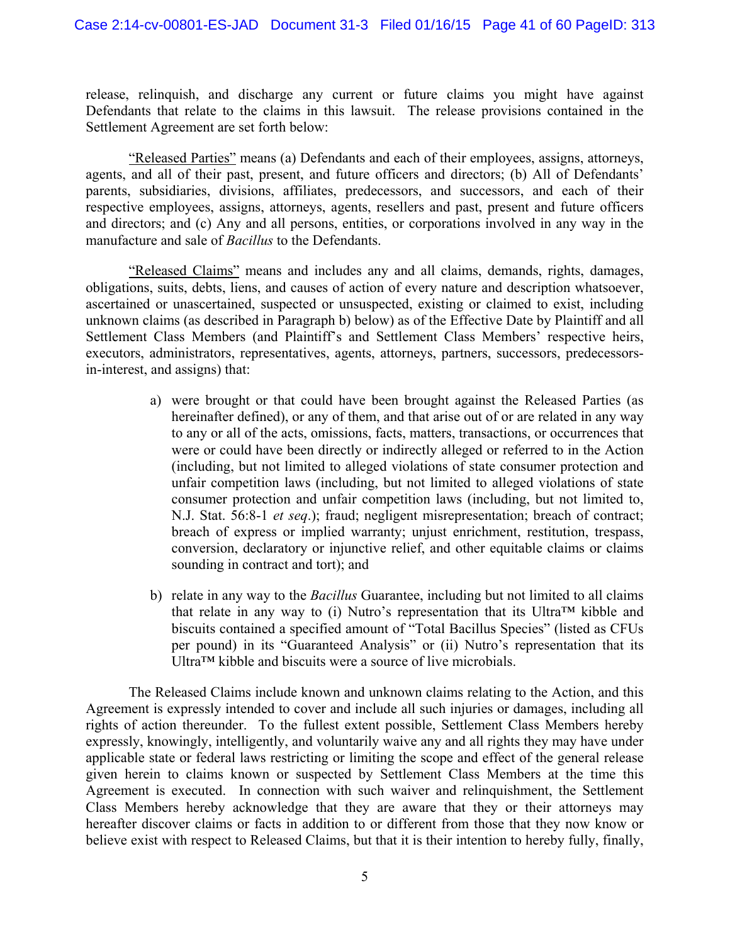release, relinquish, and discharge any current or future claims you might have against Defendants that relate to the claims in this lawsuit. The release provisions contained in the Settlement Agreement are set forth below:

"Released Parties" means (a) Defendants and each of their employees, assigns, attorneys, agents, and all of their past, present, and future officers and directors; (b) All of Defendants' parents, subsidiaries, divisions, affiliates, predecessors, and successors, and each of their respective employees, assigns, attorneys, agents, resellers and past, present and future officers and directors; and (c) Any and all persons, entities, or corporations involved in any way in the manufacture and sale of *Bacillus* to the Defendants.

"Released Claims" means and includes any and all claims, demands, rights, damages, obligations, suits, debts, liens, and causes of action of every nature and description whatsoever, ascertained or unascertained, suspected or unsuspected, existing or claimed to exist, including unknown claims (as described in Paragraph b) below) as of the Effective Date by Plaintiff and all Settlement Class Members (and Plaintiff's and Settlement Class Members' respective heirs, executors, administrators, representatives, agents, attorneys, partners, successors, predecessorsin-interest, and assigns) that:

- a) were brought or that could have been brought against the Released Parties (as hereinafter defined), or any of them, and that arise out of or are related in any way to any or all of the acts, omissions, facts, matters, transactions, or occurrences that were or could have been directly or indirectly alleged or referred to in the Action (including, but not limited to alleged violations of state consumer protection and unfair competition laws (including, but not limited to alleged violations of state consumer protection and unfair competition laws (including, but not limited to, N.J. Stat. 56:8-1 *et seq*.); fraud; negligent misrepresentation; breach of contract; breach of express or implied warranty; unjust enrichment, restitution, trespass, conversion, declaratory or injunctive relief, and other equitable claims or claims sounding in contract and tort); and
- b) relate in any way to the *Bacillus* Guarantee, including but not limited to all claims that relate in any way to (i) Nutro's representation that its Ultra<sup>TM</sup> kibble and biscuits contained a specified amount of "Total Bacillus Species" (listed as CFUs per pound) in its "Guaranteed Analysis" or (ii) Nutro's representation that its Ultra™ kibble and biscuits were a source of live microbials.

The Released Claims include known and unknown claims relating to the Action, and this Agreement is expressly intended to cover and include all such injuries or damages, including all rights of action thereunder. To the fullest extent possible, Settlement Class Members hereby expressly, knowingly, intelligently, and voluntarily waive any and all rights they may have under applicable state or federal laws restricting or limiting the scope and effect of the general release given herein to claims known or suspected by Settlement Class Members at the time this Agreement is executed. In connection with such waiver and relinquishment, the Settlement Class Members hereby acknowledge that they are aware that they or their attorneys may hereafter discover claims or facts in addition to or different from those that they now know or believe exist with respect to Released Claims, but that it is their intention to hereby fully, finally,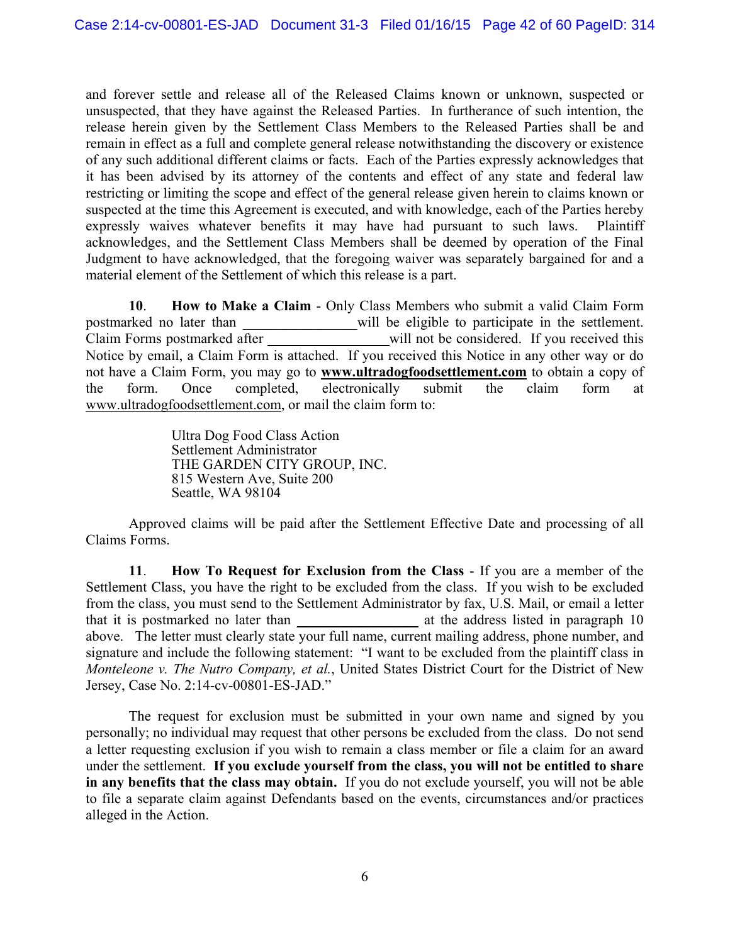and forever settle and release all of the Released Claims known or unknown, suspected or unsuspected, that they have against the Released Parties. In furtherance of such intention, the release herein given by the Settlement Class Members to the Released Parties shall be and remain in effect as a full and complete general release notwithstanding the discovery or existence of any such additional different claims or facts. Each of the Parties expressly acknowledges that it has been advised by its attorney of the contents and effect of any state and federal law restricting or limiting the scope and effect of the general release given herein to claims known or suspected at the time this Agreement is executed, and with knowledge, each of the Parties hereby expressly waives whatever benefits it may have had pursuant to such laws. Plaintiff acknowledges, and the Settlement Class Members shall be deemed by operation of the Final Judgment to have acknowledged, that the foregoing waiver was separately bargained for and a material element of the Settlement of which this release is a part.

**10**. **How to Make a Claim** - Only Class Members who submit a valid Claim Form postmarked no later than will be eligible to participate in the settlement. Claim Forms postmarked after will not be considered. If you received this Notice by email, a Claim Form is attached. If you received this Notice in any other way or do not have a Claim Form, you may go to **www.ultradogfoodsettlement.com** to obtain a copy of the form. Once completed, electronically submit the claim form at www.ultradogfoodsettlement.com, or mail the claim form to:

> Ultra Dog Food Class Action Settlement Administrator THE GARDEN CITY GROUP, INC. 815 Western Ave, Suite 200 Seattle, WA 98104

Approved claims will be paid after the Settlement Effective Date and processing of all Claims Forms.

**11**. **How To Request for Exclusion from the Class** - If you are a member of the Settlement Class, you have the right to be excluded from the class. If you wish to be excluded from the class, you must send to the Settlement Administrator by fax, U.S. Mail, or email a letter that it is postmarked no later than \_\_\_\_\_\_\_\_\_\_\_\_\_\_\_\_\_\_\_\_ at the address listed in paragraph 10 above. The letter must clearly state your full name, current mailing address, phone number, and signature and include the following statement: "I want to be excluded from the plaintiff class in *Monteleone v. The Nutro Company, et al.*, United States District Court for the District of New Jersey, Case No. 2:14-cv-00801-ES-JAD."

The request for exclusion must be submitted in your own name and signed by you personally; no individual may request that other persons be excluded from the class. Do not send a letter requesting exclusion if you wish to remain a class member or file a claim for an award under the settlement. **If you exclude yourself from the class, you will not be entitled to share in any benefits that the class may obtain.** If you do not exclude yourself, you will not be able to file a separate claim against Defendants based on the events, circumstances and/or practices alleged in the Action.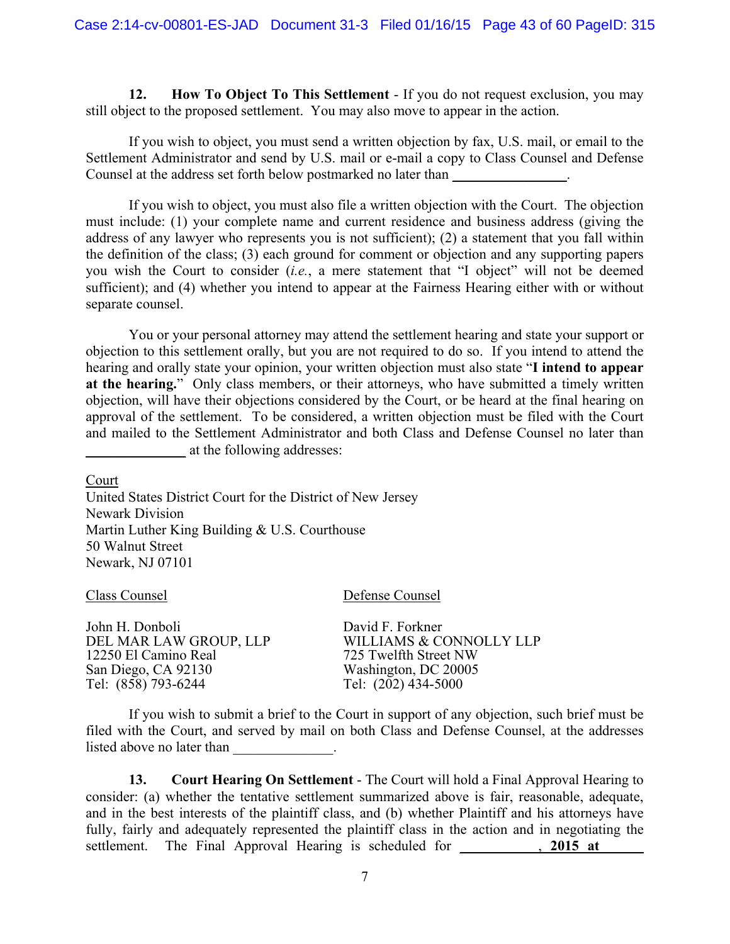**12. How To Object To This Settlement** - If you do not request exclusion, you may still object to the proposed settlement. You may also move to appear in the action.

If you wish to object, you must send a written objection by fax, U.S. mail, or email to the Settlement Administrator and send by U.S. mail or e-mail a copy to Class Counsel and Defense Counsel at the address set forth below postmarked no later than

If you wish to object, you must also file a written objection with the Court. The objection must include: (1) your complete name and current residence and business address (giving the address of any lawyer who represents you is not sufficient); (2) a statement that you fall within the definition of the class; (3) each ground for comment or objection and any supporting papers you wish the Court to consider (*i.e.*, a mere statement that "I object" will not be deemed sufficient); and (4) whether you intend to appear at the Fairness Hearing either with or without separate counsel.

You or your personal attorney may attend the settlement hearing and state your support or objection to this settlement orally, but you are not required to do so. If you intend to attend the hearing and orally state your opinion, your written objection must also state "**I intend to appear at the hearing.**" Only class members, or their attorneys, who have submitted a timely written objection, will have their objections considered by the Court, or be heard at the final hearing on approval of the settlement. To be considered, a written objection must be filed with the Court and mailed to the Settlement Administrator and both Class and Defense Counsel no later than at the following addresses:

Court

United States District Court for the District of New Jersey Newark Division Martin Luther King Building & U.S. Courthouse 50 Walnut Street Newark, NJ 07101

Class Counsel Defense Counsel

| John H. Donboli        | David F. Forkner        |
|------------------------|-------------------------|
| DEL MAR LAW GROUP, LLP | WILLIAMS & CONNOLLY LLP |
| 12250 El Camino Real   | 725 Twelfth Street NW   |
| San Diego, CA 92130    | Washington, DC 20005    |
| Tel: (858) 793-6244    | Tel: (202) 434-5000     |

If you wish to submit a brief to the Court in support of any objection, such brief must be filed with the Court, and served by mail on both Class and Defense Counsel, at the addresses listed above no later than

**13. Court Hearing On Settlement** - The Court will hold a Final Approval Hearing to consider: (a) whether the tentative settlement summarized above is fair, reasonable, adequate, and in the best interests of the plaintiff class, and (b) whether Plaintiff and his attorneys have fully, fairly and adequately represented the plaintiff class in the action and in negotiating the settlement. The Final Approval Hearing is scheduled for **2015 at**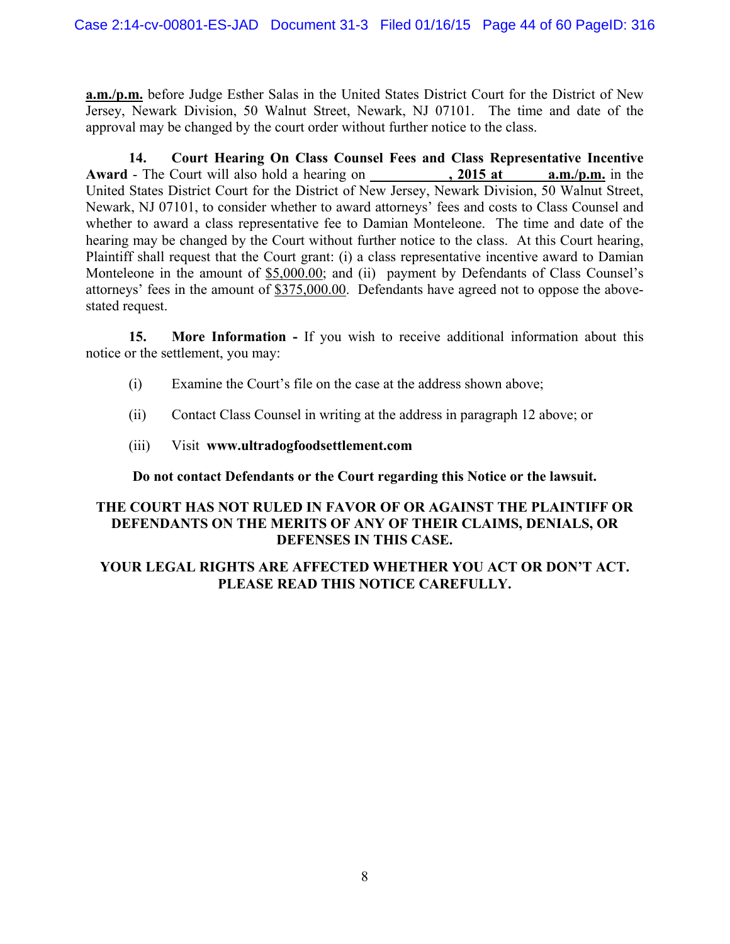**a.m./p.m.** before Judge Esther Salas in the United States District Court for the District of New Jersey, Newark Division, 50 Walnut Street, Newark, NJ 07101. The time and date of the approval may be changed by the court order without further notice to the class.

**14. Court Hearing On Class Counsel Fees and Class Representative Incentive**  Award - The Court will also hold a hearing on **.** 2015 at **a.m./p.m.** in the United States District Court for the District of New Jersey, Newark Division, 50 Walnut Street, Newark, NJ 07101, to consider whether to award attorneys' fees and costs to Class Counsel and whether to award a class representative fee to Damian Monteleone. The time and date of the hearing may be changed by the Court without further notice to the class. At this Court hearing, Plaintiff shall request that the Court grant: (i) a class representative incentive award to Damian Monteleone in the amount of \$5,000.00; and (ii) payment by Defendants of Class Counsel's attorneys' fees in the amount of  $$375,000.00$ . Defendants have agreed not to oppose the abovestated request.

**15. More Information -** If you wish to receive additional information about this notice or the settlement, you may:

- (i) Examine the Court's file on the case at the address shown above;
- (ii) Contact Class Counsel in writing at the address in paragraph 12 above; or
- (iii) Visit **www.ultradogfoodsettlement.com**

**Do not contact Defendants or the Court regarding this Notice or the lawsuit.**

#### **THE COURT HAS NOT RULED IN FAVOR OF OR AGAINST THE PLAINTIFF OR DEFENDANTS ON THE MERITS OF ANY OF THEIR CLAIMS, DENIALS, OR DEFENSES IN THIS CASE.**

#### **YOUR LEGAL RIGHTS ARE AFFECTED WHETHER YOU ACT OR DON'T ACT. PLEASE READ THIS NOTICE CAREFULLY.**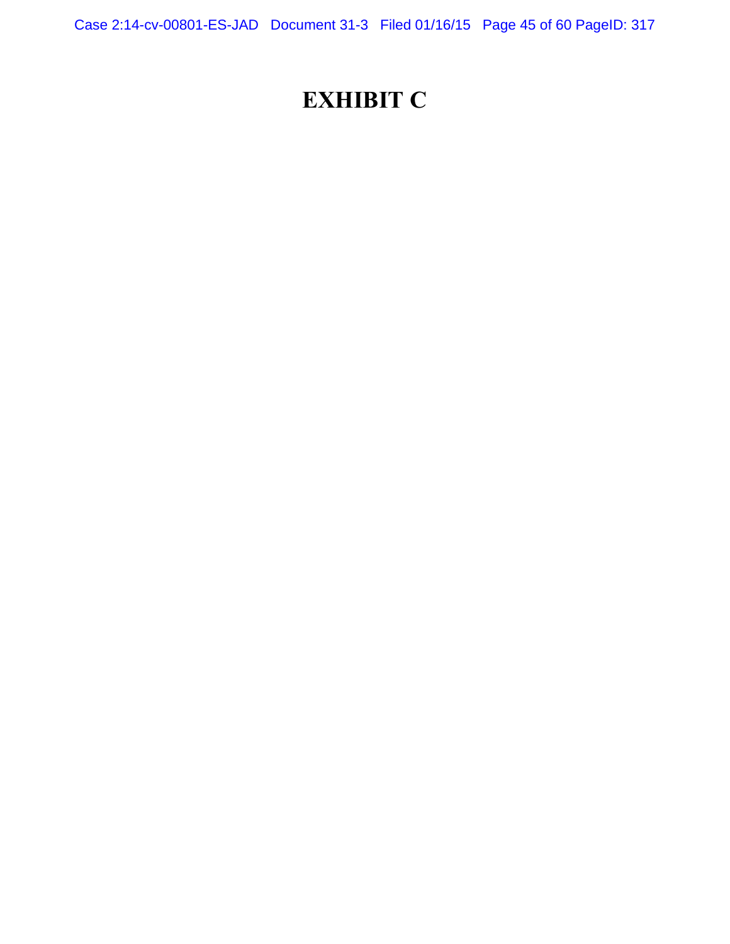Case 2:14-cv-00801-ES-JAD Document 31-3 Filed 01/16/15 Page 45 of 60 PageID: 317

## **EXHIBIT C**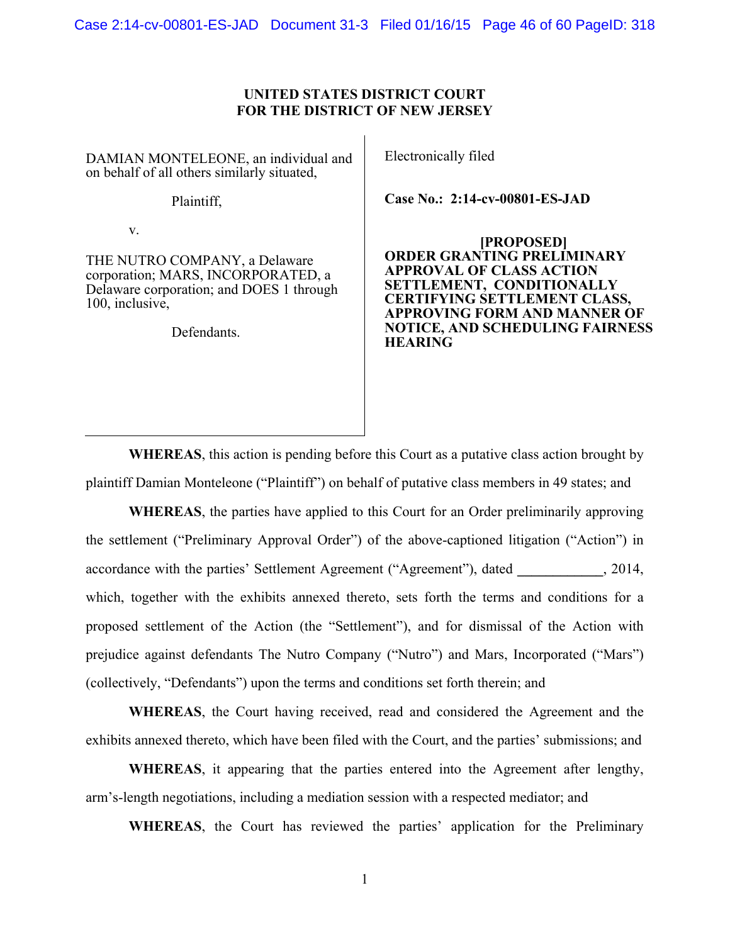Case 2:14-cv-00801-ES-JAD Document 31-3 Filed 01/16/15 Page 46 of 60 PageID: 318

#### **UNITED STATES DISTRICT COURT FOR THE DISTRICT OF NEW JERSEY**

DAMIAN MONTELEONE, an individual and on behalf of all others similarly situated,

Plaintiff,

v.

THE NUTRO COMPANY, a Delaware corporation; MARS, INCORPORATED, a Delaware corporation; and DOES 1 through 100, inclusive,

Defendants.

Electronically filed

**Case No.: 2:14-cv-00801-ES-JAD** 

**[PROPOSED] ORDER GRANTING PRELIMINARY APPROVAL OF CLASS ACTION SETTLEMENT, CONDITIONALLY CERTIFYING SETTLEMENT CLASS, APPROVING FORM AND MANNER OF NOTICE, AND SCHEDULING FAIRNESS HEARING** 

**WHEREAS**, this action is pending before this Court as a putative class action brought by plaintiff Damian Monteleone ("Plaintiff") on behalf of putative class members in 49 states; and

**WHEREAS**, the parties have applied to this Court for an Order preliminarily approving the settlement ("Preliminary Approval Order") of the above-captioned litigation ("Action") in accordance with the parties' Settlement Agreement ("Agreement"), dated **\_\_\_\_\_\_\_\_\_\_\_\_**, 2014, which, together with the exhibits annexed thereto, sets forth the terms and conditions for a proposed settlement of the Action (the "Settlement"), and for dismissal of the Action with prejudice against defendants The Nutro Company ("Nutro") and Mars, Incorporated ("Mars") (collectively, "Defendants") upon the terms and conditions set forth therein; and

**WHEREAS**, the Court having received, read and considered the Agreement and the exhibits annexed thereto, which have been filed with the Court, and the parties' submissions; and

**WHEREAS**, it appearing that the parties entered into the Agreement after lengthy, arm's-length negotiations, including a mediation session with a respected mediator; and

**WHEREAS**, the Court has reviewed the parties' application for the Preliminary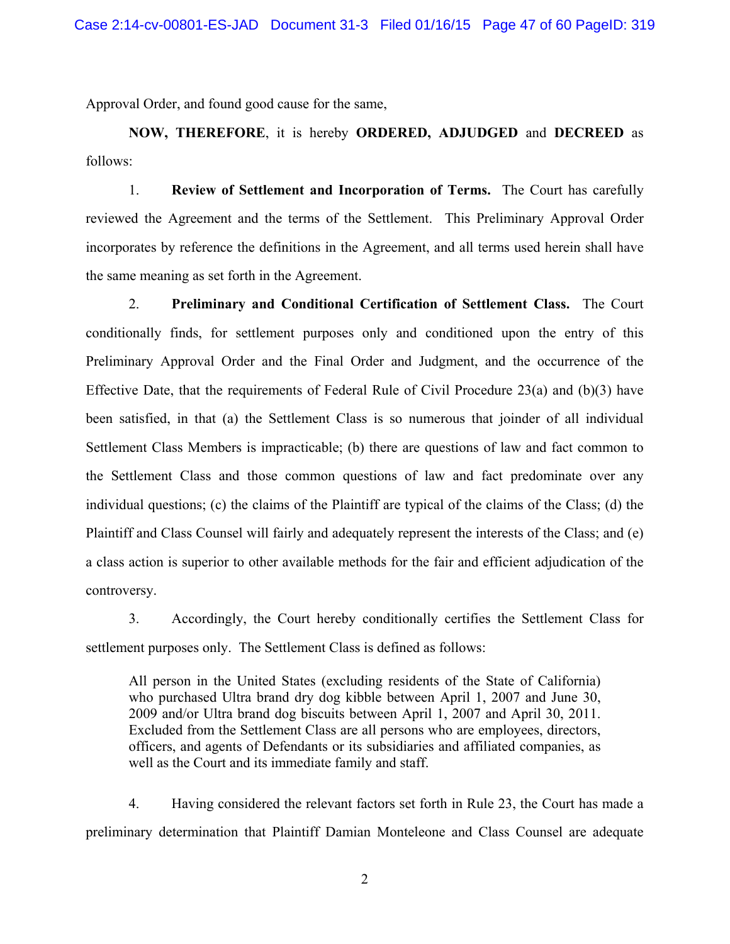Approval Order, and found good cause for the same,

**NOW, THEREFORE**, it is hereby **ORDERED, ADJUDGED** and **DECREED** as follows:

1. **Review of Settlement and Incorporation of Terms.** The Court has carefully reviewed the Agreement and the terms of the Settlement. This Preliminary Approval Order incorporates by reference the definitions in the Agreement, and all terms used herein shall have the same meaning as set forth in the Agreement.

2. **Preliminary and Conditional Certification of Settlement Class.** The Court conditionally finds, for settlement purposes only and conditioned upon the entry of this Preliminary Approval Order and the Final Order and Judgment, and the occurrence of the Effective Date, that the requirements of Federal Rule of Civil Procedure 23(a) and (b)(3) have been satisfied, in that (a) the Settlement Class is so numerous that joinder of all individual Settlement Class Members is impracticable; (b) there are questions of law and fact common to the Settlement Class and those common questions of law and fact predominate over any individual questions; (c) the claims of the Plaintiff are typical of the claims of the Class; (d) the Plaintiff and Class Counsel will fairly and adequately represent the interests of the Class; and (e) a class action is superior to other available methods for the fair and efficient adjudication of the controversy.

3. Accordingly, the Court hereby conditionally certifies the Settlement Class for settlement purposes only. The Settlement Class is defined as follows:

All person in the United States (excluding residents of the State of California) who purchased Ultra brand dry dog kibble between April 1, 2007 and June 30, 2009 and/or Ultra brand dog biscuits between April 1, 2007 and April 30, 2011. Excluded from the Settlement Class are all persons who are employees, directors, officers, and agents of Defendants or its subsidiaries and affiliated companies, as well as the Court and its immediate family and staff.

4. Having considered the relevant factors set forth in Rule 23, the Court has made a preliminary determination that Plaintiff Damian Monteleone and Class Counsel are adequate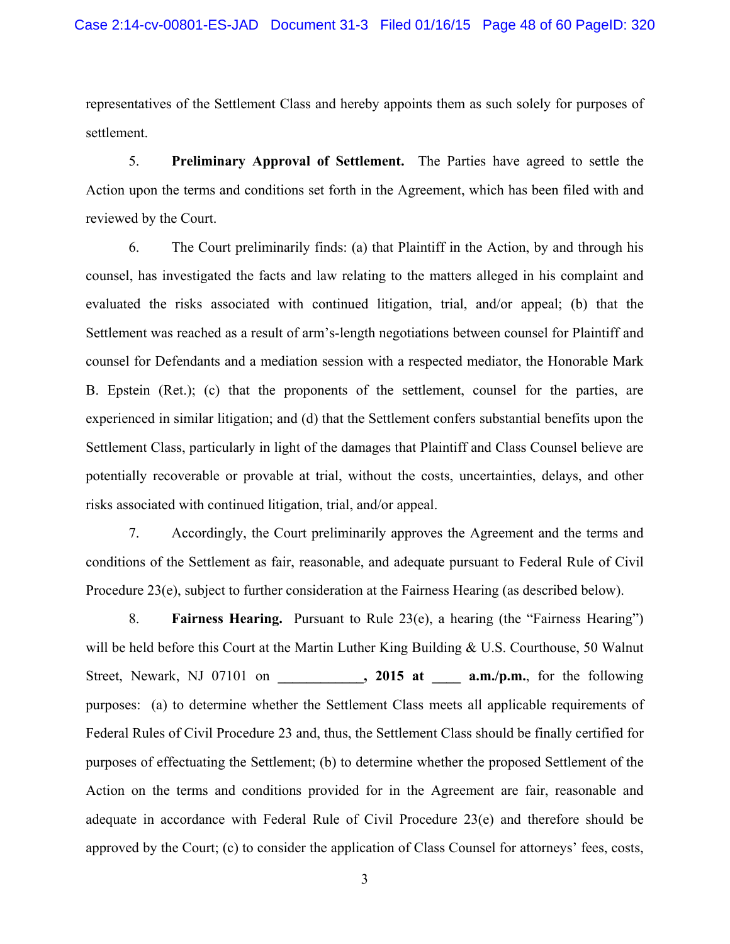representatives of the Settlement Class and hereby appoints them as such solely for purposes of settlement.

5. **Preliminary Approval of Settlement.** The Parties have agreed to settle the Action upon the terms and conditions set forth in the Agreement, which has been filed with and reviewed by the Court.

6. The Court preliminarily finds: (a) that Plaintiff in the Action, by and through his counsel, has investigated the facts and law relating to the matters alleged in his complaint and evaluated the risks associated with continued litigation, trial, and/or appeal; (b) that the Settlement was reached as a result of arm's-length negotiations between counsel for Plaintiff and counsel for Defendants and a mediation session with a respected mediator, the Honorable Mark B. Epstein (Ret.); (c) that the proponents of the settlement, counsel for the parties, are experienced in similar litigation; and (d) that the Settlement confers substantial benefits upon the Settlement Class, particularly in light of the damages that Plaintiff and Class Counsel believe are potentially recoverable or provable at trial, without the costs, uncertainties, delays, and other risks associated with continued litigation, trial, and/or appeal.

7. Accordingly, the Court preliminarily approves the Agreement and the terms and conditions of the Settlement as fair, reasonable, and adequate pursuant to Federal Rule of Civil Procedure 23(e), subject to further consideration at the Fairness Hearing (as described below).

8. **Fairness Hearing.** Pursuant to Rule 23(e), a hearing (the "Fairness Hearing") will be held before this Court at the Martin Luther King Building & U.S. Courthouse, 50 Walnut Street, Newark, NJ 07101 on , 2015 at a.m./p.m., for the following purposes: (a) to determine whether the Settlement Class meets all applicable requirements of Federal Rules of Civil Procedure 23 and, thus, the Settlement Class should be finally certified for purposes of effectuating the Settlement; (b) to determine whether the proposed Settlement of the Action on the terms and conditions provided for in the Agreement are fair, reasonable and adequate in accordance with Federal Rule of Civil Procedure 23(e) and therefore should be approved by the Court; (c) to consider the application of Class Counsel for attorneys' fees, costs,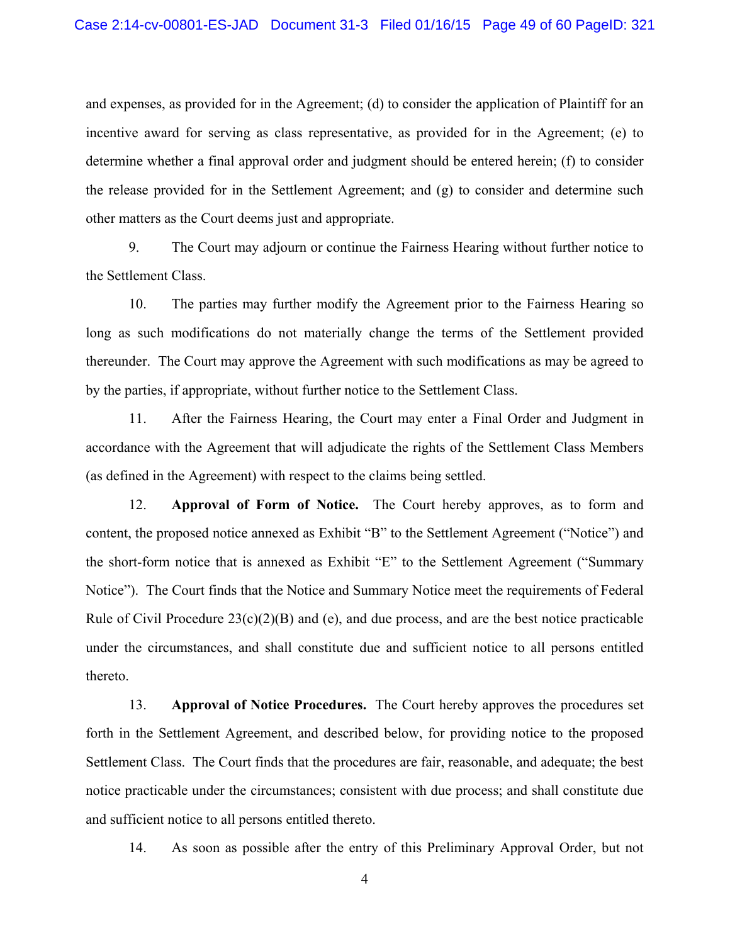and expenses, as provided for in the Agreement; (d) to consider the application of Plaintiff for an incentive award for serving as class representative, as provided for in the Agreement; (e) to determine whether a final approval order and judgment should be entered herein; (f) to consider the release provided for in the Settlement Agreement; and (g) to consider and determine such other matters as the Court deems just and appropriate.

9. The Court may adjourn or continue the Fairness Hearing without further notice to the Settlement Class.

10. The parties may further modify the Agreement prior to the Fairness Hearing so long as such modifications do not materially change the terms of the Settlement provided thereunder. The Court may approve the Agreement with such modifications as may be agreed to by the parties, if appropriate, without further notice to the Settlement Class.

11. After the Fairness Hearing, the Court may enter a Final Order and Judgment in accordance with the Agreement that will adjudicate the rights of the Settlement Class Members (as defined in the Agreement) with respect to the claims being settled.

12. **Approval of Form of Notice.** The Court hereby approves, as to form and content, the proposed notice annexed as Exhibit "B" to the Settlement Agreement ("Notice") and the short-form notice that is annexed as Exhibit "E" to the Settlement Agreement ("Summary Notice"). The Court finds that the Notice and Summary Notice meet the requirements of Federal Rule of Civil Procedure  $23(c)(2)(B)$  and (e), and due process, and are the best notice practicable under the circumstances, and shall constitute due and sufficient notice to all persons entitled thereto.

13. **Approval of Notice Procedures.** The Court hereby approves the procedures set forth in the Settlement Agreement, and described below, for providing notice to the proposed Settlement Class. The Court finds that the procedures are fair, reasonable, and adequate; the best notice practicable under the circumstances; consistent with due process; and shall constitute due and sufficient notice to all persons entitled thereto.

14. As soon as possible after the entry of this Preliminary Approval Order, but not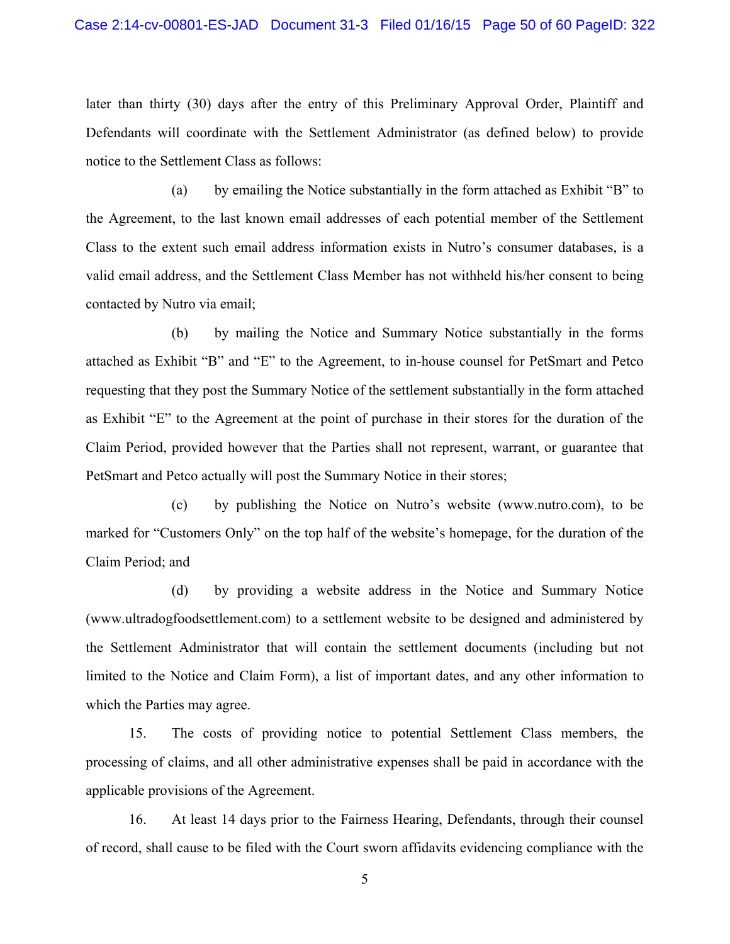later than thirty (30) days after the entry of this Preliminary Approval Order, Plaintiff and Defendants will coordinate with the Settlement Administrator (as defined below) to provide notice to the Settlement Class as follows:

(a) by emailing the Notice substantially in the form attached as Exhibit "B" to the Agreement, to the last known email addresses of each potential member of the Settlement Class to the extent such email address information exists in Nutro's consumer databases, is a valid email address, and the Settlement Class Member has not withheld his/her consent to being contacted by Nutro via email;

(b) by mailing the Notice and Summary Notice substantially in the forms attached as Exhibit "B" and "E" to the Agreement, to in-house counsel for PetSmart and Petco requesting that they post the Summary Notice of the settlement substantially in the form attached as Exhibit "E" to the Agreement at the point of purchase in their stores for the duration of the Claim Period, provided however that the Parties shall not represent, warrant, or guarantee that PetSmart and Petco actually will post the Summary Notice in their stores;

(c) by publishing the Notice on Nutro's website (www.nutro.com), to be marked for "Customers Only" on the top half of the website's homepage, for the duration of the Claim Period; and

(d) by providing a website address in the Notice and Summary Notice (www.ultradogfoodsettlement.com) to a settlement website to be designed and administered by the Settlement Administrator that will contain the settlement documents (including but not limited to the Notice and Claim Form), a list of important dates, and any other information to which the Parties may agree.

15. The costs of providing notice to potential Settlement Class members, the processing of claims, and all other administrative expenses shall be paid in accordance with the applicable provisions of the Agreement.

16. At least 14 days prior to the Fairness Hearing, Defendants, through their counsel of record, shall cause to be filed with the Court sworn affidavits evidencing compliance with the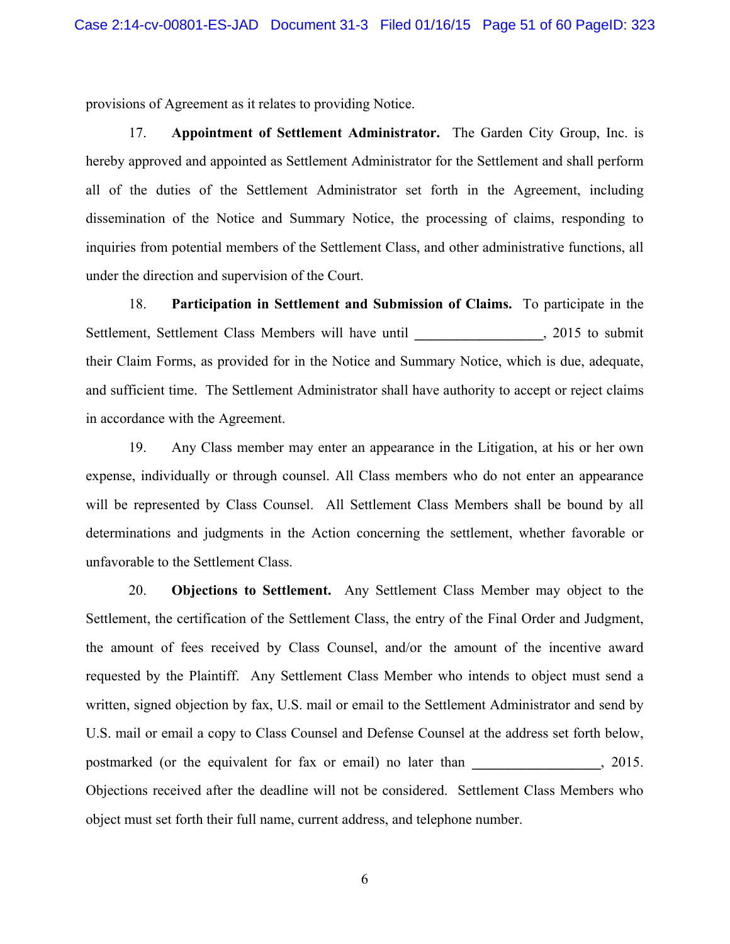provisions of Agreement as it relates to providing Notice.

17. **Appointment of Settlement Administrator.** The Garden City Group, Inc. is hereby approved and appointed as Settlement Administrator for the Settlement and shall perform all of the duties of the Settlement Administrator set forth in the Agreement, including dissemination of the Notice and Summary Notice, the processing of claims, responding to inquiries from potential members of the Settlement Class, and other administrative functions, all under the direction and supervision of the Court.

18. **Participation in Settlement and Submission of Claims.** To participate in the Settlement, Settlement Class Members will have until \_\_\_\_\_\_\_\_\_\_\_\_\_\_\_, 2015 to submit their Claim Forms, as provided for in the Notice and Summary Notice, which is due, adequate, and sufficient time. The Settlement Administrator shall have authority to accept or reject claims in accordance with the Agreement.

19. Any Class member may enter an appearance in the Litigation, at his or her own expense, individually or through counsel. All Class members who do not enter an appearance will be represented by Class Counsel. All Settlement Class Members shall be bound by all determinations and judgments in the Action concerning the settlement, whether favorable or unfavorable to the Settlement Class.

20. **Objections to Settlement.** Any Settlement Class Member may object to the Settlement, the certification of the Settlement Class, the entry of the Final Order and Judgment, the amount of fees received by Class Counsel, and/or the amount of the incentive award requested by the Plaintiff. Any Settlement Class Member who intends to object must send a written, signed objection by fax, U.S. mail or email to the Settlement Administrator and send by U.S. mail or email a copy to Class Counsel and Defense Counsel at the address set forth below, postmarked (or the equivalent for fax or email) no later than **\_\_\_\_\_\_\_\_\_\_\_\_\_\_\_\_\_\_**, 2015. Objections received after the deadline will not be considered. Settlement Class Members who object must set forth their full name, current address, and telephone number.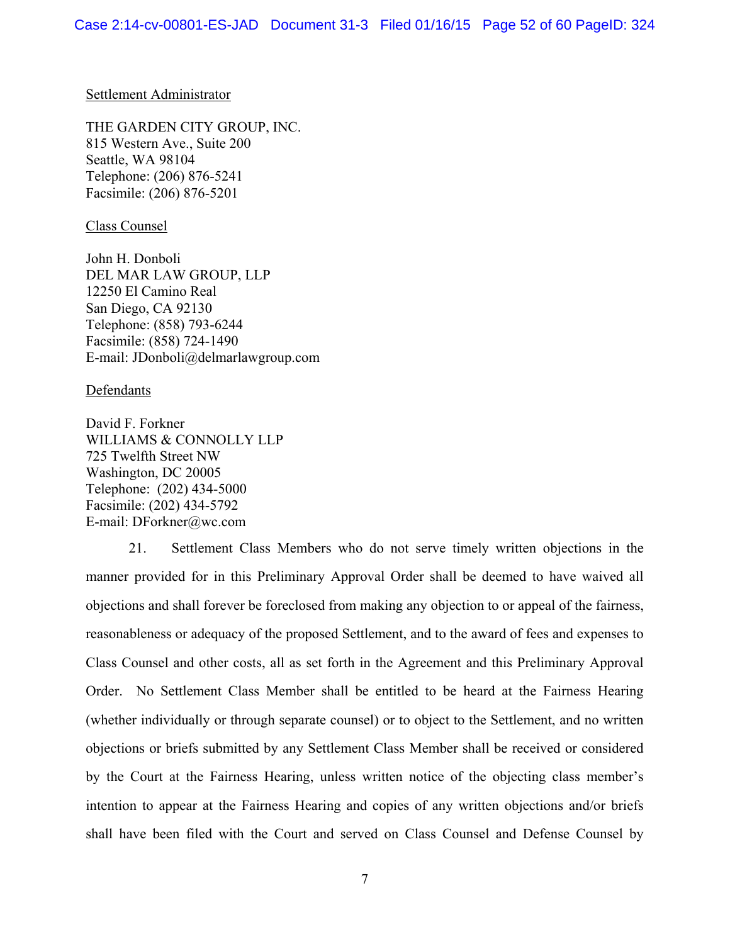## Settlement Administrator

THE GARDEN CITY GROUP, INC. 815 Western Ave., Suite 200 Seattle, WA 98104 Telephone: (206) 876-5241 Facsimile: (206) 876-5201

## Class Counsel

John H. Donboli DEL MAR LAW GROUP, LLP 12250 El Camino Real San Diego, CA 92130 Telephone: (858) 793-6244 Facsimile: (858) 724-1490 E-mail: JDonboli@delmarlawgroup.com

## **Defendants**

David F. Forkner WILLIAMS & CONNOLLY LLP 725 Twelfth Street NW Washington, DC 20005 Telephone: (202) 434-5000 Facsimile: (202) 434-5792 E-mail: DForkner@wc.com

21. Settlement Class Members who do not serve timely written objections in the manner provided for in this Preliminary Approval Order shall be deemed to have waived all objections and shall forever be foreclosed from making any objection to or appeal of the fairness, reasonableness or adequacy of the proposed Settlement, and to the award of fees and expenses to Class Counsel and other costs, all as set forth in the Agreement and this Preliminary Approval Order. No Settlement Class Member shall be entitled to be heard at the Fairness Hearing (whether individually or through separate counsel) or to object to the Settlement, and no written objections or briefs submitted by any Settlement Class Member shall be received or considered by the Court at the Fairness Hearing, unless written notice of the objecting class member's intention to appear at the Fairness Hearing and copies of any written objections and/or briefs shall have been filed with the Court and served on Class Counsel and Defense Counsel by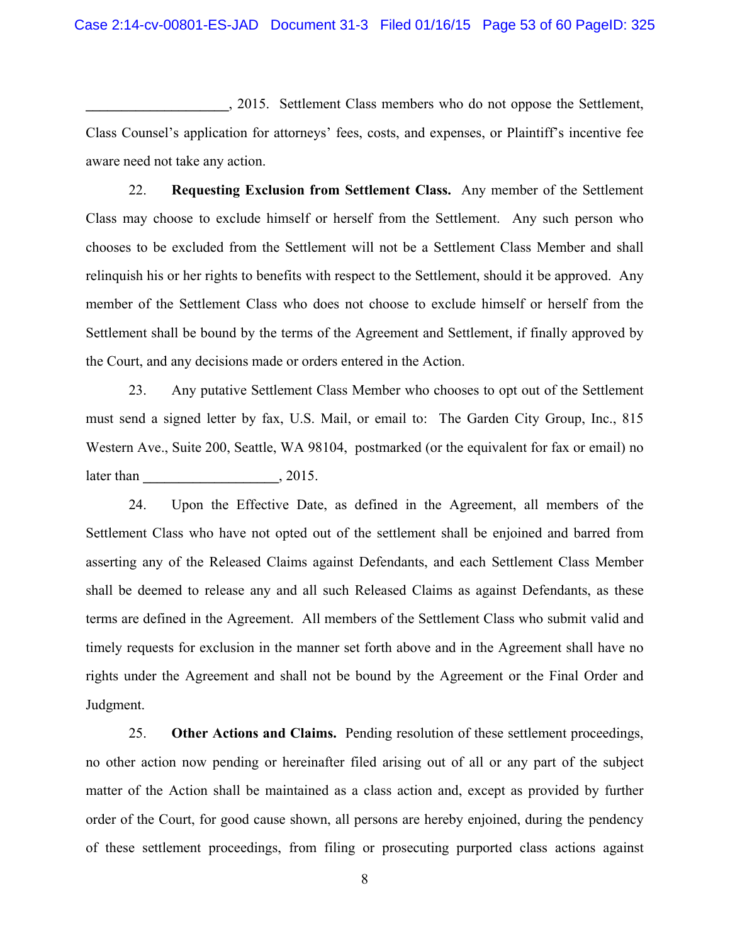**\_\_\_\_\_\_\_\_\_\_\_\_\_\_\_\_\_\_\_\_**, 2015. Settlement Class members who do not oppose the Settlement, Class Counsel's application for attorneys' fees, costs, and expenses, or Plaintiff's incentive fee aware need not take any action.

22. **Requesting Exclusion from Settlement Class.** Any member of the Settlement Class may choose to exclude himself or herself from the Settlement. Any such person who chooses to be excluded from the Settlement will not be a Settlement Class Member and shall relinquish his or her rights to benefits with respect to the Settlement, should it be approved. Any member of the Settlement Class who does not choose to exclude himself or herself from the Settlement shall be bound by the terms of the Agreement and Settlement, if finally approved by the Court, and any decisions made or orders entered in the Action.

23. Any putative Settlement Class Member who chooses to opt out of the Settlement must send a signed letter by fax, U.S. Mail, or email to: The Garden City Group, Inc., 815 Western Ave., Suite 200, Seattle, WA 98104, postmarked (or the equivalent for fax or email) no later than  $, 2015.$ 

24. Upon the Effective Date, as defined in the Agreement, all members of the Settlement Class who have not opted out of the settlement shall be enjoined and barred from asserting any of the Released Claims against Defendants, and each Settlement Class Member shall be deemed to release any and all such Released Claims as against Defendants, as these terms are defined in the Agreement. All members of the Settlement Class who submit valid and timely requests for exclusion in the manner set forth above and in the Agreement shall have no rights under the Agreement and shall not be bound by the Agreement or the Final Order and Judgment.

25. **Other Actions and Claims.** Pending resolution of these settlement proceedings, no other action now pending or hereinafter filed arising out of all or any part of the subject matter of the Action shall be maintained as a class action and, except as provided by further order of the Court, for good cause shown, all persons are hereby enjoined, during the pendency of these settlement proceedings, from filing or prosecuting purported class actions against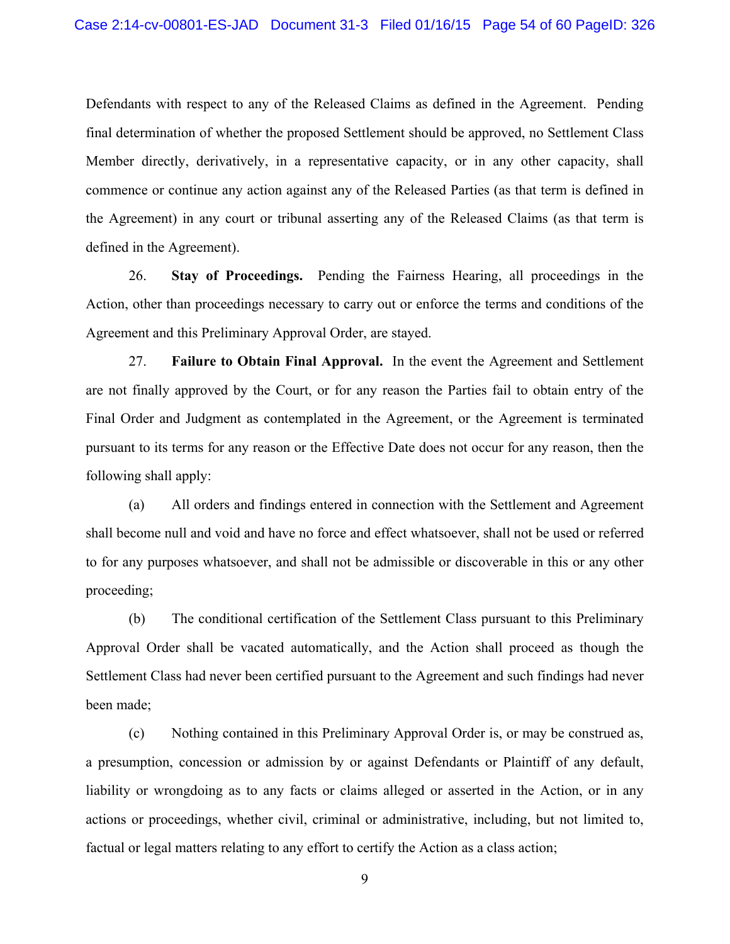Defendants with respect to any of the Released Claims as defined in the Agreement. Pending final determination of whether the proposed Settlement should be approved, no Settlement Class Member directly, derivatively, in a representative capacity, or in any other capacity, shall commence or continue any action against any of the Released Parties (as that term is defined in the Agreement) in any court or tribunal asserting any of the Released Claims (as that term is defined in the Agreement).

26. **Stay of Proceedings.** Pending the Fairness Hearing, all proceedings in the Action, other than proceedings necessary to carry out or enforce the terms and conditions of the Agreement and this Preliminary Approval Order, are stayed.

27. **Failure to Obtain Final Approval.** In the event the Agreement and Settlement are not finally approved by the Court, or for any reason the Parties fail to obtain entry of the Final Order and Judgment as contemplated in the Agreement, or the Agreement is terminated pursuant to its terms for any reason or the Effective Date does not occur for any reason, then the following shall apply:

(a) All orders and findings entered in connection with the Settlement and Agreement shall become null and void and have no force and effect whatsoever, shall not be used or referred to for any purposes whatsoever, and shall not be admissible or discoverable in this or any other proceeding;

(b) The conditional certification of the Settlement Class pursuant to this Preliminary Approval Order shall be vacated automatically, and the Action shall proceed as though the Settlement Class had never been certified pursuant to the Agreement and such findings had never been made;

(c) Nothing contained in this Preliminary Approval Order is, or may be construed as, a presumption, concession or admission by or against Defendants or Plaintiff of any default, liability or wrongdoing as to any facts or claims alleged or asserted in the Action, or in any actions or proceedings, whether civil, criminal or administrative, including, but not limited to, factual or legal matters relating to any effort to certify the Action as a class action;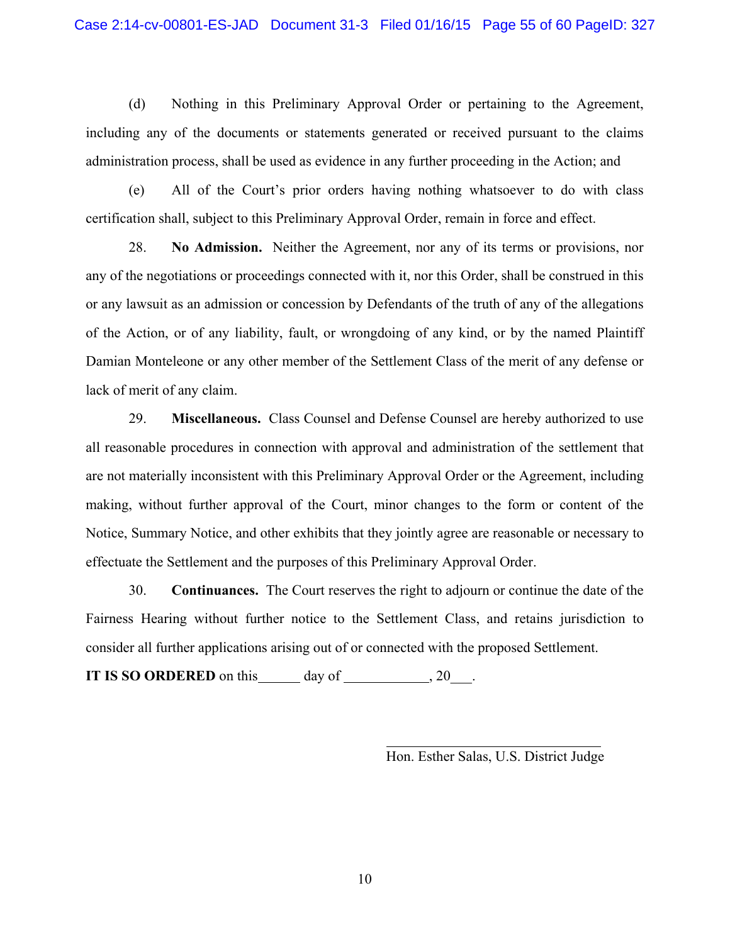(d) Nothing in this Preliminary Approval Order or pertaining to the Agreement, including any of the documents or statements generated or received pursuant to the claims administration process, shall be used as evidence in any further proceeding in the Action; and

(e) All of the Court's prior orders having nothing whatsoever to do with class certification shall, subject to this Preliminary Approval Order, remain in force and effect.

28. **No Admission.** Neither the Agreement, nor any of its terms or provisions, nor any of the negotiations or proceedings connected with it, nor this Order, shall be construed in this or any lawsuit as an admission or concession by Defendants of the truth of any of the allegations of the Action, or of any liability, fault, or wrongdoing of any kind, or by the named Plaintiff Damian Monteleone or any other member of the Settlement Class of the merit of any defense or lack of merit of any claim.

29. **Miscellaneous.** Class Counsel and Defense Counsel are hereby authorized to use all reasonable procedures in connection with approval and administration of the settlement that are not materially inconsistent with this Preliminary Approval Order or the Agreement, including making, without further approval of the Court, minor changes to the form or content of the Notice, Summary Notice, and other exhibits that they jointly agree are reasonable or necessary to effectuate the Settlement and the purposes of this Preliminary Approval Order.

30. **Continuances.** The Court reserves the right to adjourn or continue the date of the Fairness Hearing without further notice to the Settlement Class, and retains jurisdiction to consider all further applications arising out of or connected with the proposed Settlement.

**IT IS SO ORDERED** on this day of , 20 .

Hon. Esther Salas, U.S. District Judge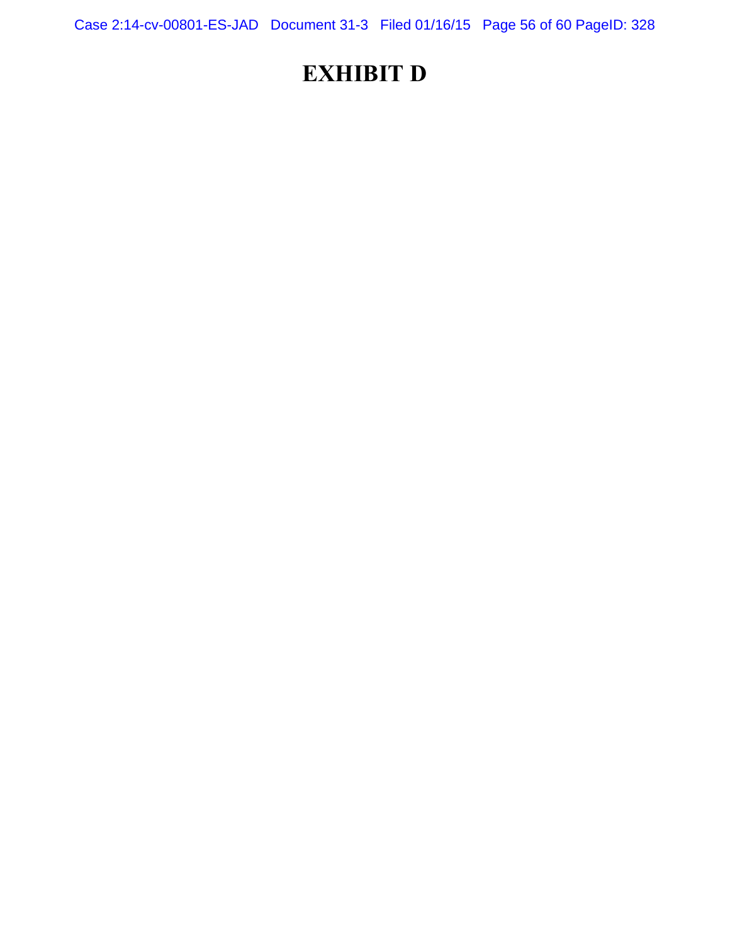Case 2:14-cv-00801-ES-JAD Document 31-3 Filed 01/16/15 Page 56 of 60 PageID: 328

# **EXHIBIT D**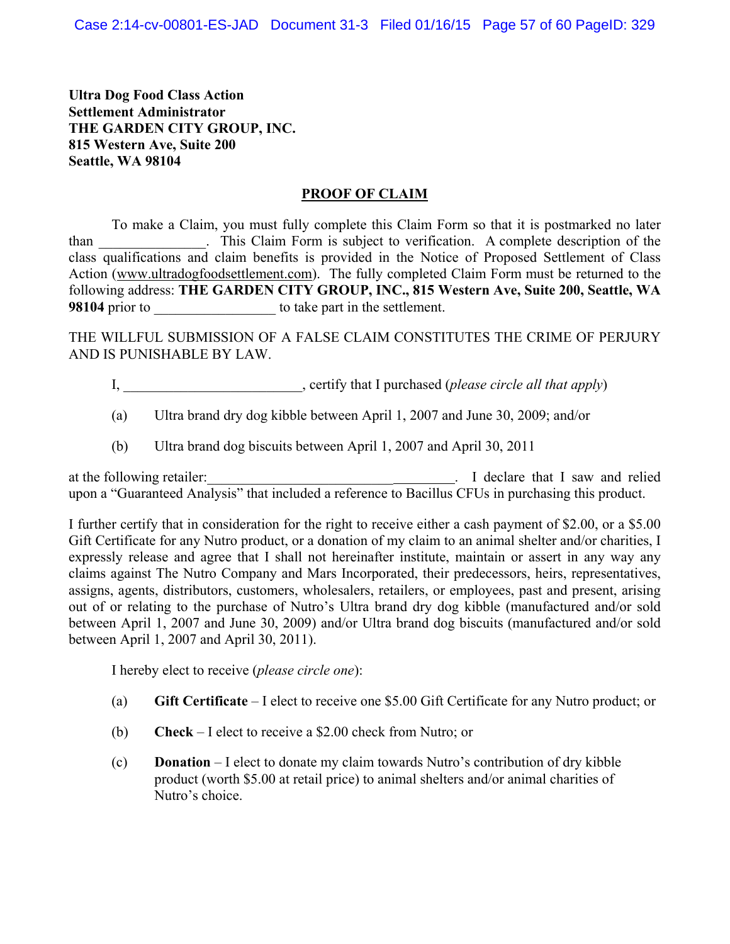**Ultra Dog Food Class Action Settlement Administrator THE GARDEN CITY GROUP, INC. 815 Western Ave, Suite 200 Seattle, WA 98104**

## **PROOF OF CLAIM**

To make a Claim, you must fully complete this Claim Form so that it is postmarked no later than \_\_\_\_\_\_\_\_\_\_\_\_\_\_\_. This Claim Form is subject to verification. A complete description of the class qualifications and claim benefits is provided in the Notice of Proposed Settlement of Class Action (www.ultradogfoodsettlement.com). The fully completed Claim Form must be returned to the following address: **THE GARDEN CITY GROUP, INC., 815 Western Ave, Suite 200, Seattle, WA 98104** prior to **b** to take part in the settlement.

THE WILLFUL SUBMISSION OF A FALSE CLAIM CONSTITUTES THE CRIME OF PERJURY AND IS PUNISHABLE BY LAW.

- I, certify that I purchased (*please circle all that apply*)
- (a) Ultra brand dry dog kibble between April 1, 2007 and June 30, 2009; and/or
- (b) Ultra brand dog biscuits between April 1, 2007 and April 30, 2011

at the following retailer: The same state of the same state of the same state of the same state of the same state of the same state of the same state of the same state of the same state of the same state of the same state upon a "Guaranteed Analysis" that included a reference to Bacillus CFUs in purchasing this product.

I further certify that in consideration for the right to receive either a cash payment of \$2.00, or a \$5.00 Gift Certificate for any Nutro product, or a donation of my claim to an animal shelter and/or charities, I expressly release and agree that I shall not hereinafter institute, maintain or assert in any way any claims against The Nutro Company and Mars Incorporated, their predecessors, heirs, representatives, assigns, agents, distributors, customers, wholesalers, retailers, or employees, past and present, arising out of or relating to the purchase of Nutro's Ultra brand dry dog kibble (manufactured and/or sold between April 1, 2007 and June 30, 2009) and/or Ultra brand dog biscuits (manufactured and/or sold between April 1, 2007 and April 30, 2011).

I hereby elect to receive (*please circle one*):

- (a) **Gift Certificate** I elect to receive one \$5.00 Gift Certificate for any Nutro product; or
- (b) **Check** I elect to receive a \$2.00 check from Nutro; or
- (c) **Donation** I elect to donate my claim towards Nutro's contribution of dry kibble product (worth \$5.00 at retail price) to animal shelters and/or animal charities of Nutro's choice.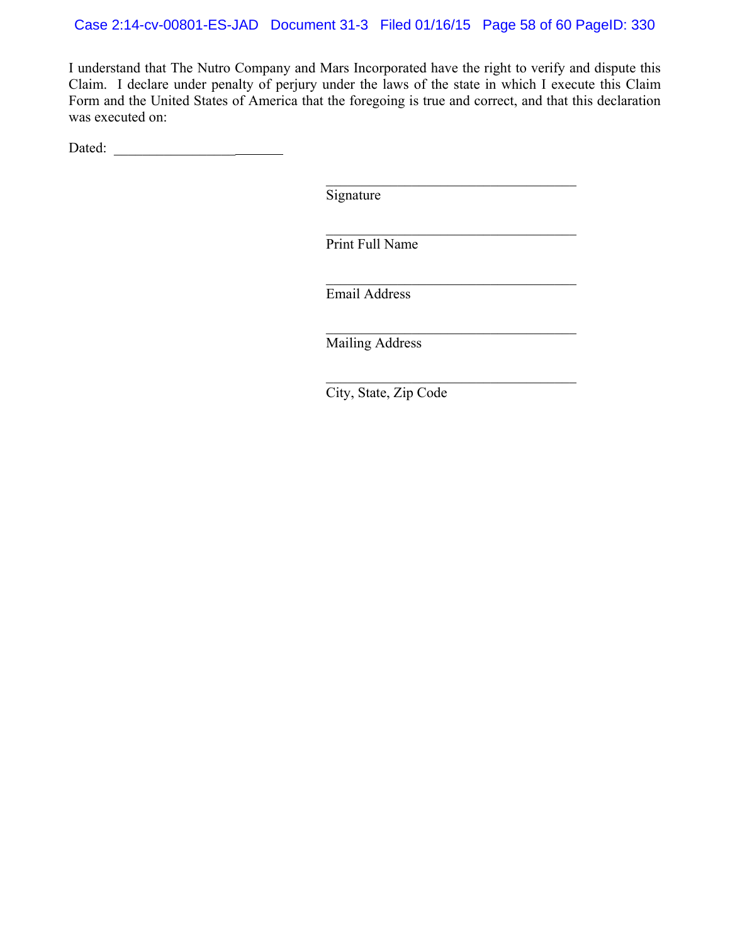I understand that The Nutro Company and Mars Incorporated have the right to verify and dispute this Claim. I declare under penalty of perjury under the laws of the state in which I execute this Claim Form and the United States of America that the foregoing is true and correct, and that this declaration was executed on:

Dated: \_\_\_\_\_\_\_\_\_\_\_\_\_\_\_\_\_

Signature

 $\mathcal{L}_\text{max}$  and  $\mathcal{L}_\text{max}$  and  $\mathcal{L}_\text{max}$  and  $\mathcal{L}_\text{max}$  and  $\mathcal{L}_\text{max}$  and  $\mathcal{L}_\text{max}$ 

Print Full Name

\_\_\_\_\_\_\_\_\_\_\_\_\_\_\_\_\_\_\_\_\_\_\_\_\_\_\_\_\_\_\_\_\_\_\_

 $\mathcal{L}_\text{max}$  , and the set of the set of the set of the set of the set of the set of the set of the set of the set of the set of the set of the set of the set of the set of the set of the set of the set of the set of the

 $\mathcal{L}_\text{max}$  , and the set of the set of the set of the set of the set of the set of the set of the set of the set of the set of the set of the set of the set of the set of the set of the set of the set of the set of the

 $\mathcal{L}_\text{max}$  , and the set of the set of the set of the set of the set of the set of the set of the set of the set of the set of the set of the set of the set of the set of the set of the set of the set of the set of the

Email Address

Mailing Address

City, State, Zip Code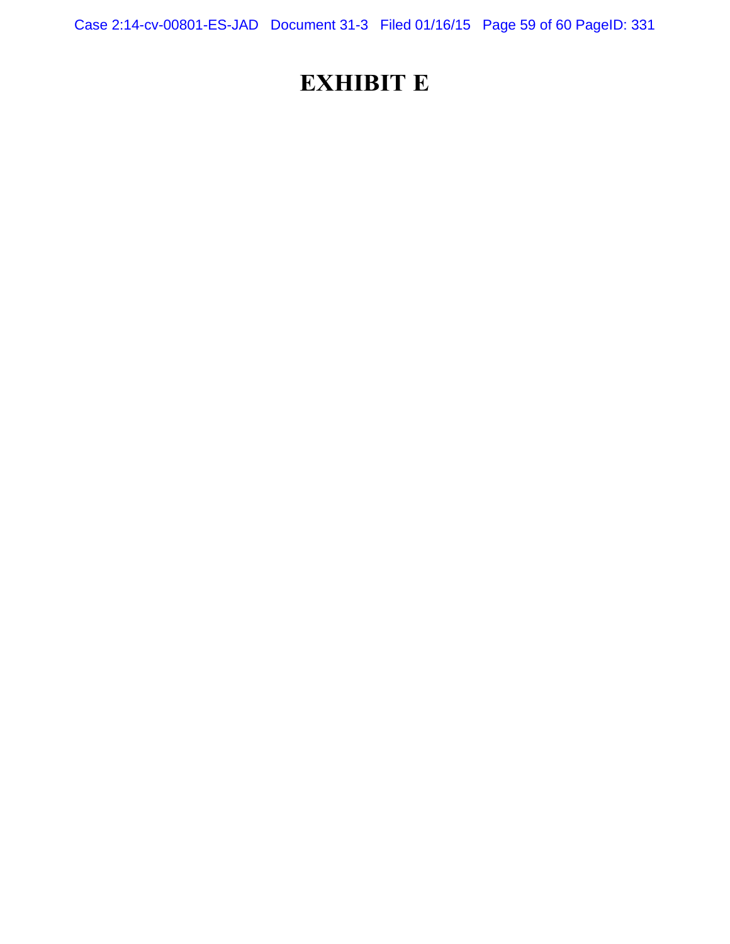Case 2:14-cv-00801-ES-JAD Document 31-3 Filed 01/16/15 Page 59 of 60 PageID: 331

# **EXHIBIT E**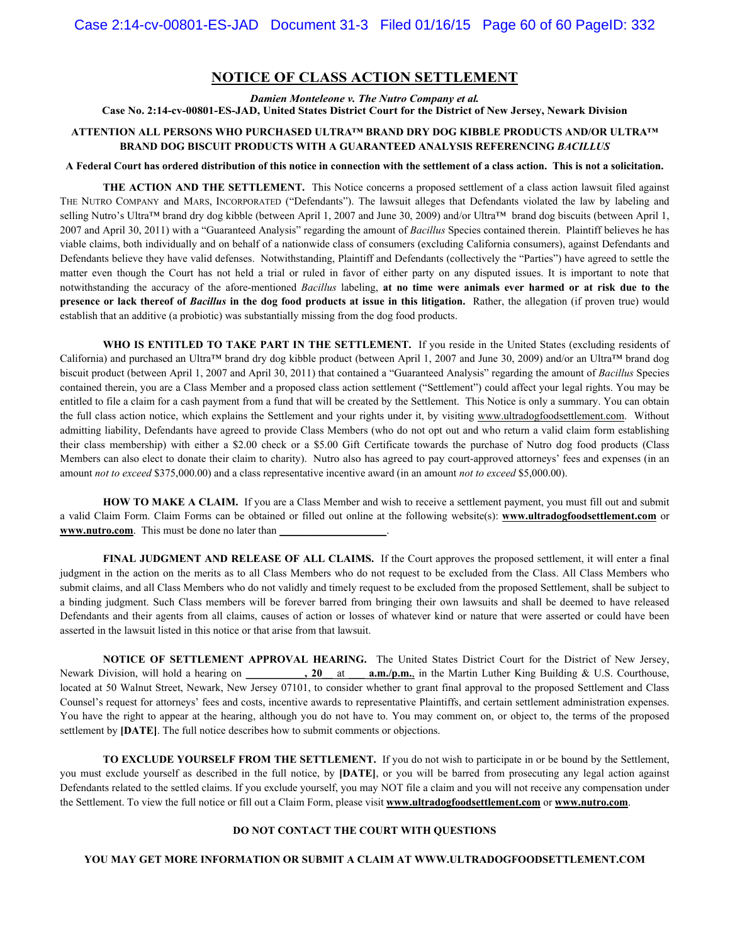## **NOTICE OF CLASS ACTION SETTLEMENT**

*Damien Monteleone v. The Nutro Company et al.* 

**Case No. 2:14-cv-00801-ES-JAD, United States District Court for the District of New Jersey, Newark Division**

### **ATTENTION ALL PERSONS WHO PURCHASED ULTRA™ BRAND DRY DOG KIBBLE PRODUCTS AND/OR ULTRA™ BRAND DOG BISCUIT PRODUCTS WITH A GUARANTEED ANALYSIS REFERENCING** *BACILLUS*

#### **A Federal Court has ordered distribution of this notice in connection with the settlement of a class action. This is not a solicitation.**

**THE ACTION AND THE SETTLEMENT.** This Notice concerns a proposed settlement of a class action lawsuit filed against THE NUTRO COMPANY and MARS, INCORPORATED ("Defendants"). The lawsuit alleges that Defendants violated the law by labeling and selling Nutro's Ultra™ brand dry dog kibble (between April 1, 2007 and June 30, 2009) and/or Ultra™ brand dog biscuits (between April 1, 2007 and April 30, 2011) with a "Guaranteed Analysis" regarding the amount of *Bacillus* Species contained therein. Plaintiff believes he has viable claims, both individually and on behalf of a nationwide class of consumers (excluding California consumers), against Defendants and Defendants believe they have valid defenses. Notwithstanding, Plaintiff and Defendants (collectively the "Parties") have agreed to settle the matter even though the Court has not held a trial or ruled in favor of either party on any disputed issues. It is important to note that notwithstanding the accuracy of the afore-mentioned *Bacillus* labeling, **at no time were animals ever harmed or at risk due to the presence or lack thereof of** *Bacillus* in the dog food products at issue in this litigation. Rather, the allegation (if proven true) would establish that an additive (a probiotic) was substantially missing from the dog food products.

WHO IS ENTITLED TO TAKE PART IN THE SETTLEMENT. If you reside in the United States (excluding residents of California) and purchased an Ultra™ brand dry dog kibble product (between April 1, 2007 and June 30, 2009) and/or an Ultra™ brand dog biscuit product (between April 1, 2007 and April 30, 2011) that contained a "Guaranteed Analysis" regarding the amount of *Bacillus* Species contained therein, you are a Class Member and a proposed class action settlement ("Settlement") could affect your legal rights. You may be entitled to file a claim for a cash payment from a fund that will be created by the Settlement. This Notice is only a summary. You can obtain the full class action notice, which explains the Settlement and your rights under it, by visiting www.ultradogfoodsettlement.com. Without admitting liability, Defendants have agreed to provide Class Members (who do not opt out and who return a valid claim form establishing their class membership) with either a \$2.00 check or a \$5.00 Gift Certificate towards the purchase of Nutro dog food products (Class Members can also elect to donate their claim to charity). Nutro also has agreed to pay court-approved attorneys' fees and expenses (in an amount *not to exceed* \$375,000.00) and a class representative incentive award (in an amount *not to exceed* \$5,000.00).

**HOW TO MAKE A CLAIM.** If you are a Class Member and wish to receive a settlement payment, you must fill out and submit a valid Claim Form. Claim Forms can be obtained or filled out online at the following website(s): **www.ultradogfoodsettlement.com** or **www.nutro.com**. This must be done no later than

**FINAL JUDGMENT AND RELEASE OF ALL CLAIMS.** If the Court approves the proposed settlement, it will enter a final judgment in the action on the merits as to all Class Members who do not request to be excluded from the Class. All Class Members who submit claims, and all Class Members who do not validly and timely request to be excluded from the proposed Settlement, shall be subject to a binding judgment. Such Class members will be forever barred from bringing their own lawsuits and shall be deemed to have released Defendants and their agents from all claims, causes of action or losses of whatever kind or nature that were asserted or could have been asserted in the lawsuit listed in this notice or that arise from that lawsuit.

**NOTICE OF SETTLEMENT APPROVAL HEARING.** The United States District Court for the District of New Jersey, Newark Division, will hold a hearing on **\_\_\_\_\_\_\_\_\_, 20** at **a.m./p.m.**, in the Martin Luther King Building & U.S. Courthouse, located at 50 Walnut Street, Newark, New Jersey 07101, to consider whether to grant final approval to the proposed Settlement and Class Counsel's request for attorneys' fees and costs, incentive awards to representative Plaintiffs, and certain settlement administration expenses. You have the right to appear at the hearing, although you do not have to. You may comment on, or object to, the terms of the proposed settlement by **[DATE]**. The full notice describes how to submit comments or objections.

**TO EXCLUDE YOURSELF FROM THE SETTLEMENT.** If you do not wish to participate in or be bound by the Settlement, you must exclude yourself as described in the full notice, by **[DATE]**, or you will be barred from prosecuting any legal action against Defendants related to the settled claims. If you exclude yourself, you may NOT file a claim and you will not receive any compensation under the Settlement. To view the full notice or fill out a Claim Form, please visit **www.ultradogfoodsettlement.com** or **www.nutro.com**.

#### **DO NOT CONTACT THE COURT WITH QUESTIONS**

#### **YOU MAY GET MORE INFORMATION OR SUBMIT A CLAIM AT WWW.ULTRADOGFOODSETTLEMENT.COM**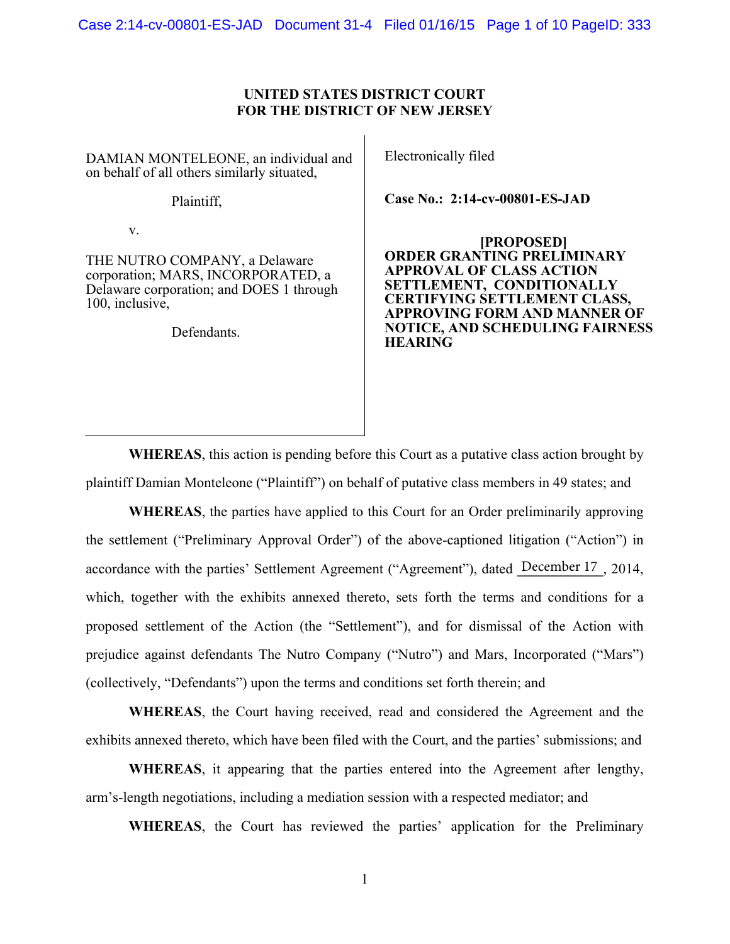Case 2:14-cv-00801-ES-JAD Document 31-4 Filed 01/16/15 Page 1 of 10 PageID: 333

## **UNITED STATES DISTRICT COURT FOR THE DISTRICT OF NEW JERSEY**

DAMIAN MONTELEONE, an individual and on behalf of all others similarly situated,

Plaintiff,

v.

THE NUTRO COMPANY, a Delaware corporation; MARS, INCORPORATED, a Delaware corporation; and DOES 1 through 100, inclusive,

Defendants.

Electronically filed

**Case No.: 2:14-cv-00801-ES-JAD** 

**[PROPOSED] ORDER GRANTING PRELIMINARY APPROVAL OF CLASS ACTION SETTLEMENT, CONDITIONALLY CERTIFYING SETTLEMENT CLASS, APPROVING FORM AND MANNER OF NOTICE, AND SCHEDULING FAIRNESS HEARING** 

**WHEREAS**, this action is pending before this Court as a putative class action brought by plaintiff Damian Monteleone ("Plaintiff") on behalf of putative class members in 49 states; and

**WHEREAS**, the parties have applied to this Court for an Order preliminarily approving the settlement ("Preliminary Approval Order") of the above-captioned litigation ("Action") in accordance with the parties' Settlement Agreement ("Agreement"), dated December 17, 2014, which, together with the exhibits annexed thereto, sets forth the terms and conditions for a proposed settlement of the Action (the "Settlement"), and for dismissal of the Action with prejudice against defendants The Nutro Company ("Nutro") and Mars, Incorporated ("Mars") (collectively, "Defendants") upon the terms and conditions set forth therein; and

**WHEREAS**, the Court having received, read and considered the Agreement and the exhibits annexed thereto, which have been filed with the Court, and the parties' submissions; and

**WHEREAS**, it appearing that the parties entered into the Agreement after lengthy, arm's-length negotiations, including a mediation session with a respected mediator; and

**WHEREAS**, the Court has reviewed the parties' application for the Preliminary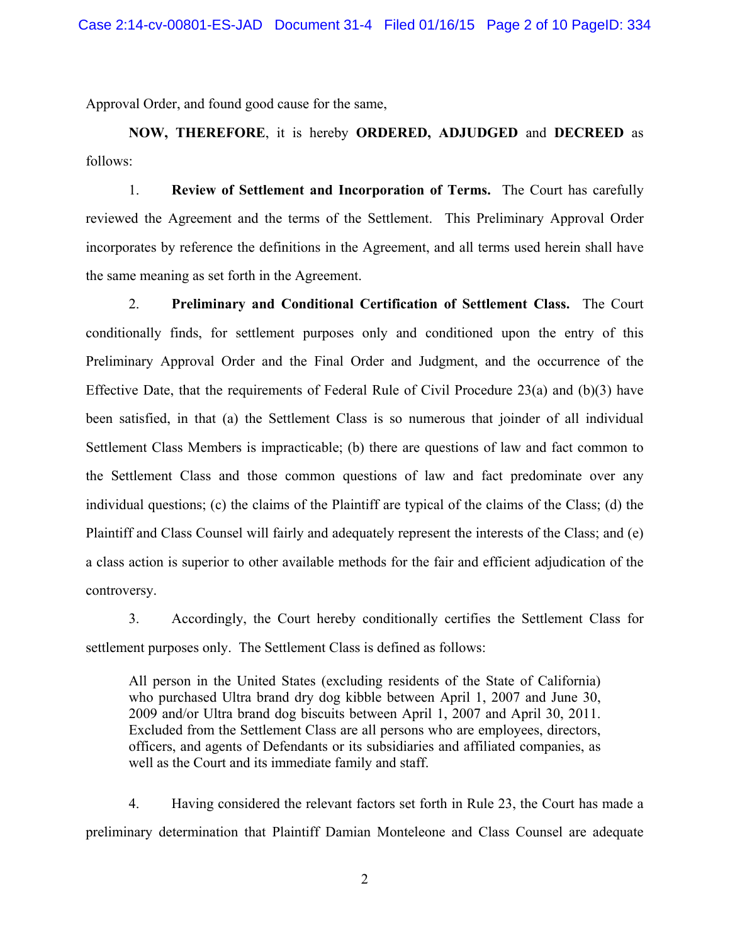Approval Order, and found good cause for the same,

**NOW, THEREFORE**, it is hereby **ORDERED, ADJUDGED** and **DECREED** as follows:

1. **Review of Settlement and Incorporation of Terms.** The Court has carefully reviewed the Agreement and the terms of the Settlement. This Preliminary Approval Order incorporates by reference the definitions in the Agreement, and all terms used herein shall have the same meaning as set forth in the Agreement.

2. **Preliminary and Conditional Certification of Settlement Class.** The Court conditionally finds, for settlement purposes only and conditioned upon the entry of this Preliminary Approval Order and the Final Order and Judgment, and the occurrence of the Effective Date, that the requirements of Federal Rule of Civil Procedure 23(a) and (b)(3) have been satisfied, in that (a) the Settlement Class is so numerous that joinder of all individual Settlement Class Members is impracticable; (b) there are questions of law and fact common to the Settlement Class and those common questions of law and fact predominate over any individual questions; (c) the claims of the Plaintiff are typical of the claims of the Class; (d) the Plaintiff and Class Counsel will fairly and adequately represent the interests of the Class; and (e) a class action is superior to other available methods for the fair and efficient adjudication of the controversy.

3. Accordingly, the Court hereby conditionally certifies the Settlement Class for settlement purposes only. The Settlement Class is defined as follows:

All person in the United States (excluding residents of the State of California) who purchased Ultra brand dry dog kibble between April 1, 2007 and June 30, 2009 and/or Ultra brand dog biscuits between April 1, 2007 and April 30, 2011. Excluded from the Settlement Class are all persons who are employees, directors, officers, and agents of Defendants or its subsidiaries and affiliated companies, as well as the Court and its immediate family and staff.

4. Having considered the relevant factors set forth in Rule 23, the Court has made a preliminary determination that Plaintiff Damian Monteleone and Class Counsel are adequate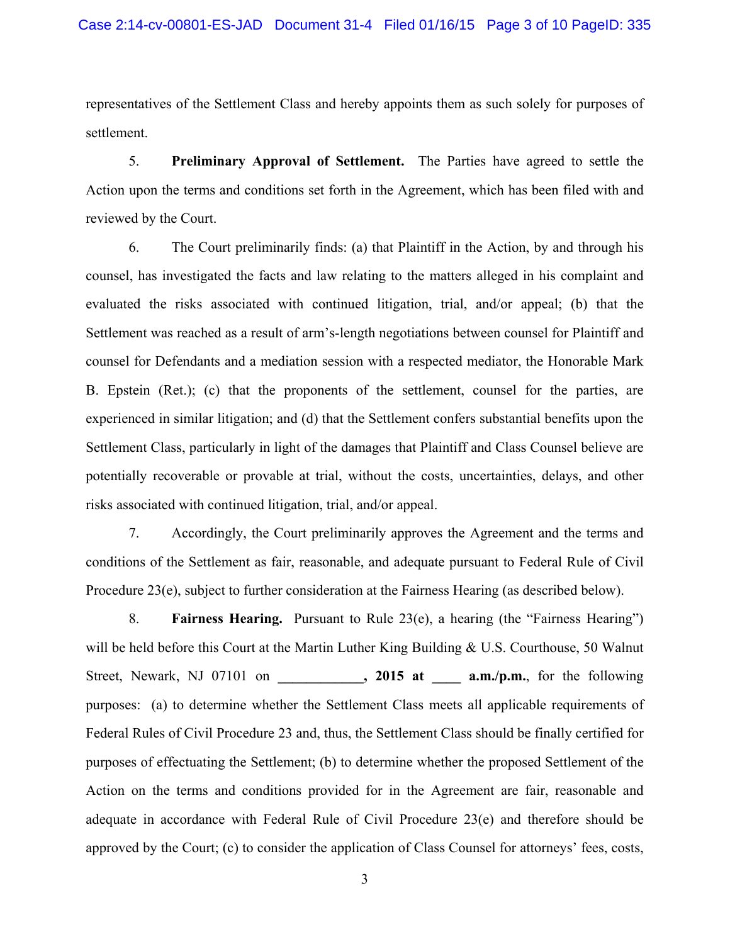representatives of the Settlement Class and hereby appoints them as such solely for purposes of settlement.

5. **Preliminary Approval of Settlement.** The Parties have agreed to settle the Action upon the terms and conditions set forth in the Agreement, which has been filed with and reviewed by the Court.

6. The Court preliminarily finds: (a) that Plaintiff in the Action, by and through his counsel, has investigated the facts and law relating to the matters alleged in his complaint and evaluated the risks associated with continued litigation, trial, and/or appeal; (b) that the Settlement was reached as a result of arm's-length negotiations between counsel for Plaintiff and counsel for Defendants and a mediation session with a respected mediator, the Honorable Mark B. Epstein (Ret.); (c) that the proponents of the settlement, counsel for the parties, are experienced in similar litigation; and (d) that the Settlement confers substantial benefits upon the Settlement Class, particularly in light of the damages that Plaintiff and Class Counsel believe are potentially recoverable or provable at trial, without the costs, uncertainties, delays, and other risks associated with continued litigation, trial, and/or appeal.

7. Accordingly, the Court preliminarily approves the Agreement and the terms and conditions of the Settlement as fair, reasonable, and adequate pursuant to Federal Rule of Civil Procedure 23(e), subject to further consideration at the Fairness Hearing (as described below).

8. **Fairness Hearing.** Pursuant to Rule 23(e), a hearing (the "Fairness Hearing") will be held before this Court at the Martin Luther King Building & U.S. Courthouse, 50 Walnut Street, Newark, NJ 07101 on , 2015 at a.m./p.m., for the following purposes: (a) to determine whether the Settlement Class meets all applicable requirements of Federal Rules of Civil Procedure 23 and, thus, the Settlement Class should be finally certified for purposes of effectuating the Settlement; (b) to determine whether the proposed Settlement of the Action on the terms and conditions provided for in the Agreement are fair, reasonable and adequate in accordance with Federal Rule of Civil Procedure 23(e) and therefore should be approved by the Court; (c) to consider the application of Class Counsel for attorneys' fees, costs,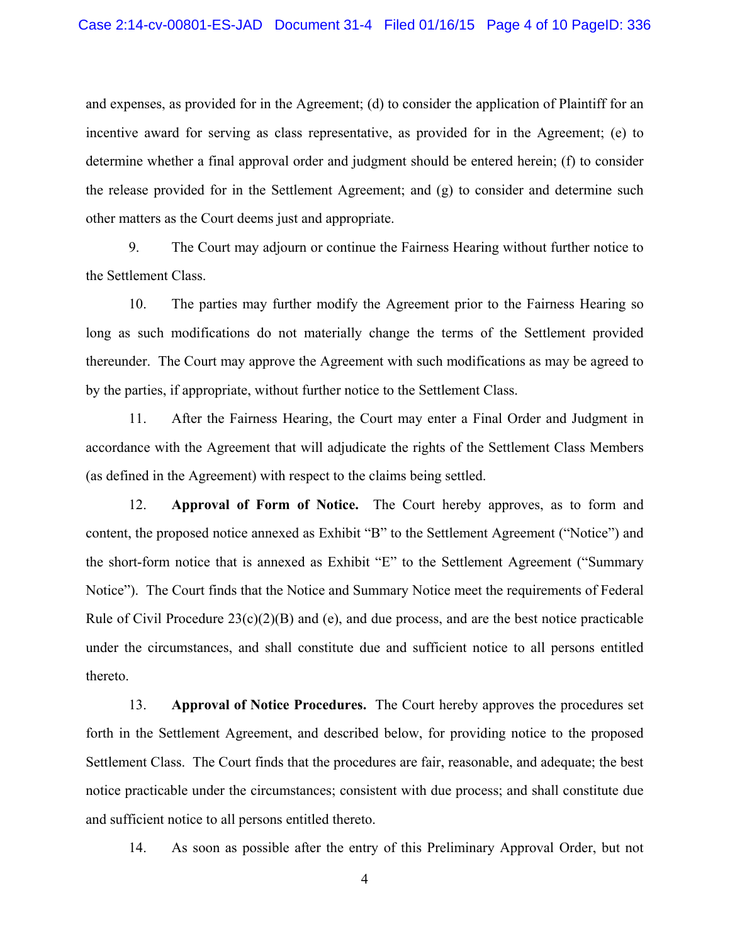and expenses, as provided for in the Agreement; (d) to consider the application of Plaintiff for an incentive award for serving as class representative, as provided for in the Agreement; (e) to determine whether a final approval order and judgment should be entered herein; (f) to consider the release provided for in the Settlement Agreement; and (g) to consider and determine such other matters as the Court deems just and appropriate.

9. The Court may adjourn or continue the Fairness Hearing without further notice to the Settlement Class.

10. The parties may further modify the Agreement prior to the Fairness Hearing so long as such modifications do not materially change the terms of the Settlement provided thereunder. The Court may approve the Agreement with such modifications as may be agreed to by the parties, if appropriate, without further notice to the Settlement Class.

11. After the Fairness Hearing, the Court may enter a Final Order and Judgment in accordance with the Agreement that will adjudicate the rights of the Settlement Class Members (as defined in the Agreement) with respect to the claims being settled.

12. **Approval of Form of Notice.** The Court hereby approves, as to form and content, the proposed notice annexed as Exhibit "B" to the Settlement Agreement ("Notice") and the short-form notice that is annexed as Exhibit "E" to the Settlement Agreement ("Summary Notice"). The Court finds that the Notice and Summary Notice meet the requirements of Federal Rule of Civil Procedure  $23(c)(2)(B)$  and (e), and due process, and are the best notice practicable under the circumstances, and shall constitute due and sufficient notice to all persons entitled thereto.

13. **Approval of Notice Procedures.** The Court hereby approves the procedures set forth in the Settlement Agreement, and described below, for providing notice to the proposed Settlement Class. The Court finds that the procedures are fair, reasonable, and adequate; the best notice practicable under the circumstances; consistent with due process; and shall constitute due and sufficient notice to all persons entitled thereto.

14. As soon as possible after the entry of this Preliminary Approval Order, but not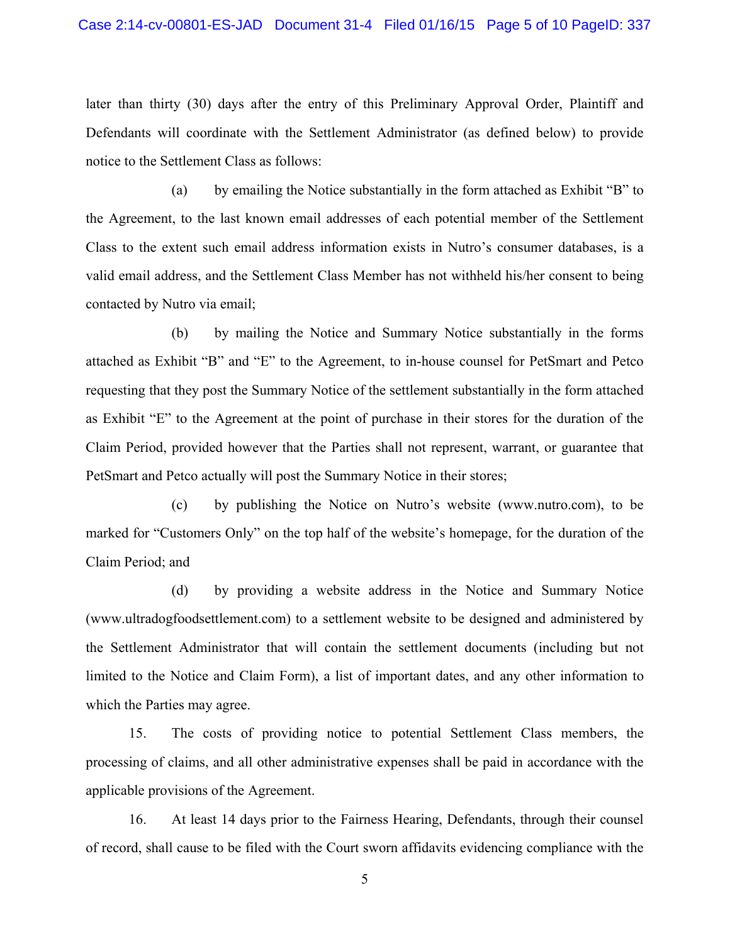later than thirty (30) days after the entry of this Preliminary Approval Order, Plaintiff and Defendants will coordinate with the Settlement Administrator (as defined below) to provide notice to the Settlement Class as follows:

(a) by emailing the Notice substantially in the form attached as Exhibit "B" to the Agreement, to the last known email addresses of each potential member of the Settlement Class to the extent such email address information exists in Nutro's consumer databases, is a valid email address, and the Settlement Class Member has not withheld his/her consent to being contacted by Nutro via email;

(b) by mailing the Notice and Summary Notice substantially in the forms attached as Exhibit "B" and "E" to the Agreement, to in-house counsel for PetSmart and Petco requesting that they post the Summary Notice of the settlement substantially in the form attached as Exhibit "E" to the Agreement at the point of purchase in their stores for the duration of the Claim Period, provided however that the Parties shall not represent, warrant, or guarantee that PetSmart and Petco actually will post the Summary Notice in their stores;

(c) by publishing the Notice on Nutro's website (www.nutro.com), to be marked for "Customers Only" on the top half of the website's homepage, for the duration of the Claim Period; and

(d) by providing a website address in the Notice and Summary Notice (www.ultradogfoodsettlement.com) to a settlement website to be designed and administered by the Settlement Administrator that will contain the settlement documents (including but not limited to the Notice and Claim Form), a list of important dates, and any other information to which the Parties may agree.

15. The costs of providing notice to potential Settlement Class members, the processing of claims, and all other administrative expenses shall be paid in accordance with the applicable provisions of the Agreement.

16. At least 14 days prior to the Fairness Hearing, Defendants, through their counsel of record, shall cause to be filed with the Court sworn affidavits evidencing compliance with the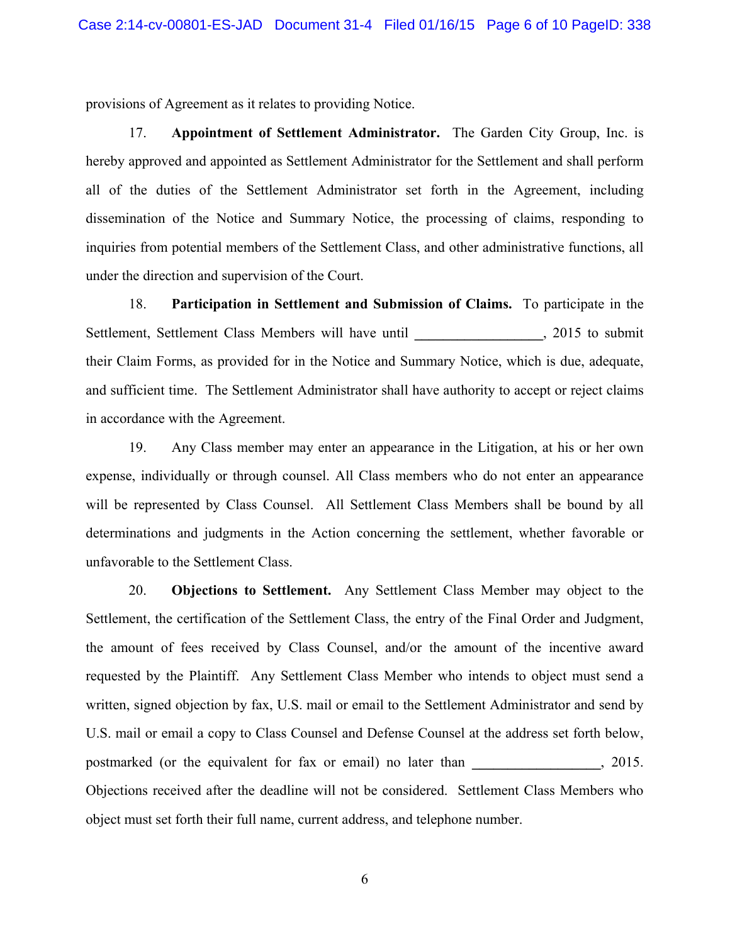provisions of Agreement as it relates to providing Notice.

17. **Appointment of Settlement Administrator.** The Garden City Group, Inc. is hereby approved and appointed as Settlement Administrator for the Settlement and shall perform all of the duties of the Settlement Administrator set forth in the Agreement, including dissemination of the Notice and Summary Notice, the processing of claims, responding to inquiries from potential members of the Settlement Class, and other administrative functions, all under the direction and supervision of the Court.

18. **Participation in Settlement and Submission of Claims.** To participate in the Settlement, Settlement Class Members will have until \_\_\_\_\_\_\_\_\_\_\_\_\_\_\_, 2015 to submit their Claim Forms, as provided for in the Notice and Summary Notice, which is due, adequate, and sufficient time. The Settlement Administrator shall have authority to accept or reject claims in accordance with the Agreement.

19. Any Class member may enter an appearance in the Litigation, at his or her own expense, individually or through counsel. All Class members who do not enter an appearance will be represented by Class Counsel. All Settlement Class Members shall be bound by all determinations and judgments in the Action concerning the settlement, whether favorable or unfavorable to the Settlement Class.

20. **Objections to Settlement.** Any Settlement Class Member may object to the Settlement, the certification of the Settlement Class, the entry of the Final Order and Judgment, the amount of fees received by Class Counsel, and/or the amount of the incentive award requested by the Plaintiff. Any Settlement Class Member who intends to object must send a written, signed objection by fax, U.S. mail or email to the Settlement Administrator and send by U.S. mail or email a copy to Class Counsel and Defense Counsel at the address set forth below, postmarked (or the equivalent for fax or email) no later than **\_\_\_\_\_\_\_\_\_\_\_\_\_\_\_\_\_\_**, 2015. Objections received after the deadline will not be considered. Settlement Class Members who object must set forth their full name, current address, and telephone number.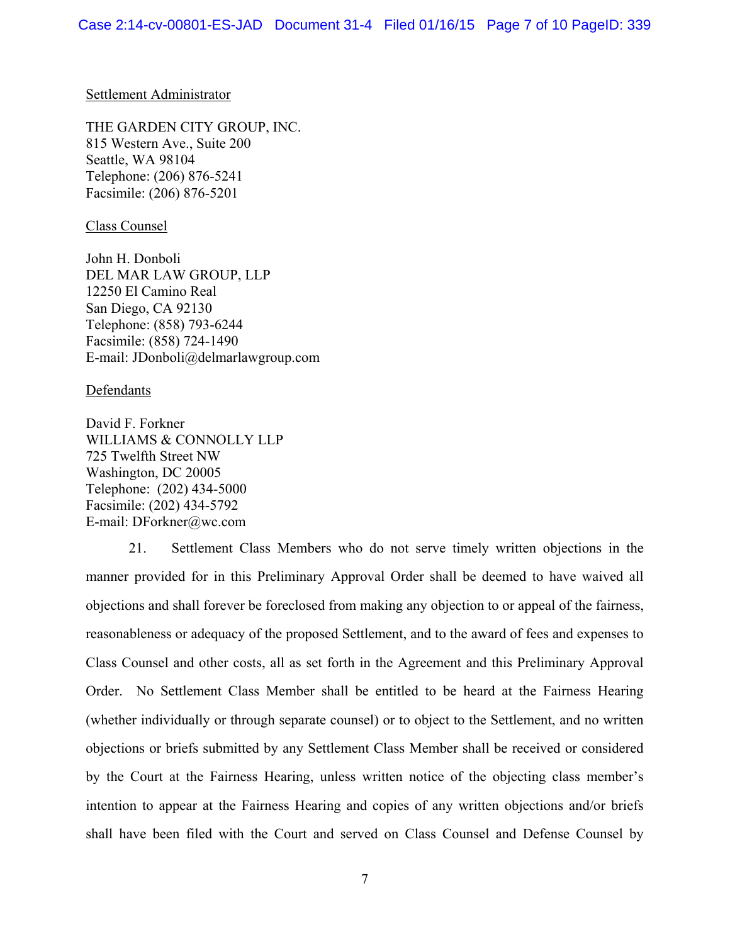## Settlement Administrator

THE GARDEN CITY GROUP, INC. 815 Western Ave., Suite 200 Seattle, WA 98104 Telephone: (206) 876-5241 Facsimile: (206) 876-5201

Class Counsel

John H. Donboli DEL MAR LAW GROUP, LLP 12250 El Camino Real San Diego, CA 92130 Telephone: (858) 793-6244 Facsimile: (858) 724-1490 E-mail: JDonboli@delmarlawgroup.com

**Defendants** 

David F. Forkner WILLIAMS & CONNOLLY LLP 725 Twelfth Street NW Washington, DC 20005 Telephone: (202) 434-5000 Facsimile: (202) 434-5792 E-mail: DForkner@wc.com

21. Settlement Class Members who do not serve timely written objections in the manner provided for in this Preliminary Approval Order shall be deemed to have waived all objections and shall forever be foreclosed from making any objection to or appeal of the fairness, reasonableness or adequacy of the proposed Settlement, and to the award of fees and expenses to Class Counsel and other costs, all as set forth in the Agreement and this Preliminary Approval Order. No Settlement Class Member shall be entitled to be heard at the Fairness Hearing (whether individually or through separate counsel) or to object to the Settlement, and no written objections or briefs submitted by any Settlement Class Member shall be received or considered by the Court at the Fairness Hearing, unless written notice of the objecting class member's intention to appear at the Fairness Hearing and copies of any written objections and/or briefs shall have been filed with the Court and served on Class Counsel and Defense Counsel by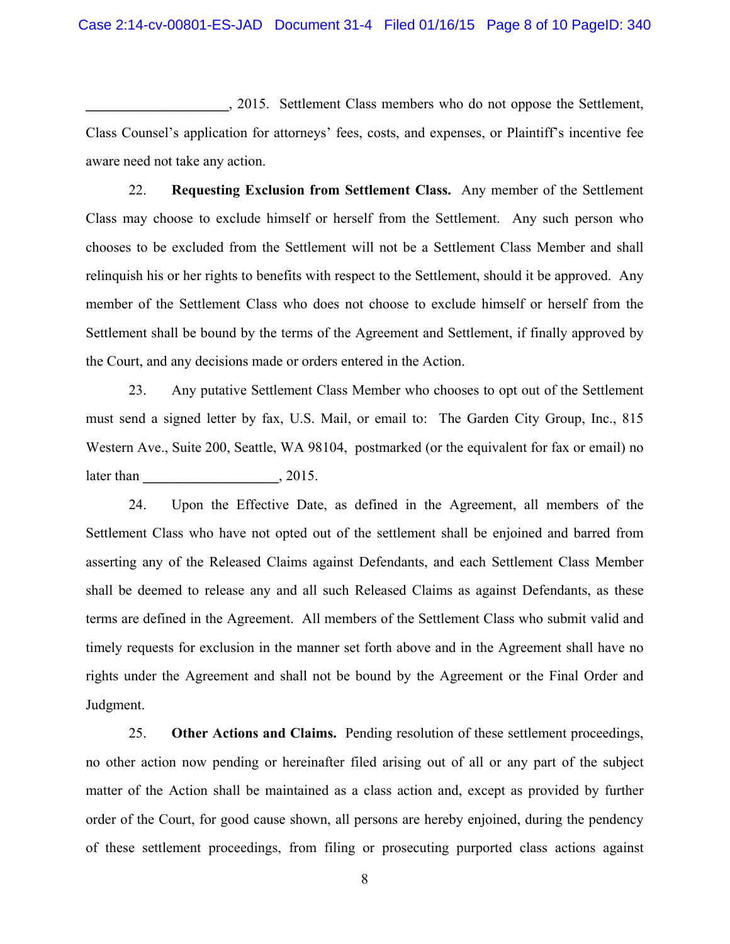**\_\_\_\_\_\_\_\_\_\_\_\_\_\_\_\_\_\_\_\_**, 2015. Settlement Class members who do not oppose the Settlement, Class Counsel's application for attorneys' fees, costs, and expenses, or Plaintiff's incentive fee aware need not take any action.

22. **Requesting Exclusion from Settlement Class.** Any member of the Settlement Class may choose to exclude himself or herself from the Settlement. Any such person who chooses to be excluded from the Settlement will not be a Settlement Class Member and shall relinquish his or her rights to benefits with respect to the Settlement, should it be approved. Any member of the Settlement Class who does not choose to exclude himself or herself from the Settlement shall be bound by the terms of the Agreement and Settlement, if finally approved by the Court, and any decisions made or orders entered in the Action.

23. Any putative Settlement Class Member who chooses to opt out of the Settlement must send a signed letter by fax, U.S. Mail, or email to: The Garden City Group, Inc., 815 Western Ave., Suite 200, Seattle, WA 98104, postmarked (or the equivalent for fax or email) no later than  $, 2015.$ 

24. Upon the Effective Date, as defined in the Agreement, all members of the Settlement Class who have not opted out of the settlement shall be enjoined and barred from asserting any of the Released Claims against Defendants, and each Settlement Class Member shall be deemed to release any and all such Released Claims as against Defendants, as these terms are defined in the Agreement. All members of the Settlement Class who submit valid and timely requests for exclusion in the manner set forth above and in the Agreement shall have no rights under the Agreement and shall not be bound by the Agreement or the Final Order and Judgment.

25. **Other Actions and Claims.** Pending resolution of these settlement proceedings, no other action now pending or hereinafter filed arising out of all or any part of the subject matter of the Action shall be maintained as a class action and, except as provided by further order of the Court, for good cause shown, all persons are hereby enjoined, during the pendency of these settlement proceedings, from filing or prosecuting purported class actions against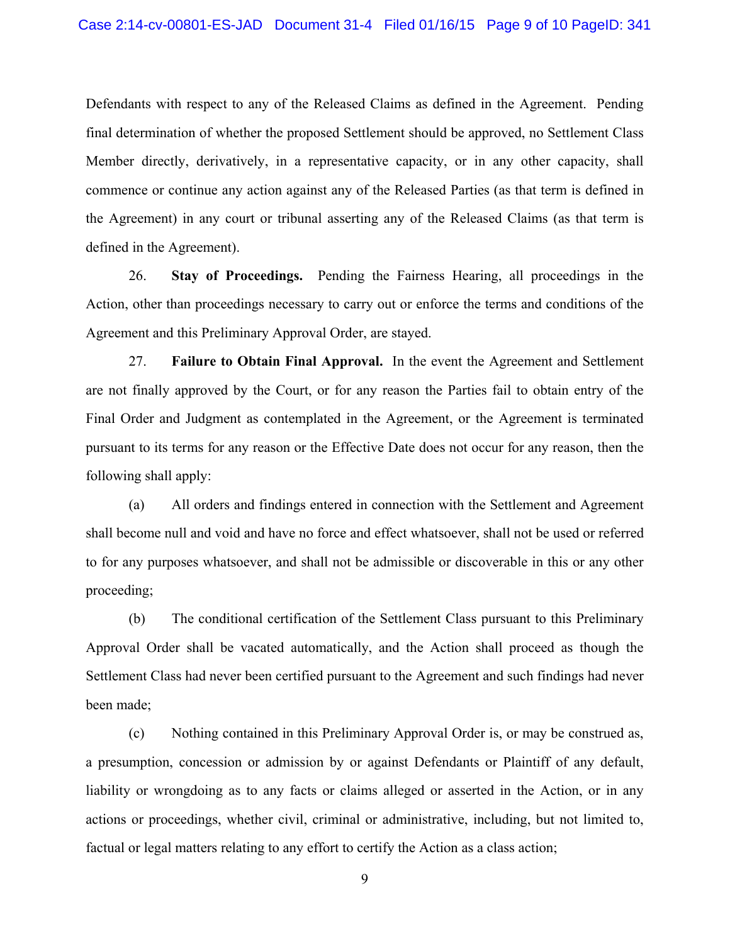Defendants with respect to any of the Released Claims as defined in the Agreement. Pending final determination of whether the proposed Settlement should be approved, no Settlement Class Member directly, derivatively, in a representative capacity, or in any other capacity, shall commence or continue any action against any of the Released Parties (as that term is defined in the Agreement) in any court or tribunal asserting any of the Released Claims (as that term is defined in the Agreement).

26. **Stay of Proceedings.** Pending the Fairness Hearing, all proceedings in the Action, other than proceedings necessary to carry out or enforce the terms and conditions of the Agreement and this Preliminary Approval Order, are stayed.

27. **Failure to Obtain Final Approval.** In the event the Agreement and Settlement are not finally approved by the Court, or for any reason the Parties fail to obtain entry of the Final Order and Judgment as contemplated in the Agreement, or the Agreement is terminated pursuant to its terms for any reason or the Effective Date does not occur for any reason, then the following shall apply:

(a) All orders and findings entered in connection with the Settlement and Agreement shall become null and void and have no force and effect whatsoever, shall not be used or referred to for any purposes whatsoever, and shall not be admissible or discoverable in this or any other proceeding;

(b) The conditional certification of the Settlement Class pursuant to this Preliminary Approval Order shall be vacated automatically, and the Action shall proceed as though the Settlement Class had never been certified pursuant to the Agreement and such findings had never been made;

(c) Nothing contained in this Preliminary Approval Order is, or may be construed as, a presumption, concession or admission by or against Defendants or Plaintiff of any default, liability or wrongdoing as to any facts or claims alleged or asserted in the Action, or in any actions or proceedings, whether civil, criminal or administrative, including, but not limited to, factual or legal matters relating to any effort to certify the Action as a class action;